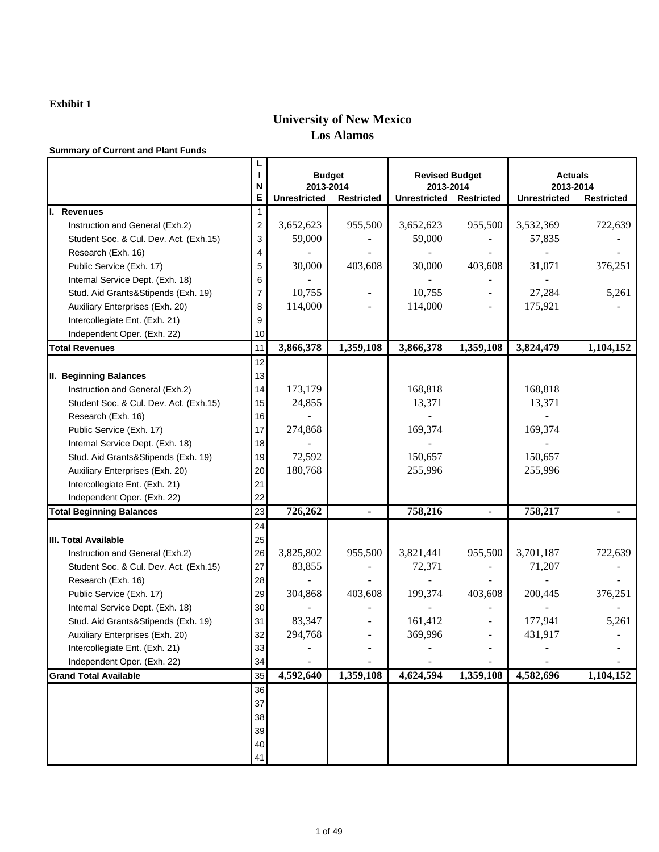## **University of New Mexico Los Alamos**

### **Summary of Current and Plant Funds**

|                                        | N              | <b>Budget</b><br>2013-2014 |                   | <b>Revised Budget</b><br>2013-2014 |                   |                     | <b>Actuals</b><br>2013-2014 |
|----------------------------------------|----------------|----------------------------|-------------------|------------------------------------|-------------------|---------------------|-----------------------------|
|                                        | E              | <b>Unrestricted</b>        | <b>Restricted</b> | <b>Unrestricted</b>                | <b>Restricted</b> | <b>Unrestricted</b> | <b>Restricted</b>           |
| I. Revenues                            | 1              |                            |                   |                                    |                   |                     |                             |
| Instruction and General (Exh.2)        | $\overline{c}$ | 3,652,623                  | 955,500           | 3,652,623                          | 955,500           | 3,532,369           | 722,639                     |
| Student Soc. & Cul. Dev. Act. (Exh.15) | 3              | 59,000                     |                   | 59,000                             |                   | 57,835              |                             |
| Research (Exh. 16)                     | 4              |                            |                   |                                    |                   |                     |                             |
| Public Service (Exh. 17)               | 5              | 30,000                     | 403,608           | 30,000                             | 403,608           | 31,071              | 376,251                     |
| Internal Service Dept. (Exh. 18)       | 6              |                            |                   |                                    |                   |                     |                             |
| Stud. Aid Grants&Stipends (Exh. 19)    | $\overline{7}$ | 10,755                     |                   | 10,755                             |                   | 27,284              | 5,261                       |
| Auxiliary Enterprises (Exh. 20)        | 8              | 114,000                    |                   | 114,000                            |                   | 175,921             |                             |
| Intercollegiate Ent. (Exh. 21)         | 9              |                            |                   |                                    |                   |                     |                             |
| Independent Oper. (Exh. 22)            | 10             |                            |                   |                                    |                   |                     |                             |
| <b>Total Revenues</b>                  | 11             | 3,866,378                  | 1,359,108         | 3,866,378                          | 1,359,108         | 3,824,479           | 1,104,152                   |
|                                        | 12             |                            |                   |                                    |                   |                     |                             |
| II. Beginning Balances                 | 13             |                            |                   |                                    |                   |                     |                             |
| Instruction and General (Exh.2)        | 14             | 173,179                    |                   | 168,818                            |                   | 168,818             |                             |
| Student Soc. & Cul. Dev. Act. (Exh.15) | 15             | 24,855                     |                   | 13,371                             |                   | 13,371              |                             |
| Research (Exh. 16)                     | 16             |                            |                   |                                    |                   |                     |                             |
| Public Service (Exh. 17)               | 17             | 274,868                    |                   | 169,374                            |                   | 169,374             |                             |
| Internal Service Dept. (Exh. 18)       | 18             |                            |                   |                                    |                   |                     |                             |
| Stud. Aid Grants&Stipends (Exh. 19)    | 19             | 72,592                     |                   | 150,657                            |                   | 150,657             |                             |
| Auxiliary Enterprises (Exh. 20)        | 20             | 180,768                    |                   | 255,996                            |                   | 255,996             |                             |
| Intercollegiate Ent. (Exh. 21)         | 21             |                            |                   |                                    |                   |                     |                             |
| Independent Oper. (Exh. 22)            | 22             |                            |                   |                                    |                   |                     |                             |
| <b>Total Beginning Balances</b>        | 23             | 726,262                    |                   | 758,216                            | $\blacksquare$    | 758,217             |                             |
|                                        | 24             |                            |                   |                                    |                   |                     |                             |
| III. Total Available                   | 25             |                            |                   |                                    |                   |                     |                             |
| Instruction and General (Exh.2)        | 26             | 3,825,802                  | 955,500           | 3,821,441                          | 955,500           | 3,701,187           | 722,639                     |
| Student Soc. & Cul. Dev. Act. (Exh.15) | 27             | 83,855                     |                   | 72,371                             |                   | 71,207              |                             |
| Research (Exh. 16)                     | 28             |                            |                   |                                    |                   |                     |                             |
| Public Service (Exh. 17)               | 29             | 304,868                    | 403,608           | 199,374                            | 403,608           | 200,445             | 376,251                     |
| Internal Service Dept. (Exh. 18)       | 30             |                            |                   |                                    |                   |                     |                             |
| Stud. Aid Grants&Stipends (Exh. 19)    | 31             | 83,347                     |                   | 161,412                            |                   | 177,941             | 5,261                       |
| Auxiliary Enterprises (Exh. 20)        | 32             | 294,768                    |                   | 369,996                            |                   | 431,917             |                             |
| Intercollegiate Ent. (Exh. 21)         | 33             |                            |                   |                                    |                   |                     |                             |
| Independent Oper. (Exh. 22)            | 34             |                            |                   |                                    |                   |                     |                             |
| <b>Grand Total Available</b>           | 35             | 4,592,640                  | 1,359,108         | 4,624,594                          | 1,359,108         | 4,582,696           | 1,104,152                   |
|                                        | 36             |                            |                   |                                    |                   |                     |                             |
|                                        | 37             |                            |                   |                                    |                   |                     |                             |
|                                        | 38             |                            |                   |                                    |                   |                     |                             |
|                                        | 39             |                            |                   |                                    |                   |                     |                             |
|                                        | 40             |                            |                   |                                    |                   |                     |                             |
|                                        | 41             |                            |                   |                                    |                   |                     |                             |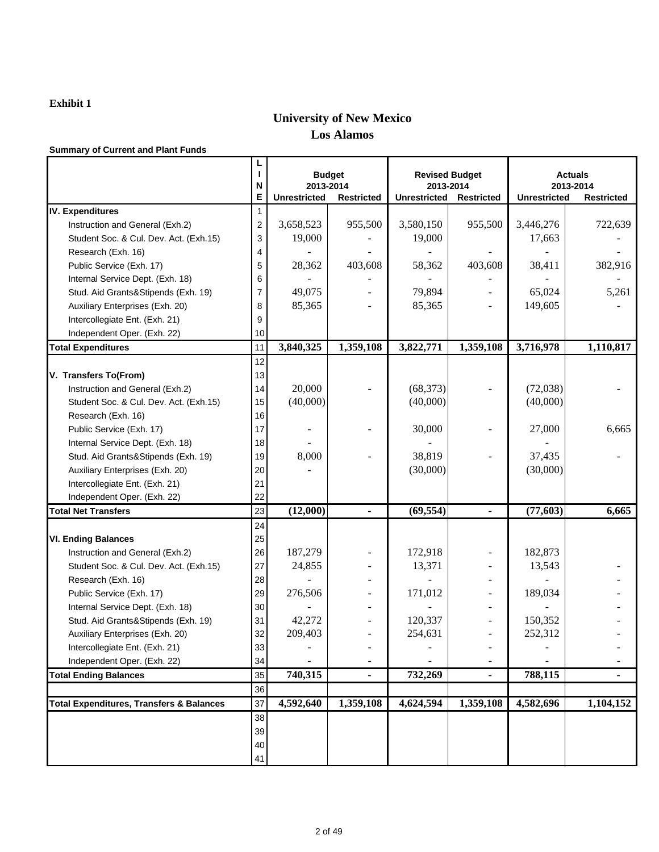## **Los Alamos University of New Mexico**

#### **Summary of Current and Plant Funds**

|                                                     | N              | <b>Budget</b><br>2013-2014 |                   | <b>Revised Budget</b><br>2013-2014 |                   | <b>Actuals</b><br>2013-2014 |                   |
|-----------------------------------------------------|----------------|----------------------------|-------------------|------------------------------------|-------------------|-----------------------------|-------------------|
|                                                     | E.             | <b>Unrestricted</b>        | <b>Restricted</b> | <b>Unrestricted</b>                | <b>Restricted</b> | <b>Unrestricted</b>         | <b>Restricted</b> |
| <b>IV. Expenditures</b>                             |                |                            |                   |                                    |                   |                             |                   |
| Instruction and General (Exh.2)                     | $\overline{c}$ | 3,658,523                  | 955,500           | 3,580,150                          | 955,500           | 3,446,276                   | 722,639           |
| Student Soc. & Cul. Dev. Act. (Exh.15)              | 3              | 19,000                     |                   | 19,000                             |                   | 17,663                      |                   |
| Research (Exh. 16)                                  | 4              |                            |                   |                                    |                   |                             |                   |
| Public Service (Exh. 17)                            | 5              | 28,362                     | 403,608           | 58,362                             | 403,608           | 38,411                      | 382,916           |
| Internal Service Dept. (Exh. 18)                    | 6              |                            |                   |                                    |                   |                             |                   |
| Stud. Aid Grants&Stipends (Exh. 19)                 | 7              | 49,075                     |                   | 79,894                             |                   | 65,024                      | 5,261             |
| Auxiliary Enterprises (Exh. 20)                     | 8              | 85,365                     |                   | 85,365                             |                   | 149,605                     |                   |
| Intercollegiate Ent. (Exh. 21)                      | 9              |                            |                   |                                    |                   |                             |                   |
| Independent Oper. (Exh. 22)                         | 10             |                            |                   |                                    |                   |                             |                   |
| <b>Total Expenditures</b>                           | 11             | 3,840,325                  | 1,359,108         | 3,822,771                          | 1,359,108         | 3,716,978                   | 1,110,817         |
|                                                     | 12             |                            |                   |                                    |                   |                             |                   |
| V. Transfers To(From)                               | 13             |                            |                   |                                    |                   |                             |                   |
| Instruction and General (Exh.2)                     | 14             | 20,000                     |                   | (68, 373)                          |                   | (72,038)                    |                   |
| Student Soc. & Cul. Dev. Act. (Exh.15)              | 15             | (40,000)                   |                   | (40,000)                           |                   | (40,000)                    |                   |
| Research (Exh. 16)                                  | 16             |                            |                   |                                    |                   |                             |                   |
| Public Service (Exh. 17)                            | 17             |                            |                   | 30,000                             |                   | 27,000                      | 6,665             |
| Internal Service Dept. (Exh. 18)                    | 18             |                            |                   |                                    |                   |                             |                   |
| Stud. Aid Grants&Stipends (Exh. 19)                 | 19             | 8,000                      |                   | 38,819                             |                   | 37,435                      |                   |
| Auxiliary Enterprises (Exh. 20)                     | 20             |                            |                   | (30,000)                           |                   | (30,000)                    |                   |
| Intercollegiate Ent. (Exh. 21)                      | 21             |                            |                   |                                    |                   |                             |                   |
| Independent Oper. (Exh. 22)                         | 22             |                            |                   |                                    |                   |                             |                   |
| <b>Total Net Transfers</b>                          | 23             | (12,000)                   |                   | (69, 554)                          | $\blacksquare$    | (77, 603)                   | 6,665             |
|                                                     | 24             |                            |                   |                                    |                   |                             |                   |
| <b>VI. Ending Balances</b>                          | 25             |                            |                   |                                    |                   |                             |                   |
| Instruction and General (Exh.2)                     | 26             | 187,279                    |                   | 172,918                            |                   | 182,873                     |                   |
| Student Soc. & Cul. Dev. Act. (Exh.15)              | 27             | 24,855                     |                   | 13,371                             |                   | 13,543                      |                   |
| Research (Exh. 16)                                  | 28             |                            |                   |                                    |                   |                             |                   |
| Public Service (Exh. 17)                            | 29             | 276,506                    |                   | 171,012                            |                   | 189,034                     |                   |
| Internal Service Dept. (Exh. 18)                    | 30             |                            |                   |                                    |                   |                             |                   |
| Stud. Aid Grants&Stipends (Exh. 19)                 | 31             | 42,272                     |                   | 120,337                            |                   | 150,352                     |                   |
| Auxiliary Enterprises (Exh. 20)                     | 32             | 209,403                    |                   | 254,631                            |                   | 252,312                     |                   |
| Intercollegiate Ent. (Exh. 21)                      | 33             |                            |                   |                                    |                   |                             |                   |
| Independent Oper. (Exh. 22)                         | 34             |                            |                   |                                    |                   |                             |                   |
| <b>Total Ending Balances</b>                        | 35             | 740,315                    | Ξ.                | 732,269                            | $\blacksquare$    | 788,115                     | $\blacksquare$    |
|                                                     | 36             |                            |                   |                                    |                   |                             |                   |
| <b>Total Expenditures, Transfers &amp; Balances</b> | 37             | 4,592,640                  | 1,359,108         | 4,624,594                          | 1,359,108         | 4,582,696                   | 1,104,152         |
|                                                     | 38             |                            |                   |                                    |                   |                             |                   |
|                                                     | 39             |                            |                   |                                    |                   |                             |                   |
|                                                     | 40             |                            |                   |                                    |                   |                             |                   |
|                                                     | 41             |                            |                   |                                    |                   |                             |                   |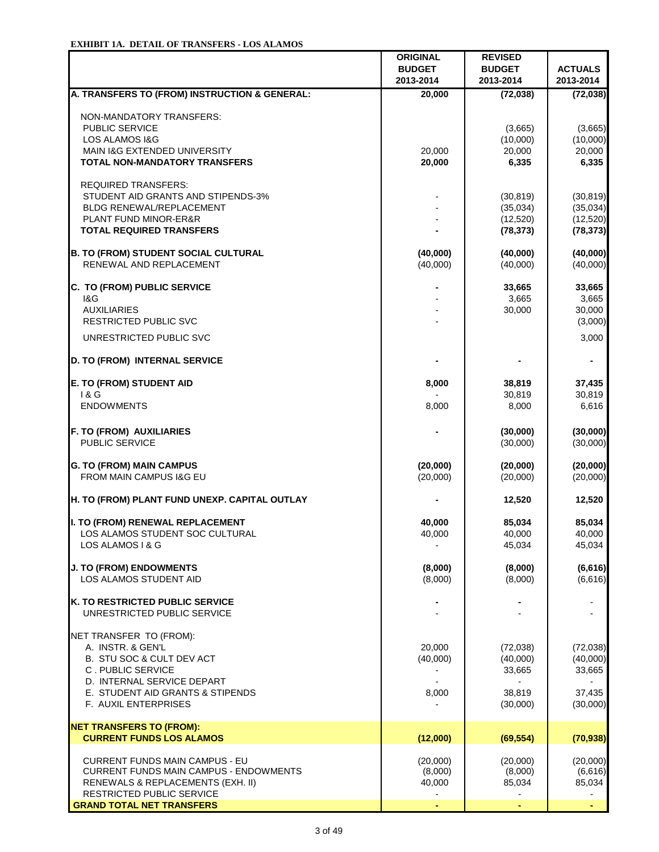#### **EXHIBIT 1A. DETAIL OF TRANSFERS - LOS ALAMOS**

| <b>BUDGET</b><br><b>BUDGET</b><br><b>ACTUALS</b><br>2013-2014<br>2013-2014<br>2013-2014<br>A. TRANSFERS TO (FROM) INSTRUCTION & GENERAL:<br>20,000<br>(72, 038)<br><b>NON-MANDATORY TRANSFERS:</b><br><b>PUBLIC SERVICE</b><br>(3,665)<br><b>LOS ALAMOS I&amp;G</b><br>(10,000)<br>MAIN I&G EXTENDED UNIVERSITY<br>20,000<br>20,000<br>20,000<br>20,000<br><b>TOTAL NON-MANDATORY TRANSFERS</b><br>6,335<br>6,335<br><b>REQUIRED TRANSFERS:</b><br>STUDENT AID GRANTS AND STIPENDS-3%<br>(30, 819)<br><b>BLDG RENEWAL/REPLACEMENT</b><br>(35,034)<br>PLANT FUND MINOR-ER&R<br>(12,520)<br><b>TOTAL REQUIRED TRANSFERS</b><br>(78, 373)<br><b>B. TO (FROM) STUDENT SOCIAL CULTURAL</b><br>(40,000)<br>(40,000)<br>RENEWAL AND REPLACEMENT<br>(40,000)<br>(40,000)<br>C. TO (FROM) PUBLIC SERVICE<br>33,665<br>33,665<br>18G<br>3,665<br>3,665<br><b>AUXILIARIES</b><br>30,000<br>30,000<br><b>RESTRICTED PUBLIC SVC</b><br>3,000<br>UNRESTRICTED PUBLIC SVC<br>D. TO (FROM) INTERNAL SERVICE<br><b>E. TO (FROM) STUDENT AID</b><br>8,000<br>38,819<br>37,435<br>1&6<br>30,819<br>30,819<br><b>ENDOWMENTS</b><br>8,000<br>8,000<br>6,616<br><b>F. TO (FROM) AUXILIARIES</b><br>(30,000)<br><b>PUBLIC SERVICE</b><br>(30,000)<br><b>G. TO (FROM) MAIN CAMPUS</b><br>(20,000)<br>(20,000)<br><b>FROM MAIN CAMPUS I&amp;G EU</b><br>(20,000)<br>(20,000)<br>H. TO (FROM) PLANT FUND UNEXP. CAPITAL OUTLAY<br>12,520<br>12,520<br>I. TO (FROM) RENEWAL REPLACEMENT<br>40,000<br>85,034<br>85,034<br>LOS ALAMOS STUDENT SOC CULTURAL<br>40,000<br>40,000<br>40,000<br>LOS ALAMOS I & G<br>45,034<br>45,034<br><b>J. TO (FROM) ENDOWMENTS</b><br>(8,000)<br>(8,000)<br>LOS ALAMOS STUDENT AID<br>(8,000)<br>(8,000)<br><b>K. TO RESTRICTED PUBLIC SERVICE</b><br>UNRESTRICTED PUBLIC SERVICE<br>NET TRANSFER TO (FROM):<br>A. INSTR. & GEN'L<br>20,000<br>(72,038)<br>B. STU SOC & CULT DEV ACT<br>(40,000)<br>(40,000)<br><b>C. PUBLIC SERVICE</b><br>33,665<br>33,665<br>D. INTERNAL SERVICE DEPART<br>E. STUDENT AID GRANTS & STIPENDS<br>8,000<br>38,819<br>37,435<br>F. AUXIL ENTERPRISES<br>(30,000)<br><b>NET TRANSFERS TO (FROM):</b><br><b>CURRENT FUNDS LOS ALAMOS</b><br>(12,000)<br>(69, 554)<br><b>CURRENT FUNDS MAIN CAMPUS - EU</b><br>(20,000)<br>(20,000)<br><b>CURRENT FUNDS MAIN CAMPUS - ENDOWMENTS</b><br>(8,000)<br>(8,000)<br>RENEWALS & REPLACEMENTS (EXH. II)<br>85,034<br>40,000<br><b>RESTRICTED PUBLIC SERVICE</b><br><b>GRAND TOTAL NET TRANSFERS</b> | <b>ORIGINAL</b> | <b>REVISED</b> |  |
|----------------------------------------------------------------------------------------------------------------------------------------------------------------------------------------------------------------------------------------------------------------------------------------------------------------------------------------------------------------------------------------------------------------------------------------------------------------------------------------------------------------------------------------------------------------------------------------------------------------------------------------------------------------------------------------------------------------------------------------------------------------------------------------------------------------------------------------------------------------------------------------------------------------------------------------------------------------------------------------------------------------------------------------------------------------------------------------------------------------------------------------------------------------------------------------------------------------------------------------------------------------------------------------------------------------------------------------------------------------------------------------------------------------------------------------------------------------------------------------------------------------------------------------------------------------------------------------------------------------------------------------------------------------------------------------------------------------------------------------------------------------------------------------------------------------------------------------------------------------------------------------------------------------------------------------------------------------------------------------------------------------------------------------------------------------------------------------------------------------------------------------------------------------------------------------------------------------------------------------------------------------------------------------------------------------------------------------------------------------------------------------------------------------------------------------------------------------------------|-----------------|----------------|--|
| (72, 038)<br>(3,000)<br>85,034                                                                                                                                                                                                                                                                                                                                                                                                                                                                                                                                                                                                                                                                                                                                                                                                                                                                                                                                                                                                                                                                                                                                                                                                                                                                                                                                                                                                                                                                                                                                                                                                                                                                                                                                                                                                                                                                                                                                                                                                                                                                                                                                                                                                                                                                                                                                                                                                                                             |                 |                |  |
| (3,665)                                                                                                                                                                                                                                                                                                                                                                                                                                                                                                                                                                                                                                                                                                                                                                                                                                                                                                                                                                                                                                                                                                                                                                                                                                                                                                                                                                                                                                                                                                                                                                                                                                                                                                                                                                                                                                                                                                                                                                                                                                                                                                                                                                                                                                                                                                                                                                                                                                                                    |                 |                |  |
|                                                                                                                                                                                                                                                                                                                                                                                                                                                                                                                                                                                                                                                                                                                                                                                                                                                                                                                                                                                                                                                                                                                                                                                                                                                                                                                                                                                                                                                                                                                                                                                                                                                                                                                                                                                                                                                                                                                                                                                                                                                                                                                                                                                                                                                                                                                                                                                                                                                                            |                 |                |  |
|                                                                                                                                                                                                                                                                                                                                                                                                                                                                                                                                                                                                                                                                                                                                                                                                                                                                                                                                                                                                                                                                                                                                                                                                                                                                                                                                                                                                                                                                                                                                                                                                                                                                                                                                                                                                                                                                                                                                                                                                                                                                                                                                                                                                                                                                                                                                                                                                                                                                            |                 |                |  |
| (10,000)                                                                                                                                                                                                                                                                                                                                                                                                                                                                                                                                                                                                                                                                                                                                                                                                                                                                                                                                                                                                                                                                                                                                                                                                                                                                                                                                                                                                                                                                                                                                                                                                                                                                                                                                                                                                                                                                                                                                                                                                                                                                                                                                                                                                                                                                                                                                                                                                                                                                   |                 |                |  |
|                                                                                                                                                                                                                                                                                                                                                                                                                                                                                                                                                                                                                                                                                                                                                                                                                                                                                                                                                                                                                                                                                                                                                                                                                                                                                                                                                                                                                                                                                                                                                                                                                                                                                                                                                                                                                                                                                                                                                                                                                                                                                                                                                                                                                                                                                                                                                                                                                                                                            |                 |                |  |
|                                                                                                                                                                                                                                                                                                                                                                                                                                                                                                                                                                                                                                                                                                                                                                                                                                                                                                                                                                                                                                                                                                                                                                                                                                                                                                                                                                                                                                                                                                                                                                                                                                                                                                                                                                                                                                                                                                                                                                                                                                                                                                                                                                                                                                                                                                                                                                                                                                                                            |                 |                |  |
| (30, 819)<br>(35,034)<br>(12, 520)<br>(78, 373)<br>(40,000)<br>(40,000)<br>(30,000)<br>(30,000)<br>(20,000)<br>(20,000)<br>(6, 616)<br>(6,616)<br>(72,038)<br>(40,000)<br>(30,000)<br>(70, 938)<br>(20,000)<br>(6,616)                                                                                                                                                                                                                                                                                                                                                                                                                                                                                                                                                                                                                                                                                                                                                                                                                                                                                                                                                                                                                                                                                                                                                                                                                                                                                                                                                                                                                                                                                                                                                                                                                                                                                                                                                                                                                                                                                                                                                                                                                                                                                                                                                                                                                                                     |                 |                |  |
|                                                                                                                                                                                                                                                                                                                                                                                                                                                                                                                                                                                                                                                                                                                                                                                                                                                                                                                                                                                                                                                                                                                                                                                                                                                                                                                                                                                                                                                                                                                                                                                                                                                                                                                                                                                                                                                                                                                                                                                                                                                                                                                                                                                                                                                                                                                                                                                                                                                                            |                 |                |  |
|                                                                                                                                                                                                                                                                                                                                                                                                                                                                                                                                                                                                                                                                                                                                                                                                                                                                                                                                                                                                                                                                                                                                                                                                                                                                                                                                                                                                                                                                                                                                                                                                                                                                                                                                                                                                                                                                                                                                                                                                                                                                                                                                                                                                                                                                                                                                                                                                                                                                            |                 |                |  |
|                                                                                                                                                                                                                                                                                                                                                                                                                                                                                                                                                                                                                                                                                                                                                                                                                                                                                                                                                                                                                                                                                                                                                                                                                                                                                                                                                                                                                                                                                                                                                                                                                                                                                                                                                                                                                                                                                                                                                                                                                                                                                                                                                                                                                                                                                                                                                                                                                                                                            |                 |                |  |
|                                                                                                                                                                                                                                                                                                                                                                                                                                                                                                                                                                                                                                                                                                                                                                                                                                                                                                                                                                                                                                                                                                                                                                                                                                                                                                                                                                                                                                                                                                                                                                                                                                                                                                                                                                                                                                                                                                                                                                                                                                                                                                                                                                                                                                                                                                                                                                                                                                                                            |                 |                |  |
|                                                                                                                                                                                                                                                                                                                                                                                                                                                                                                                                                                                                                                                                                                                                                                                                                                                                                                                                                                                                                                                                                                                                                                                                                                                                                                                                                                                                                                                                                                                                                                                                                                                                                                                                                                                                                                                                                                                                                                                                                                                                                                                                                                                                                                                                                                                                                                                                                                                                            |                 |                |  |
|                                                                                                                                                                                                                                                                                                                                                                                                                                                                                                                                                                                                                                                                                                                                                                                                                                                                                                                                                                                                                                                                                                                                                                                                                                                                                                                                                                                                                                                                                                                                                                                                                                                                                                                                                                                                                                                                                                                                                                                                                                                                                                                                                                                                                                                                                                                                                                                                                                                                            |                 |                |  |
|                                                                                                                                                                                                                                                                                                                                                                                                                                                                                                                                                                                                                                                                                                                                                                                                                                                                                                                                                                                                                                                                                                                                                                                                                                                                                                                                                                                                                                                                                                                                                                                                                                                                                                                                                                                                                                                                                                                                                                                                                                                                                                                                                                                                                                                                                                                                                                                                                                                                            |                 |                |  |
|                                                                                                                                                                                                                                                                                                                                                                                                                                                                                                                                                                                                                                                                                                                                                                                                                                                                                                                                                                                                                                                                                                                                                                                                                                                                                                                                                                                                                                                                                                                                                                                                                                                                                                                                                                                                                                                                                                                                                                                                                                                                                                                                                                                                                                                                                                                                                                                                                                                                            |                 |                |  |
|                                                                                                                                                                                                                                                                                                                                                                                                                                                                                                                                                                                                                                                                                                                                                                                                                                                                                                                                                                                                                                                                                                                                                                                                                                                                                                                                                                                                                                                                                                                                                                                                                                                                                                                                                                                                                                                                                                                                                                                                                                                                                                                                                                                                                                                                                                                                                                                                                                                                            |                 |                |  |
|                                                                                                                                                                                                                                                                                                                                                                                                                                                                                                                                                                                                                                                                                                                                                                                                                                                                                                                                                                                                                                                                                                                                                                                                                                                                                                                                                                                                                                                                                                                                                                                                                                                                                                                                                                                                                                                                                                                                                                                                                                                                                                                                                                                                                                                                                                                                                                                                                                                                            |                 |                |  |
|                                                                                                                                                                                                                                                                                                                                                                                                                                                                                                                                                                                                                                                                                                                                                                                                                                                                                                                                                                                                                                                                                                                                                                                                                                                                                                                                                                                                                                                                                                                                                                                                                                                                                                                                                                                                                                                                                                                                                                                                                                                                                                                                                                                                                                                                                                                                                                                                                                                                            |                 |                |  |
|                                                                                                                                                                                                                                                                                                                                                                                                                                                                                                                                                                                                                                                                                                                                                                                                                                                                                                                                                                                                                                                                                                                                                                                                                                                                                                                                                                                                                                                                                                                                                                                                                                                                                                                                                                                                                                                                                                                                                                                                                                                                                                                                                                                                                                                                                                                                                                                                                                                                            |                 |                |  |
|                                                                                                                                                                                                                                                                                                                                                                                                                                                                                                                                                                                                                                                                                                                                                                                                                                                                                                                                                                                                                                                                                                                                                                                                                                                                                                                                                                                                                                                                                                                                                                                                                                                                                                                                                                                                                                                                                                                                                                                                                                                                                                                                                                                                                                                                                                                                                                                                                                                                            |                 |                |  |
|                                                                                                                                                                                                                                                                                                                                                                                                                                                                                                                                                                                                                                                                                                                                                                                                                                                                                                                                                                                                                                                                                                                                                                                                                                                                                                                                                                                                                                                                                                                                                                                                                                                                                                                                                                                                                                                                                                                                                                                                                                                                                                                                                                                                                                                                                                                                                                                                                                                                            |                 |                |  |
|                                                                                                                                                                                                                                                                                                                                                                                                                                                                                                                                                                                                                                                                                                                                                                                                                                                                                                                                                                                                                                                                                                                                                                                                                                                                                                                                                                                                                                                                                                                                                                                                                                                                                                                                                                                                                                                                                                                                                                                                                                                                                                                                                                                                                                                                                                                                                                                                                                                                            |                 |                |  |
|                                                                                                                                                                                                                                                                                                                                                                                                                                                                                                                                                                                                                                                                                                                                                                                                                                                                                                                                                                                                                                                                                                                                                                                                                                                                                                                                                                                                                                                                                                                                                                                                                                                                                                                                                                                                                                                                                                                                                                                                                                                                                                                                                                                                                                                                                                                                                                                                                                                                            |                 |                |  |
|                                                                                                                                                                                                                                                                                                                                                                                                                                                                                                                                                                                                                                                                                                                                                                                                                                                                                                                                                                                                                                                                                                                                                                                                                                                                                                                                                                                                                                                                                                                                                                                                                                                                                                                                                                                                                                                                                                                                                                                                                                                                                                                                                                                                                                                                                                                                                                                                                                                                            |                 |                |  |
|                                                                                                                                                                                                                                                                                                                                                                                                                                                                                                                                                                                                                                                                                                                                                                                                                                                                                                                                                                                                                                                                                                                                                                                                                                                                                                                                                                                                                                                                                                                                                                                                                                                                                                                                                                                                                                                                                                                                                                                                                                                                                                                                                                                                                                                                                                                                                                                                                                                                            |                 |                |  |
|                                                                                                                                                                                                                                                                                                                                                                                                                                                                                                                                                                                                                                                                                                                                                                                                                                                                                                                                                                                                                                                                                                                                                                                                                                                                                                                                                                                                                                                                                                                                                                                                                                                                                                                                                                                                                                                                                                                                                                                                                                                                                                                                                                                                                                                                                                                                                                                                                                                                            |                 |                |  |
|                                                                                                                                                                                                                                                                                                                                                                                                                                                                                                                                                                                                                                                                                                                                                                                                                                                                                                                                                                                                                                                                                                                                                                                                                                                                                                                                                                                                                                                                                                                                                                                                                                                                                                                                                                                                                                                                                                                                                                                                                                                                                                                                                                                                                                                                                                                                                                                                                                                                            |                 |                |  |
|                                                                                                                                                                                                                                                                                                                                                                                                                                                                                                                                                                                                                                                                                                                                                                                                                                                                                                                                                                                                                                                                                                                                                                                                                                                                                                                                                                                                                                                                                                                                                                                                                                                                                                                                                                                                                                                                                                                                                                                                                                                                                                                                                                                                                                                                                                                                                                                                                                                                            |                 |                |  |
|                                                                                                                                                                                                                                                                                                                                                                                                                                                                                                                                                                                                                                                                                                                                                                                                                                                                                                                                                                                                                                                                                                                                                                                                                                                                                                                                                                                                                                                                                                                                                                                                                                                                                                                                                                                                                                                                                                                                                                                                                                                                                                                                                                                                                                                                                                                                                                                                                                                                            |                 |                |  |
|                                                                                                                                                                                                                                                                                                                                                                                                                                                                                                                                                                                                                                                                                                                                                                                                                                                                                                                                                                                                                                                                                                                                                                                                                                                                                                                                                                                                                                                                                                                                                                                                                                                                                                                                                                                                                                                                                                                                                                                                                                                                                                                                                                                                                                                                                                                                                                                                                                                                            |                 |                |  |
|                                                                                                                                                                                                                                                                                                                                                                                                                                                                                                                                                                                                                                                                                                                                                                                                                                                                                                                                                                                                                                                                                                                                                                                                                                                                                                                                                                                                                                                                                                                                                                                                                                                                                                                                                                                                                                                                                                                                                                                                                                                                                                                                                                                                                                                                                                                                                                                                                                                                            |                 |                |  |
|                                                                                                                                                                                                                                                                                                                                                                                                                                                                                                                                                                                                                                                                                                                                                                                                                                                                                                                                                                                                                                                                                                                                                                                                                                                                                                                                                                                                                                                                                                                                                                                                                                                                                                                                                                                                                                                                                                                                                                                                                                                                                                                                                                                                                                                                                                                                                                                                                                                                            |                 |                |  |
|                                                                                                                                                                                                                                                                                                                                                                                                                                                                                                                                                                                                                                                                                                                                                                                                                                                                                                                                                                                                                                                                                                                                                                                                                                                                                                                                                                                                                                                                                                                                                                                                                                                                                                                                                                                                                                                                                                                                                                                                                                                                                                                                                                                                                                                                                                                                                                                                                                                                            |                 |                |  |
|                                                                                                                                                                                                                                                                                                                                                                                                                                                                                                                                                                                                                                                                                                                                                                                                                                                                                                                                                                                                                                                                                                                                                                                                                                                                                                                                                                                                                                                                                                                                                                                                                                                                                                                                                                                                                                                                                                                                                                                                                                                                                                                                                                                                                                                                                                                                                                                                                                                                            |                 |                |  |
|                                                                                                                                                                                                                                                                                                                                                                                                                                                                                                                                                                                                                                                                                                                                                                                                                                                                                                                                                                                                                                                                                                                                                                                                                                                                                                                                                                                                                                                                                                                                                                                                                                                                                                                                                                                                                                                                                                                                                                                                                                                                                                                                                                                                                                                                                                                                                                                                                                                                            |                 |                |  |
|                                                                                                                                                                                                                                                                                                                                                                                                                                                                                                                                                                                                                                                                                                                                                                                                                                                                                                                                                                                                                                                                                                                                                                                                                                                                                                                                                                                                                                                                                                                                                                                                                                                                                                                                                                                                                                                                                                                                                                                                                                                                                                                                                                                                                                                                                                                                                                                                                                                                            |                 |                |  |
|                                                                                                                                                                                                                                                                                                                                                                                                                                                                                                                                                                                                                                                                                                                                                                                                                                                                                                                                                                                                                                                                                                                                                                                                                                                                                                                                                                                                                                                                                                                                                                                                                                                                                                                                                                                                                                                                                                                                                                                                                                                                                                                                                                                                                                                                                                                                                                                                                                                                            |                 |                |  |
|                                                                                                                                                                                                                                                                                                                                                                                                                                                                                                                                                                                                                                                                                                                                                                                                                                                                                                                                                                                                                                                                                                                                                                                                                                                                                                                                                                                                                                                                                                                                                                                                                                                                                                                                                                                                                                                                                                                                                                                                                                                                                                                                                                                                                                                                                                                                                                                                                                                                            |                 |                |  |
|                                                                                                                                                                                                                                                                                                                                                                                                                                                                                                                                                                                                                                                                                                                                                                                                                                                                                                                                                                                                                                                                                                                                                                                                                                                                                                                                                                                                                                                                                                                                                                                                                                                                                                                                                                                                                                                                                                                                                                                                                                                                                                                                                                                                                                                                                                                                                                                                                                                                            |                 |                |  |
|                                                                                                                                                                                                                                                                                                                                                                                                                                                                                                                                                                                                                                                                                                                                                                                                                                                                                                                                                                                                                                                                                                                                                                                                                                                                                                                                                                                                                                                                                                                                                                                                                                                                                                                                                                                                                                                                                                                                                                                                                                                                                                                                                                                                                                                                                                                                                                                                                                                                            |                 |                |  |
|                                                                                                                                                                                                                                                                                                                                                                                                                                                                                                                                                                                                                                                                                                                                                                                                                                                                                                                                                                                                                                                                                                                                                                                                                                                                                                                                                                                                                                                                                                                                                                                                                                                                                                                                                                                                                                                                                                                                                                                                                                                                                                                                                                                                                                                                                                                                                                                                                                                                            |                 |                |  |
|                                                                                                                                                                                                                                                                                                                                                                                                                                                                                                                                                                                                                                                                                                                                                                                                                                                                                                                                                                                                                                                                                                                                                                                                                                                                                                                                                                                                                                                                                                                                                                                                                                                                                                                                                                                                                                                                                                                                                                                                                                                                                                                                                                                                                                                                                                                                                                                                                                                                            |                 |                |  |
|                                                                                                                                                                                                                                                                                                                                                                                                                                                                                                                                                                                                                                                                                                                                                                                                                                                                                                                                                                                                                                                                                                                                                                                                                                                                                                                                                                                                                                                                                                                                                                                                                                                                                                                                                                                                                                                                                                                                                                                                                                                                                                                                                                                                                                                                                                                                                                                                                                                                            |                 |                |  |
|                                                                                                                                                                                                                                                                                                                                                                                                                                                                                                                                                                                                                                                                                                                                                                                                                                                                                                                                                                                                                                                                                                                                                                                                                                                                                                                                                                                                                                                                                                                                                                                                                                                                                                                                                                                                                                                                                                                                                                                                                                                                                                                                                                                                                                                                                                                                                                                                                                                                            |                 |                |  |
|                                                                                                                                                                                                                                                                                                                                                                                                                                                                                                                                                                                                                                                                                                                                                                                                                                                                                                                                                                                                                                                                                                                                                                                                                                                                                                                                                                                                                                                                                                                                                                                                                                                                                                                                                                                                                                                                                                                                                                                                                                                                                                                                                                                                                                                                                                                                                                                                                                                                            |                 |                |  |
|                                                                                                                                                                                                                                                                                                                                                                                                                                                                                                                                                                                                                                                                                                                                                                                                                                                                                                                                                                                                                                                                                                                                                                                                                                                                                                                                                                                                                                                                                                                                                                                                                                                                                                                                                                                                                                                                                                                                                                                                                                                                                                                                                                                                                                                                                                                                                                                                                                                                            |                 |                |  |
|                                                                                                                                                                                                                                                                                                                                                                                                                                                                                                                                                                                                                                                                                                                                                                                                                                                                                                                                                                                                                                                                                                                                                                                                                                                                                                                                                                                                                                                                                                                                                                                                                                                                                                                                                                                                                                                                                                                                                                                                                                                                                                                                                                                                                                                                                                                                                                                                                                                                            |                 |                |  |
|                                                                                                                                                                                                                                                                                                                                                                                                                                                                                                                                                                                                                                                                                                                                                                                                                                                                                                                                                                                                                                                                                                                                                                                                                                                                                                                                                                                                                                                                                                                                                                                                                                                                                                                                                                                                                                                                                                                                                                                                                                                                                                                                                                                                                                                                                                                                                                                                                                                                            |                 |                |  |
|                                                                                                                                                                                                                                                                                                                                                                                                                                                                                                                                                                                                                                                                                                                                                                                                                                                                                                                                                                                                                                                                                                                                                                                                                                                                                                                                                                                                                                                                                                                                                                                                                                                                                                                                                                                                                                                                                                                                                                                                                                                                                                                                                                                                                                                                                                                                                                                                                                                                            |                 |                |  |
|                                                                                                                                                                                                                                                                                                                                                                                                                                                                                                                                                                                                                                                                                                                                                                                                                                                                                                                                                                                                                                                                                                                                                                                                                                                                                                                                                                                                                                                                                                                                                                                                                                                                                                                                                                                                                                                                                                                                                                                                                                                                                                                                                                                                                                                                                                                                                                                                                                                                            |                 |                |  |
|                                                                                                                                                                                                                                                                                                                                                                                                                                                                                                                                                                                                                                                                                                                                                                                                                                                                                                                                                                                                                                                                                                                                                                                                                                                                                                                                                                                                                                                                                                                                                                                                                                                                                                                                                                                                                                                                                                                                                                                                                                                                                                                                                                                                                                                                                                                                                                                                                                                                            |                 |                |  |
|                                                                                                                                                                                                                                                                                                                                                                                                                                                                                                                                                                                                                                                                                                                                                                                                                                                                                                                                                                                                                                                                                                                                                                                                                                                                                                                                                                                                                                                                                                                                                                                                                                                                                                                                                                                                                                                                                                                                                                                                                                                                                                                                                                                                                                                                                                                                                                                                                                                                            |                 |                |  |
|                                                                                                                                                                                                                                                                                                                                                                                                                                                                                                                                                                                                                                                                                                                                                                                                                                                                                                                                                                                                                                                                                                                                                                                                                                                                                                                                                                                                                                                                                                                                                                                                                                                                                                                                                                                                                                                                                                                                                                                                                                                                                                                                                                                                                                                                                                                                                                                                                                                                            |                 |                |  |
|                                                                                                                                                                                                                                                                                                                                                                                                                                                                                                                                                                                                                                                                                                                                                                                                                                                                                                                                                                                                                                                                                                                                                                                                                                                                                                                                                                                                                                                                                                                                                                                                                                                                                                                                                                                                                                                                                                                                                                                                                                                                                                                                                                                                                                                                                                                                                                                                                                                                            |                 |                |  |
|                                                                                                                                                                                                                                                                                                                                                                                                                                                                                                                                                                                                                                                                                                                                                                                                                                                                                                                                                                                                                                                                                                                                                                                                                                                                                                                                                                                                                                                                                                                                                                                                                                                                                                                                                                                                                                                                                                                                                                                                                                                                                                                                                                                                                                                                                                                                                                                                                                                                            |                 |                |  |
|                                                                                                                                                                                                                                                                                                                                                                                                                                                                                                                                                                                                                                                                                                                                                                                                                                                                                                                                                                                                                                                                                                                                                                                                                                                                                                                                                                                                                                                                                                                                                                                                                                                                                                                                                                                                                                                                                                                                                                                                                                                                                                                                                                                                                                                                                                                                                                                                                                                                            |                 |                |  |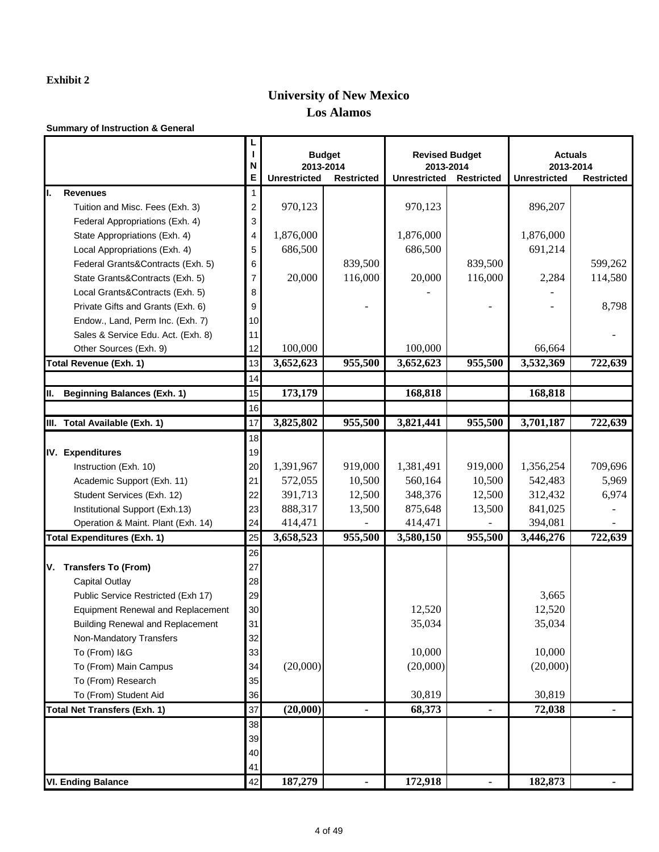## **University of New Mexico Los Alamos**

### **Summary of Instruction & General**

|                                          | N              | 2013-2014           | <b>Budget</b>     | <b>Revised Budget</b><br>2013-2014 |                   | <b>Actuals</b><br>2013-2014 |                   |
|------------------------------------------|----------------|---------------------|-------------------|------------------------------------|-------------------|-----------------------------|-------------------|
|                                          | E              | <b>Unrestricted</b> | <b>Restricted</b> | <b>Unrestricted</b>                | <b>Restricted</b> | <b>Unrestricted</b>         | <b>Restricted</b> |
| <b>Revenues</b><br>Ι.                    |                |                     |                   |                                    |                   |                             |                   |
| Tuition and Misc. Fees (Exh. 3)          | $\overline{2}$ | 970,123             |                   | 970,123                            |                   | 896,207                     |                   |
| Federal Appropriations (Exh. 4)          | 3              |                     |                   |                                    |                   |                             |                   |
| State Appropriations (Exh. 4)            | 4              | 1,876,000           |                   | 1,876,000                          |                   | 1,876,000                   |                   |
| Local Appropriations (Exh. 4)            | 5              | 686,500             |                   | 686,500                            |                   | 691,214                     |                   |
| Federal Grants&Contracts (Exh. 5)        | 6              |                     | 839,500           |                                    | 839,500           |                             | 599,262           |
| State Grants&Contracts (Exh. 5)          | $\overline{7}$ | 20,000              | 116,000           | 20,000                             | 116,000           | 2,284                       | 114,580           |
| Local Grants&Contracts (Exh. 5)          | 8              |                     |                   |                                    |                   |                             |                   |
| Private Gifts and Grants (Exh. 6)        | 9              |                     |                   |                                    |                   |                             | 8,798             |
| Endow., Land, Perm Inc. (Exh. 7)         | 10             |                     |                   |                                    |                   |                             |                   |
| Sales & Service Edu. Act. (Exh. 8)       | 11             |                     |                   |                                    |                   |                             |                   |
| Other Sources (Exh. 9)                   | 12             | 100,000             |                   | 100,000                            |                   | 66,664                      |                   |
| <b>Total Revenue (Exh. 1)</b>            | 13             | 3,652,623           | 955,500           | 3,652,623                          | 955,500           | 3,532,369                   | 722,639           |
|                                          | 14             |                     |                   |                                    |                   |                             |                   |
| <b>Beginning Balances (Exh. 1)</b><br>Ш. | 15             | 173,179             |                   | 168,818                            |                   | 168,818                     |                   |
|                                          | 16             |                     |                   |                                    |                   |                             |                   |
| III. Total Available (Exh. 1)            | 17             | 3,825,802           | 955,500           | 3,821,441                          | 955,500           | 3,701,187                   | 722,639           |
|                                          | 18             |                     |                   |                                    |                   |                             |                   |
| <b>IV.</b> Expenditures                  | 19             |                     |                   |                                    |                   |                             |                   |
| Instruction (Exh. 10)                    | 20             | 1,391,967           | 919,000           | 1,381,491                          | 919,000           | 1,356,254                   | 709,696           |
| Academic Support (Exh. 11)               | 21             | 572,055             | 10,500            | 560,164                            | 10,500            | 542,483                     | 5,969             |
| Student Services (Exh. 12)               | 22             | 391,713             | 12,500            | 348,376                            | 12,500            | 312,432                     | 6,974             |
| Institutional Support (Exh.13)           | 23             | 888,317             | 13,500            | 875,648                            | 13,500            | 841,025                     |                   |
| Operation & Maint. Plant (Exh. 14)       | 24             | 414,471             |                   | 414,471                            |                   | 394,081                     |                   |
| <b>Total Expenditures (Exh. 1)</b>       | 25             | 3,658,523           | 955,500           | 3,580,150                          | 955,500           | 3,446,276                   | 722,639           |
|                                          | 26             |                     |                   |                                    |                   |                             |                   |
| V. Transfers To (From)                   | 27             |                     |                   |                                    |                   |                             |                   |
| <b>Capital Outlay</b>                    | 28             |                     |                   |                                    |                   |                             |                   |
| Public Service Restricted (Exh 17)       | 29             |                     |                   |                                    |                   | 3,665                       |                   |
| <b>Equipment Renewal and Replacement</b> | 30             |                     |                   | 12,520                             |                   | 12,520                      |                   |
| <b>Building Renewal and Replacement</b>  | 31             |                     |                   | 35,034                             |                   | 35,034                      |                   |
| Non-Mandatory Transfers                  | 32             |                     |                   |                                    |                   |                             |                   |
| To (From) I&G                            | 33             |                     |                   | 10,000                             |                   | 10,000                      |                   |
| To (From) Main Campus                    | 34             | (20,000)            |                   | (20,000)                           |                   | (20,000)                    |                   |
| To (From) Research                       | 35             |                     |                   |                                    |                   |                             |                   |
| To (From) Student Aid                    | 36             |                     |                   | 30,819                             |                   | 30,819                      |                   |
| <b>Total Net Transfers (Exh. 1)</b>      | 37             | (20,000)            |                   | 68,373                             | $\blacksquare$    | 72,038                      | $\blacksquare$    |
|                                          | 38             |                     |                   |                                    |                   |                             |                   |
|                                          | 39             |                     |                   |                                    |                   |                             |                   |
|                                          | 40             |                     |                   |                                    |                   |                             |                   |
|                                          | 41             |                     |                   |                                    |                   |                             |                   |
| <b>VI. Ending Balance</b>                | 42             | 187,279             | $\blacksquare$    | 172,918                            |                   | 182,873                     |                   |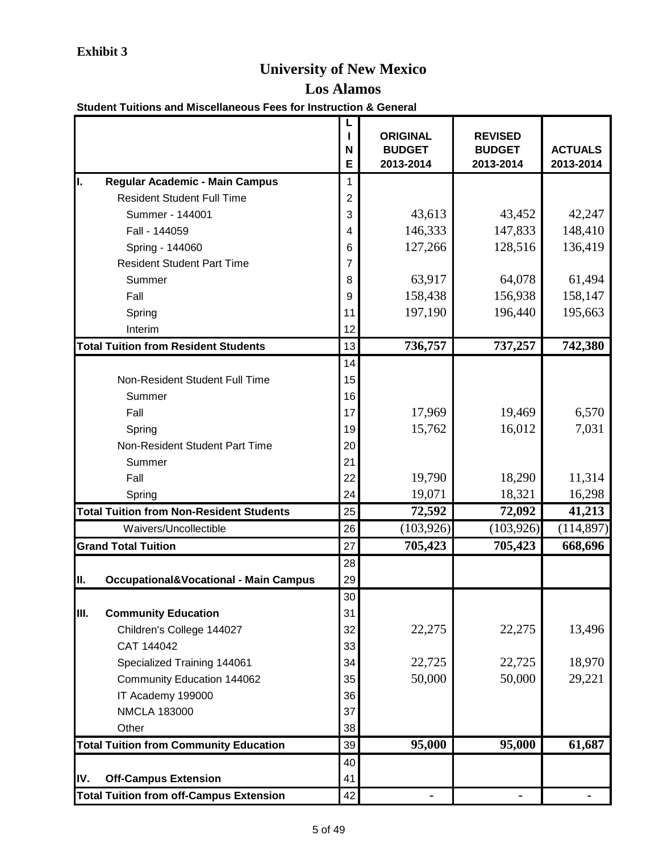## **University of New Mexico**

### **Los Alamos**

#### **Student Tuitions and Miscellaneous Fees for Instruction & General**

|                                                         | N  | <b>ORIGINAL</b><br><b>BUDGET</b> | <b>REVISED</b><br><b>BUDGET</b> | <b>ACTUALS</b> |
|---------------------------------------------------------|----|----------------------------------|---------------------------------|----------------|
|                                                         | E  | 2013-2014                        | 2013-2014                       | 2013-2014      |
| Regular Academic - Main Campus<br>I.                    | 1  |                                  |                                 |                |
| <b>Resident Student Full Time</b>                       | 2  |                                  |                                 |                |
| Summer - 144001                                         | 3  | 43,613                           | 43,452                          | 42,247         |
| Fall - 144059                                           | 4  | 146,333                          | 147,833                         | 148,410        |
| Spring - 144060                                         | 6  | 127,266                          | 128,516                         | 136,419        |
| <b>Resident Student Part Time</b>                       | 7  |                                  |                                 |                |
| Summer                                                  | 8  | 63,917                           | 64,078                          | 61,494         |
| Fall                                                    | 9  | 158,438                          | 156,938                         | 158,147        |
| Spring                                                  | 11 | 197,190                          | 196,440                         | 195,663        |
| Interim                                                 | 12 |                                  |                                 |                |
| <b>Total Tuition from Resident Students</b>             | 13 | 736,757                          | 737,257                         | 742,380        |
|                                                         | 14 |                                  |                                 |                |
| Non-Resident Student Full Time                          | 15 |                                  |                                 |                |
| Summer                                                  | 16 |                                  |                                 |                |
| Fall                                                    | 17 | 17,969                           | 19,469                          | 6,570          |
| Spring                                                  | 19 | 15,762                           | 16,012                          | 7,031          |
| Non-Resident Student Part Time                          | 20 |                                  |                                 |                |
| Summer                                                  | 21 |                                  |                                 |                |
| Fall                                                    | 22 | 19,790                           | 18,290                          | 11,314         |
| Spring                                                  | 24 | 19,071                           | 18,321                          | 16,298         |
| <b>Total Tuition from Non-Resident Students</b>         | 25 | 72,592                           | 72,092                          | 41,213         |
| Waivers/Uncollectible                                   | 26 | (103, 926)                       | (103, 926)                      | (114, 897)     |
| <b>Grand Total Tuition</b>                              | 27 | 705,423                          | 705,423                         | 668,696        |
|                                                         | 28 |                                  |                                 |                |
| <b>Occupational&amp;Vocational - Main Campus</b><br>II. | 29 |                                  |                                 |                |
|                                                         | 30 |                                  |                                 |                |
| III.<br><b>Community Education</b>                      | 31 |                                  |                                 |                |
| Children's College 144027                               | 32 | 22,275                           | 22,275                          | 13,496         |
| CAT 144042                                              | 33 |                                  |                                 |                |
| Specialized Training 144061                             | 34 | 22,725                           | 22,725                          | 18,970         |
| <b>Community Education 144062</b>                       | 35 | 50,000                           | 50,000                          | 29,221         |
| IT Academy 199000                                       | 36 |                                  |                                 |                |
| <b>NMCLA 183000</b>                                     | 37 |                                  |                                 |                |
| Other                                                   | 38 |                                  |                                 |                |
| <b>Total Tuition from Community Education</b>           | 39 | 95,000                           | 95,000                          | 61,687         |
|                                                         | 40 |                                  |                                 |                |
| <b>Off-Campus Extension</b><br>IV.                      | 41 |                                  |                                 |                |
| <b>Total Tuition from off-Campus Extension</b>          | 42 |                                  |                                 |                |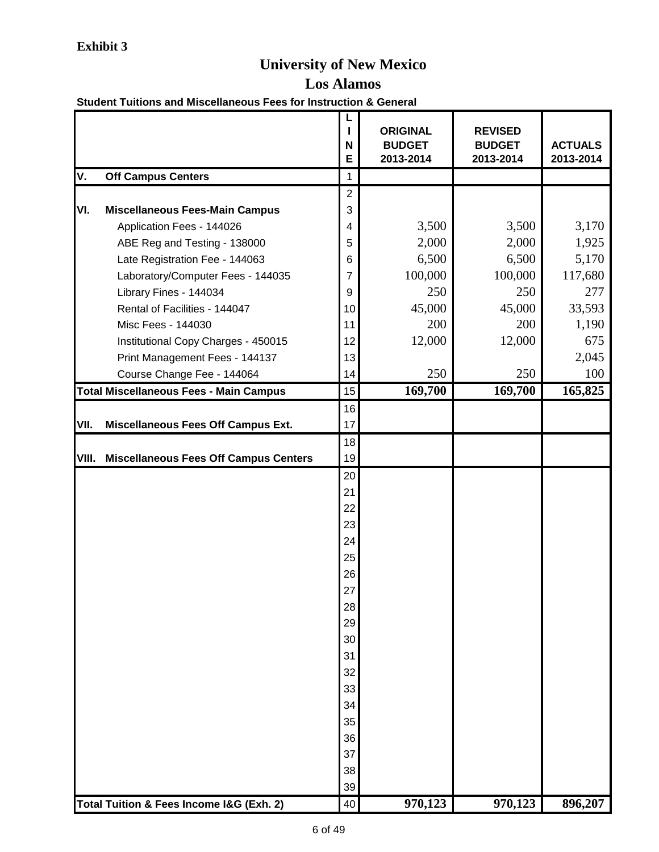## **University of New Mexico**

**Los Alamos**

#### **Student Tuitions and Miscellaneous Fees for Instruction & General**

|       |                                               | т<br>N<br>E    | <b>ORIGINAL</b><br><b>BUDGET</b><br>2013-2014 | <b>REVISED</b><br><b>BUDGET</b><br>2013-2014 | <b>ACTUALS</b><br>2013-2014 |
|-------|-----------------------------------------------|----------------|-----------------------------------------------|----------------------------------------------|-----------------------------|
| V.    | <b>Off Campus Centers</b>                     | 1              |                                               |                                              |                             |
|       |                                               | $\overline{c}$ |                                               |                                              |                             |
| VI.   | <b>Miscellaneous Fees-Main Campus</b>         | 3              |                                               |                                              |                             |
|       | Application Fees - 144026                     | 4              | 3,500                                         | 3,500                                        | 3,170                       |
|       | ABE Reg and Testing - 138000                  | 5              | 2,000                                         | 2,000                                        | 1,925                       |
|       | Late Registration Fee - 144063                | 6              | 6,500                                         | 6,500                                        | 5,170                       |
|       | Laboratory/Computer Fees - 144035             | 7              | 100,000                                       | 100,000                                      | 117,680                     |
|       | Library Fines - 144034                        | 9              | 250                                           | 250                                          | 277                         |
|       | Rental of Facilities - 144047                 | 10             | 45,000                                        | 45,000                                       | 33,593                      |
|       | Misc Fees - 144030                            | 11             | 200                                           | 200                                          | 1,190                       |
|       | Institutional Copy Charges - 450015           | 12             | 12,000                                        | 12,000                                       | 675                         |
|       | Print Management Fees - 144137                | 13             |                                               |                                              | 2,045                       |
|       | Course Change Fee - 144064                    | 14             | 250                                           | 250                                          | 100                         |
|       | <b>Total Miscellaneous Fees - Main Campus</b> | 15             | 169,700                                       | 169,700                                      | 165,825                     |
|       |                                               | 16             |                                               |                                              |                             |
| VII.  | Miscellaneous Fees Off Campus Ext.            | 17             |                                               |                                              |                             |
|       |                                               | 18             |                                               |                                              |                             |
| VIII. | <b>Miscellaneous Fees Off Campus Centers</b>  | 19             |                                               |                                              |                             |
|       |                                               | 20             |                                               |                                              |                             |
|       |                                               | 21             |                                               |                                              |                             |
|       |                                               | 22             |                                               |                                              |                             |
|       |                                               | 23             |                                               |                                              |                             |
|       |                                               | 24             |                                               |                                              |                             |
|       |                                               | 25             |                                               |                                              |                             |
|       |                                               | 26             |                                               |                                              |                             |
|       |                                               | 27             |                                               |                                              |                             |
|       |                                               | 28             |                                               |                                              |                             |
|       |                                               | 29             |                                               |                                              |                             |
|       |                                               | 30             |                                               |                                              |                             |
|       |                                               | 31             |                                               |                                              |                             |
|       |                                               | 32             |                                               |                                              |                             |
|       |                                               | 33             |                                               |                                              |                             |
|       |                                               | 34             |                                               |                                              |                             |
|       |                                               | 35             |                                               |                                              |                             |
|       |                                               | 36             |                                               |                                              |                             |
|       |                                               | 37             |                                               |                                              |                             |
|       |                                               | 38             |                                               |                                              |                             |
|       |                                               | 39             |                                               |                                              |                             |
|       | Total Tuition & Fees Income I&G (Exh. 2)      | 40             | 970,123                                       | 970,123                                      | 896,207                     |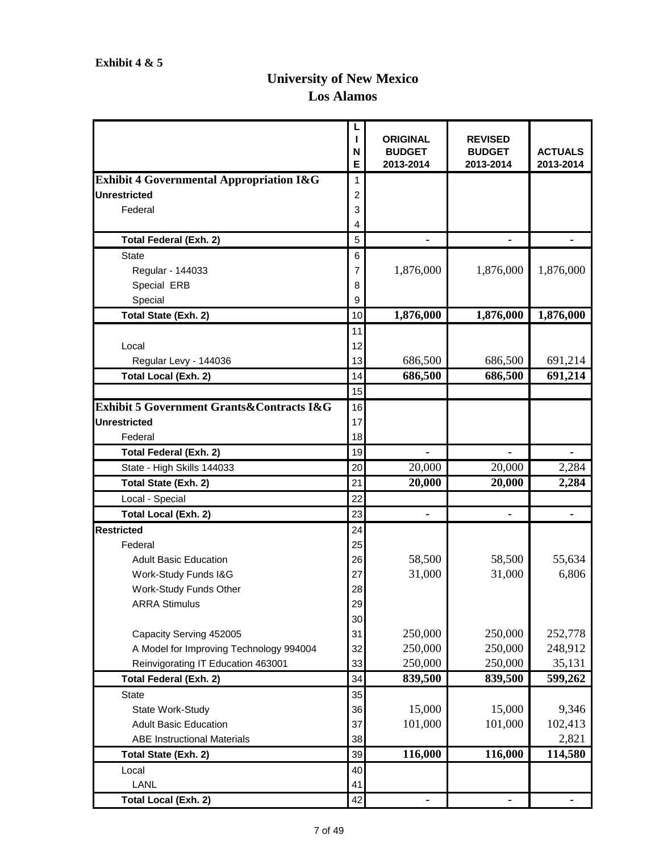## **University of New Mexico Los Alamos**

|                                                     | N<br>Е         | <b>ORIGINAL</b><br><b>BUDGET</b><br>2013-2014 | <b>REVISED</b><br><b>BUDGET</b><br>2013-2014 | <b>ACTUALS</b><br>2013-2014 |
|-----------------------------------------------------|----------------|-----------------------------------------------|----------------------------------------------|-----------------------------|
| <b>Exhibit 4 Governmental Appropriation I&amp;G</b> | 1              |                                               |                                              |                             |
| Unrestricted                                        | $\overline{2}$ |                                               |                                              |                             |
| Federal                                             | 3              |                                               |                                              |                             |
|                                                     | 4              |                                               |                                              |                             |
| <b>Total Federal (Exh. 2)</b>                       | 5              |                                               |                                              |                             |
| <b>State</b>                                        | 6              |                                               |                                              |                             |
| Regular - 144033                                    | 7              | 1,876,000                                     | 1,876,000                                    | 1,876,000                   |
| Special ERB                                         | 8              |                                               |                                              |                             |
| Special                                             | 9              |                                               |                                              |                             |
| <b>Total State (Exh. 2)</b>                         | 10             | 1,876,000                                     | 1,876,000                                    | 1,876,000                   |
|                                                     | 11             |                                               |                                              |                             |
| Local                                               | 12             |                                               |                                              |                             |
| Regular Levy - 144036                               | 13             | 686,500                                       | 686,500                                      | 691,214                     |
| <b>Total Local (Exh. 2)</b>                         | 14             | 686,500                                       | 686,500                                      | 691,214                     |
|                                                     | 15             |                                               |                                              |                             |
| Exhibit 5 Government Grants&Contracts I&G           | 16             |                                               |                                              |                             |
| <b>Unrestricted</b>                                 | 17             |                                               |                                              |                             |
| Federal                                             | 18             |                                               |                                              |                             |
| <b>Total Federal (Exh. 2)</b>                       | 19             | ۰                                             |                                              |                             |
| State - High Skills 144033                          | 20             | 20,000                                        | 20,000                                       | 2,284                       |
| <b>Total State (Exh. 2)</b>                         | 21             | 20,000                                        | 20,000                                       | 2,284                       |
| Local - Special                                     | 22             |                                               |                                              |                             |
| <b>Total Local (Exh. 2)</b>                         | 23             | $\blacksquare$                                | $\blacksquare$                               |                             |
| <b>Restricted</b>                                   | 24             |                                               |                                              |                             |
| Federal                                             | 25             |                                               |                                              |                             |
| <b>Adult Basic Education</b>                        | 26             | 58,500                                        | 58,500                                       | 55,634                      |
| Work-Study Funds I&G                                | 27             | 31,000                                        | 31,000                                       | 6,806                       |
| Work-Study Funds Other                              | 28             |                                               |                                              |                             |
| <b>ARRA Stimulus</b>                                | 29             |                                               |                                              |                             |
|                                                     | 30             |                                               |                                              |                             |
| Capacity Serving 452005                             | 31             | 250,000                                       | 250,000                                      | 252,778                     |
| A Model for Improving Technology 994004             | 32             | 250,000<br>250,000                            | 250,000<br>250,000                           | 248,912                     |
| Reinvigorating IT Education 463001                  | 33             |                                               |                                              | 35,131                      |
| <b>Total Federal (Exh. 2)</b>                       | 34             | 839,500                                       | 839,500                                      | 599,262                     |
| <b>State</b>                                        | 35             |                                               |                                              |                             |
| State Work-Study<br><b>Adult Basic Education</b>    | 36<br>37       | 15,000<br>101,000                             | 15,000<br>101,000                            | 9,346<br>102,413            |
| <b>ABE Instructional Materials</b>                  | 38             |                                               |                                              | 2,821                       |
| <b>Total State (Exh. 2)</b>                         | 39             | 116,000                                       | 116,000                                      | 114,580                     |
| Local                                               | 40             |                                               |                                              |                             |
| <b>LANL</b>                                         | 41             |                                               |                                              |                             |
| <b>Total Local (Exh. 2)</b>                         | 42             |                                               |                                              |                             |
|                                                     |                |                                               |                                              |                             |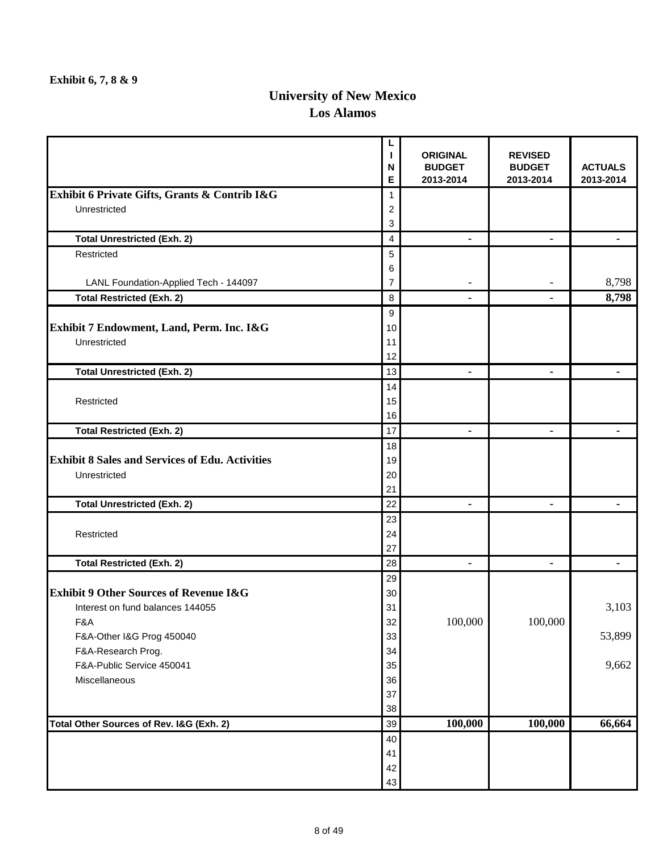### **University of New Mexico Los Alamos**

|                                                                                                                                                                              | L<br>л.<br>N<br>Ε                      | <b>ORIGINAL</b><br><b>BUDGET</b><br>2013-2014 | <b>REVISED</b><br><b>BUDGET</b><br>2013-2014 | <b>ACTUALS</b><br>2013-2014 |
|------------------------------------------------------------------------------------------------------------------------------------------------------------------------------|----------------------------------------|-----------------------------------------------|----------------------------------------------|-----------------------------|
| Exhibit 6 Private Gifts, Grants & Contrib I&G<br>Unrestricted                                                                                                                | 1<br>$\overline{2}$<br>3               |                                               |                                              |                             |
| <b>Total Unrestricted (Exh. 2)</b>                                                                                                                                           | 4                                      | $\blacksquare$                                | $\blacksquare$                               | $\blacksquare$              |
| Restricted                                                                                                                                                                   | 5<br>6                                 |                                               |                                              |                             |
| LANL Foundation-Applied Tech - 144097                                                                                                                                        | 7                                      |                                               |                                              | 8,798                       |
| <b>Total Restricted (Exh. 2)</b>                                                                                                                                             | 8                                      | $\blacksquare$                                | $\blacksquare$                               | 8,798                       |
| Exhibit 7 Endowment, Land, Perm. Inc. I&G<br>Unrestricted                                                                                                                    | 9<br>10<br>11<br>12                    |                                               |                                              |                             |
| <b>Total Unrestricted (Exh. 2)</b>                                                                                                                                           | 13                                     | $\blacksquare$                                | $\blacksquare$                               |                             |
| Restricted                                                                                                                                                                   | 14<br>15<br>16                         |                                               |                                              |                             |
| <b>Total Restricted (Exh. 2)</b>                                                                                                                                             | 17                                     |                                               | $\blacksquare$                               |                             |
| <b>Exhibit 8 Sales and Services of Edu. Activities</b><br>Unrestricted                                                                                                       | 18<br>19<br>20<br>21                   |                                               |                                              |                             |
| <b>Total Unrestricted (Exh. 2)</b>                                                                                                                                           | 22                                     |                                               | $\blacksquare$                               |                             |
| Restricted                                                                                                                                                                   | 23<br>24<br>27                         |                                               |                                              |                             |
| <b>Total Restricted (Exh. 2)</b>                                                                                                                                             | 28                                     |                                               |                                              | $\blacksquare$              |
| <b>Exhibit 9 Other Sources of Revenue I&amp;G</b><br>Interest on fund balances 144055<br>F&A<br>F&A-Other I&G Prog 450040<br>F&A-Research Prog.<br>F&A-Public Service 450041 | 29<br>30<br>31<br>32<br>33<br>34<br>35 | 100,000                                       | 100,000                                      | 3,103<br>53,899<br>9,662    |
| Miscellaneous                                                                                                                                                                | 36<br>37<br>38                         |                                               |                                              |                             |
| Total Other Sources of Rev. I&G (Exh. 2)                                                                                                                                     | 39                                     | 100,000                                       | 100,000                                      | 66,664                      |
|                                                                                                                                                                              | 40<br>41<br>42<br>43                   |                                               |                                              |                             |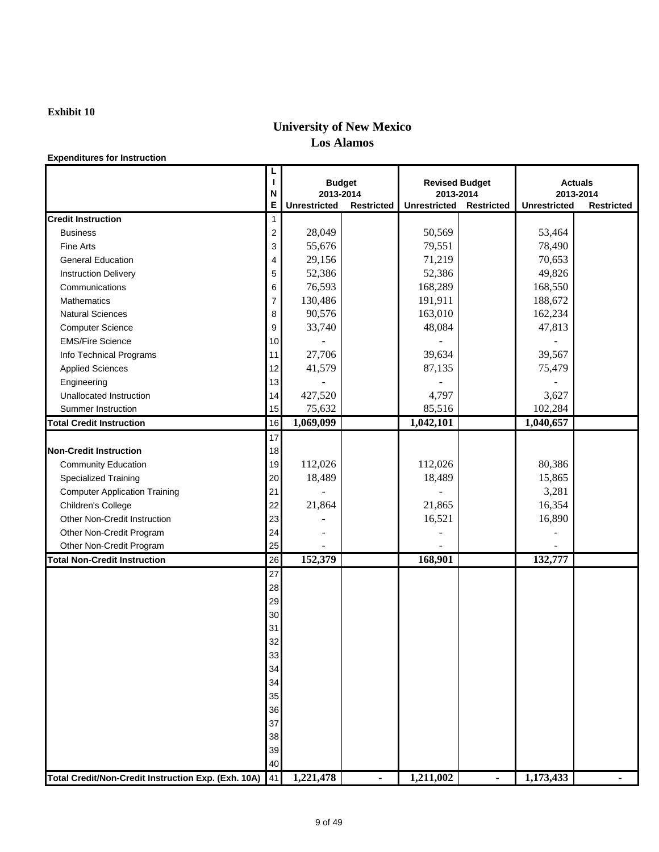## **University of New Mexico Los Alamos**

#### **Expenditures for Instruction**

|                                                     | I<br>N         | <b>Budget</b><br>2013-2014 |                   | <b>Revised Budget</b><br>2013-2014 |                   |                     | <b>Actuals</b><br>2013-2014 |
|-----------------------------------------------------|----------------|----------------------------|-------------------|------------------------------------|-------------------|---------------------|-----------------------------|
|                                                     | E              | <b>Unrestricted</b>        | <b>Restricted</b> | <b>Unrestricted</b>                | <b>Restricted</b> | <b>Unrestricted</b> | <b>Restricted</b>           |
| <b>Credit Instruction</b>                           | 1              |                            |                   |                                    |                   |                     |                             |
| <b>Business</b>                                     | $\overline{2}$ | 28,049                     |                   | 50,569                             |                   | 53,464              |                             |
| Fine Arts                                           | 3              | 55,676                     |                   | 79,551                             |                   | 78,490              |                             |
| <b>General Education</b>                            | 4              | 29,156                     |                   | 71,219                             |                   | 70,653              |                             |
| <b>Instruction Delivery</b>                         | 5              | 52,386                     |                   | 52,386                             |                   | 49,826              |                             |
| Communications                                      | 6              | 76,593                     |                   | 168,289                            |                   | 168,550             |                             |
| <b>Mathematics</b>                                  | $\overline{7}$ | 130,486                    |                   | 191,911                            |                   | 188,672             |                             |
| <b>Natural Sciences</b>                             | 8              | 90,576                     |                   | 163,010                            |                   | 162,234             |                             |
| <b>Computer Science</b>                             | 9              | 33,740                     |                   | 48,084                             |                   | 47,813              |                             |
| <b>EMS/Fire Science</b>                             | 10             |                            |                   |                                    |                   |                     |                             |
| Info Technical Programs                             | 11             | 27,706                     |                   | 39,634                             |                   | 39,567              |                             |
| <b>Applied Sciences</b>                             | 12             | 41,579                     |                   | 87,135                             |                   | 75,479              |                             |
| Engineering                                         | 13             |                            |                   |                                    |                   |                     |                             |
| Unallocated Instruction                             | 14             | 427,520                    |                   | 4,797                              |                   | 3,627               |                             |
| <b>Summer Instruction</b>                           | 15             | 75,632                     |                   | 85,516                             |                   | 102,284             |                             |
| <b>Total Credit Instruction</b>                     | 16             | 1,069,099                  |                   | 1,042,101                          |                   | 1,040,657           |                             |
|                                                     | 17             |                            |                   |                                    |                   |                     |                             |
| <b>Non-Credit Instruction</b>                       | 18             |                            |                   |                                    |                   |                     |                             |
| <b>Community Education</b>                          | 19             | 112,026                    |                   | 112,026                            |                   | 80,386              |                             |
| <b>Specialized Training</b>                         | 20             | 18,489                     |                   | 18,489                             |                   | 15,865              |                             |
| <b>Computer Application Training</b>                | 21             |                            |                   |                                    |                   | 3,281               |                             |
| Children's College                                  | 22             | 21,864                     |                   | 21,865                             |                   | 16,354              |                             |
| <b>Other Non-Credit Instruction</b>                 | 23             |                            |                   | 16,521                             |                   | 16,890              |                             |
| Other Non-Credit Program                            | 24             |                            |                   |                                    |                   |                     |                             |
| Other Non-Credit Program                            | 25             |                            |                   |                                    |                   |                     |                             |
| <b>Total Non-Credit Instruction</b>                 | 26             | 152,379                    |                   | 168,901                            |                   | 132,777             |                             |
|                                                     | 27             |                            |                   |                                    |                   |                     |                             |
|                                                     | 28             |                            |                   |                                    |                   |                     |                             |
|                                                     | 29             |                            |                   |                                    |                   |                     |                             |
|                                                     | 30             |                            |                   |                                    |                   |                     |                             |
|                                                     | 31             |                            |                   |                                    |                   |                     |                             |
|                                                     | 32             |                            |                   |                                    |                   |                     |                             |
|                                                     | 33             |                            |                   |                                    |                   |                     |                             |
|                                                     | 34             |                            |                   |                                    |                   |                     |                             |
|                                                     | 34             |                            |                   |                                    |                   |                     |                             |
|                                                     | 35             |                            |                   |                                    |                   |                     |                             |
|                                                     | 36             |                            |                   |                                    |                   |                     |                             |
|                                                     | 37             |                            |                   |                                    |                   |                     |                             |
|                                                     | 38             |                            |                   |                                    |                   |                     |                             |
|                                                     | 39             |                            |                   |                                    |                   |                     |                             |
|                                                     | 40             |                            |                   |                                    |                   |                     |                             |
| Total Credit/Non-Credit Instruction Exp. (Exh. 10A) | 41             | 1,221,478                  |                   | 1,211,002                          |                   | 1,173,433           |                             |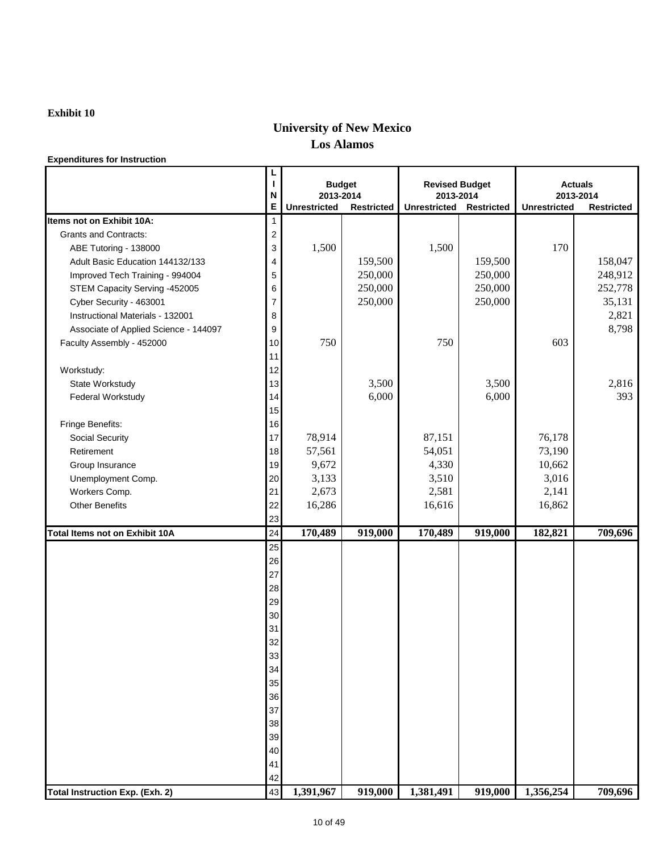## **University of New Mexico Los Alamos**

#### **Expenditures for Instruction**

|                                        |    | <b>Budget</b>       |                   | <b>Revised Budget</b> |                   | <b>Actuals</b>      |                   |
|----------------------------------------|----|---------------------|-------------------|-----------------------|-------------------|---------------------|-------------------|
|                                        | N  | 2013-2014           |                   | 2013-2014             |                   |                     | 2013-2014         |
|                                        | Ε  | <b>Unrestricted</b> | <b>Restricted</b> | <b>Unrestricted</b>   | <b>Restricted</b> | <b>Unrestricted</b> | <b>Restricted</b> |
| Items not on Exhibit 10A:              | 1  |                     |                   |                       |                   |                     |                   |
| <b>Grants and Contracts:</b>           | 2  |                     |                   |                       |                   |                     |                   |
| ABE Tutoring - 138000                  | 3  | 1,500               |                   | 1,500                 |                   | 170                 |                   |
| Adult Basic Education 144132/133       | 4  |                     | 159,500           |                       | 159,500           |                     | 158,047           |
| Improved Tech Training - 994004        | 5  |                     | 250,000           |                       | 250,000           |                     | 248,912           |
| STEM Capacity Serving -452005          | 6  |                     | 250,000           |                       | 250,000           |                     | 252,778           |
| Cyber Security - 463001                | 7  |                     | 250,000           |                       | 250,000           |                     | 35,131            |
| Instructional Materials - 132001       | 8  |                     |                   |                       |                   |                     | 2,821             |
| Associate of Applied Science - 144097  | 9  |                     |                   |                       |                   |                     | 8,798             |
| Faculty Assembly - 452000              | 10 | 750                 |                   | 750                   |                   | 603                 |                   |
|                                        | 11 |                     |                   |                       |                   |                     |                   |
| Workstudy:                             | 12 |                     |                   |                       |                   |                     |                   |
| State Workstudy                        | 13 |                     | 3,500             |                       | 3,500             |                     | 2,816             |
| <b>Federal Workstudy</b>               | 14 |                     | 6,000             |                       | 6,000             |                     | 393               |
|                                        | 15 |                     |                   |                       |                   |                     |                   |
| Fringe Benefits:                       | 16 |                     |                   |                       |                   |                     |                   |
| <b>Social Security</b>                 | 17 | 78,914              |                   | 87,151                |                   | 76,178              |                   |
| Retirement                             | 18 | 57,561              |                   | 54,051                |                   | 73,190              |                   |
| Group Insurance                        | 19 | 9,672               |                   | 4,330                 |                   | 10,662              |                   |
| Unemployment Comp.                     | 20 | 3,133               |                   | 3,510                 |                   | 3,016               |                   |
| Workers Comp.                          | 21 | 2,673               |                   | 2,581                 |                   | 2,141               |                   |
| <b>Other Benefits</b>                  | 22 | 16,286              |                   | 16,616                |                   | 16,862              |                   |
|                                        | 23 |                     |                   |                       |                   |                     |                   |
| <b>Total Items not on Exhibit 10A</b>  | 24 | 170,489             | 919,000           | 170,489               | 919,000           | 182,821             | 709,696           |
|                                        | 25 |                     |                   |                       |                   |                     |                   |
|                                        | 26 |                     |                   |                       |                   |                     |                   |
|                                        | 27 |                     |                   |                       |                   |                     |                   |
|                                        | 28 |                     |                   |                       |                   |                     |                   |
|                                        | 29 |                     |                   |                       |                   |                     |                   |
|                                        | 30 |                     |                   |                       |                   |                     |                   |
|                                        | 31 |                     |                   |                       |                   |                     |                   |
|                                        | 32 |                     |                   |                       |                   |                     |                   |
|                                        | 33 |                     |                   |                       |                   |                     |                   |
|                                        | 34 |                     |                   |                       |                   |                     |                   |
|                                        | 35 |                     |                   |                       |                   |                     |                   |
|                                        | 36 |                     |                   |                       |                   |                     |                   |
|                                        | 37 |                     |                   |                       |                   |                     |                   |
|                                        | 38 |                     |                   |                       |                   |                     |                   |
|                                        | 39 |                     |                   |                       |                   |                     |                   |
|                                        | 40 |                     |                   |                       |                   |                     |                   |
|                                        | 41 |                     |                   |                       |                   |                     |                   |
|                                        | 42 |                     |                   |                       |                   |                     |                   |
| <b>Total Instruction Exp. (Exh. 2)</b> | 43 | 1,391,967           | 919,000           | 1,381,491             | 919,000           | 1,356,254           | 709,696           |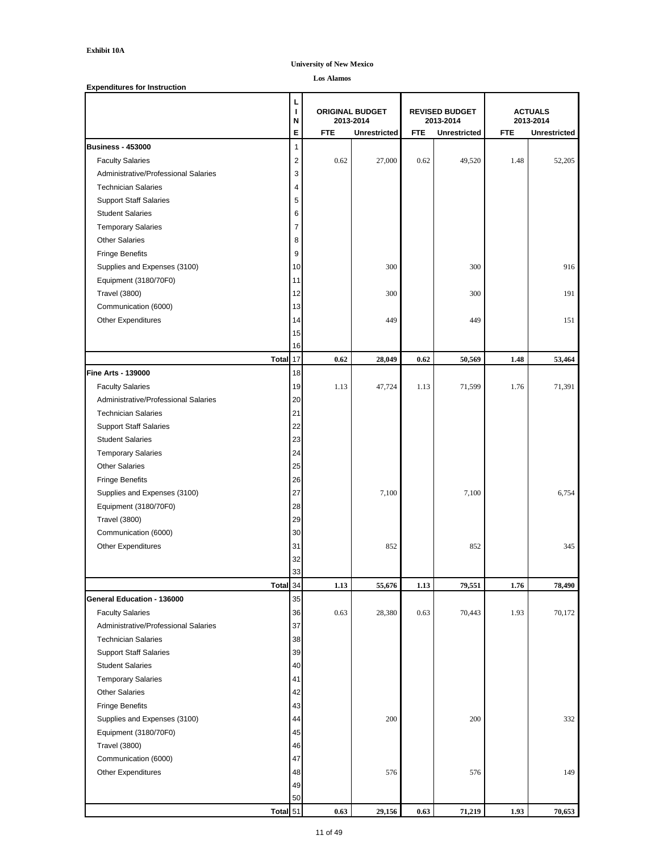|                                      | L<br>$\boldsymbol{\mathsf{N}}$ |            | <b>ORIGINAL BUDGET</b><br>2013-2014 | <b>REVISED BUDGET</b><br>2013-2014 |                     | <b>ACTUALS</b><br>2013-2014 |                     |
|--------------------------------------|--------------------------------|------------|-------------------------------------|------------------------------------|---------------------|-----------------------------|---------------------|
|                                      | E                              | <b>FTE</b> | <b>Unrestricted</b>                 | <b>FTE</b>                         | <b>Unrestricted</b> | <b>FTE</b>                  | <b>Unrestricted</b> |
| <b>Business - 453000</b>             | 1                              |            |                                     |                                    |                     |                             |                     |
| <b>Faculty Salaries</b>              | 2                              | 0.62       | 27,000                              | 0.62                               | 49,520              | 1.48                        | 52,205              |
| Administrative/Professional Salaries | 3                              |            |                                     |                                    |                     |                             |                     |
| <b>Technician Salaries</b>           | 4                              |            |                                     |                                    |                     |                             |                     |
| <b>Support Staff Salaries</b>        | 5                              |            |                                     |                                    |                     |                             |                     |
| <b>Student Salaries</b>              | 6                              |            |                                     |                                    |                     |                             |                     |
| <b>Temporary Salaries</b>            | 7                              |            |                                     |                                    |                     |                             |                     |
| <b>Other Salaries</b>                | 8                              |            |                                     |                                    |                     |                             |                     |
| <b>Fringe Benefits</b>               | 9                              |            |                                     |                                    |                     |                             |                     |
| Supplies and Expenses (3100)         | 10                             |            | 300                                 |                                    | 300                 |                             | 916                 |
| Equipment (3180/70F0)                | 11                             |            |                                     |                                    |                     |                             |                     |
| <b>Travel (3800)</b>                 | 12                             |            | 300                                 |                                    | 300                 |                             | 191                 |
| Communication (6000)                 | 13                             |            |                                     |                                    |                     |                             |                     |
| <b>Other Expenditures</b>            | 14                             |            | 449                                 |                                    | 449                 |                             | 151                 |
|                                      | 15                             |            |                                     |                                    |                     |                             |                     |
|                                      | 16                             |            |                                     |                                    |                     |                             |                     |
| Total 17                             |                                | 0.62       | 28,049                              | 0.62                               | 50,569              | 1.48                        | 53,464              |
| <b>Fine Arts - 139000</b>            | 18                             |            |                                     |                                    |                     |                             |                     |
| <b>Faculty Salaries</b>              | 19                             | 1.13       | 47,724                              | 1.13                               | 71,599              | 1.76                        | 71,391              |
| Administrative/Professional Salaries | 20                             |            |                                     |                                    |                     |                             |                     |
| <b>Technician Salaries</b>           | 21                             |            |                                     |                                    |                     |                             |                     |
| <b>Support Staff Salaries</b>        | 22                             |            |                                     |                                    |                     |                             |                     |
| <b>Student Salaries</b>              | 23                             |            |                                     |                                    |                     |                             |                     |
| <b>Temporary Salaries</b>            | 24                             |            |                                     |                                    |                     |                             |                     |
| <b>Other Salaries</b>                | 25                             |            |                                     |                                    |                     |                             |                     |
| <b>Fringe Benefits</b>               | 26                             |            |                                     |                                    |                     |                             |                     |
| Supplies and Expenses (3100)         | 27                             |            | 7,100                               |                                    | 7,100               |                             | 6,754               |
| Equipment (3180/70F0)                | 28                             |            |                                     |                                    |                     |                             |                     |
|                                      | 29                             |            |                                     |                                    |                     |                             |                     |
| <b>Travel (3800)</b>                 | 30                             |            |                                     |                                    |                     |                             |                     |
| Communication (6000)                 |                                |            |                                     |                                    |                     |                             |                     |
| <b>Other Expenditures</b>            | 31                             |            | 852                                 |                                    | 852                 |                             | 345                 |
|                                      | 32                             |            |                                     |                                    |                     |                             |                     |
| Total <sup>34</sup>                  | 33                             | 1.13       | 55,676                              | 1.13                               | 79,551              | 1.76                        | 78,490              |
| <b>General Education - 136000</b>    | 35                             |            |                                     |                                    |                     |                             |                     |
|                                      |                                |            |                                     |                                    |                     |                             |                     |
| <b>Faculty Salaries</b>              | 36                             | 0.63       | 28,380                              | 0.63                               | 70,443              | 1.93                        | 70,172              |
| Administrative/Professional Salaries | 37                             |            |                                     |                                    |                     |                             |                     |
| <b>Technician Salaries</b>           | 38                             |            |                                     |                                    |                     |                             |                     |
| <b>Support Staff Salaries</b>        | 39                             |            |                                     |                                    |                     |                             |                     |
| <b>Student Salaries</b>              | 40                             |            |                                     |                                    |                     |                             |                     |
| <b>Temporary Salaries</b>            | 41                             |            |                                     |                                    |                     |                             |                     |
| <b>Other Salaries</b>                | 42                             |            |                                     |                                    |                     |                             |                     |
| <b>Fringe Benefits</b>               | 43                             |            |                                     |                                    |                     |                             |                     |
| Supplies and Expenses (3100)         | 44                             |            | 200                                 |                                    | 200                 |                             | 332                 |
| Equipment (3180/70F0)                | 45                             |            |                                     |                                    |                     |                             |                     |
| <b>Travel (3800)</b>                 | 46                             |            |                                     |                                    |                     |                             |                     |
| Communication (6000)                 | 47                             |            |                                     |                                    |                     |                             |                     |
| <b>Other Expenditures</b>            | 48                             |            | 576                                 |                                    | 576                 |                             | 149                 |
|                                      | 49                             |            |                                     |                                    |                     |                             |                     |
|                                      | 50                             |            |                                     |                                    |                     |                             |                     |
| Total 51                             |                                | 0.63       | 29,156                              | 0.63                               | 71,219              | 1.93                        | 70,653              |

#### **University of New Mexico**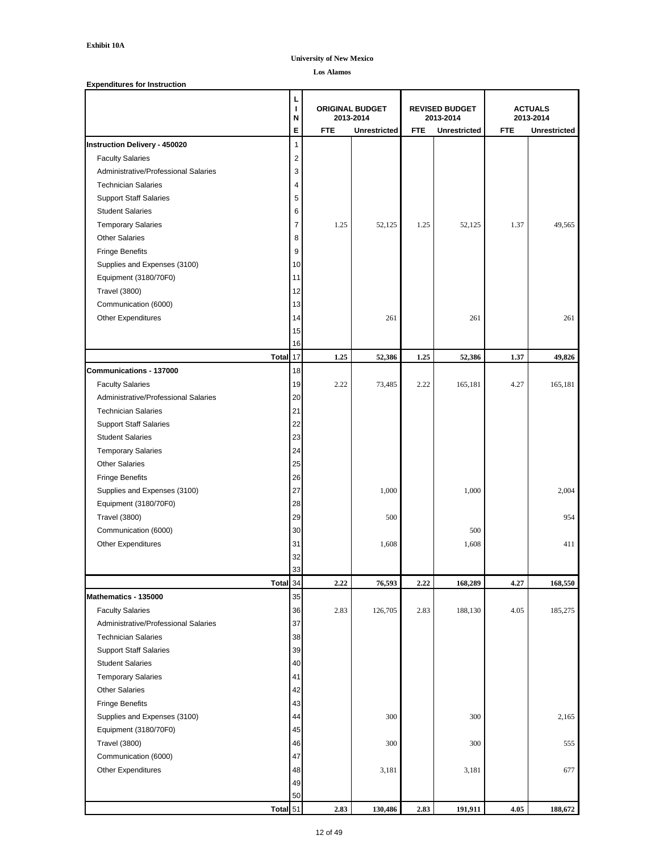|                                      | L<br>N         |            | <b>ORIGINAL BUDGET</b><br>2013-2014 |            | <b>REVISED BUDGET</b><br>2013-2014 | <b>ACTUALS</b><br>2013-2014 |                     |
|--------------------------------------|----------------|------------|-------------------------------------|------------|------------------------------------|-----------------------------|---------------------|
|                                      | E              | <b>FTE</b> | <b>Unrestricted</b>                 | <b>FTE</b> | <b>Unrestricted</b>                | <b>FTE</b>                  | <b>Unrestricted</b> |
| <b>Instruction Delivery - 450020</b> | 1              |            |                                     |            |                                    |                             |                     |
| <b>Faculty Salaries</b>              | $\overline{c}$ |            |                                     |            |                                    |                             |                     |
| Administrative/Professional Salaries | 3              |            |                                     |            |                                    |                             |                     |
| <b>Technician Salaries</b>           | 4              |            |                                     |            |                                    |                             |                     |
| <b>Support Staff Salaries</b>        | 5              |            |                                     |            |                                    |                             |                     |
| <b>Student Salaries</b>              | 6              |            |                                     |            |                                    |                             |                     |
| <b>Temporary Salaries</b>            | $\overline{7}$ | 1.25       | 52,125                              | 1.25       | 52,125                             | 1.37                        | 49,565              |
| <b>Other Salaries</b>                | 8              |            |                                     |            |                                    |                             |                     |
| <b>Fringe Benefits</b>               | 9              |            |                                     |            |                                    |                             |                     |
| Supplies and Expenses (3100)         | 10             |            |                                     |            |                                    |                             |                     |
| Equipment (3180/70F0)                | 11             |            |                                     |            |                                    |                             |                     |
| <b>Travel (3800)</b>                 | 12             |            |                                     |            |                                    |                             |                     |
| Communication (6000)                 | 13             |            |                                     |            |                                    |                             |                     |
| <b>Other Expenditures</b>            | 14             |            | 261                                 |            | 261                                |                             | 261                 |
|                                      | 15             |            |                                     |            |                                    |                             |                     |
|                                      | 16             |            |                                     |            |                                    |                             |                     |
| Total 17                             |                | 1.25       | 52,386                              | 1.25       | 52,386                             | 1.37                        | 49,826              |
| <b>Communications - 137000</b>       | 18             |            |                                     |            |                                    |                             |                     |
| <b>Faculty Salaries</b>              | 19             | 2.22       | 73,485                              | 2.22       | 165,181                            | 4.27                        | 165,181             |
| Administrative/Professional Salaries | 20             |            |                                     |            |                                    |                             |                     |
| <b>Technician Salaries</b>           | 21             |            |                                     |            |                                    |                             |                     |
| <b>Support Staff Salaries</b>        | 22             |            |                                     |            |                                    |                             |                     |
| <b>Student Salaries</b>              | 23             |            |                                     |            |                                    |                             |                     |
| <b>Temporary Salaries</b>            | 24             |            |                                     |            |                                    |                             |                     |
| <b>Other Salaries</b>                | 25             |            |                                     |            |                                    |                             |                     |
| <b>Fringe Benefits</b>               | 26             |            |                                     |            |                                    |                             |                     |
| Supplies and Expenses (3100)         | 27             |            | 1,000                               |            | 1,000                              |                             | 2,004               |
| Equipment (3180/70F0)                | 28             |            |                                     |            |                                    |                             |                     |
| <b>Travel (3800)</b>                 | 29             |            | 500                                 |            |                                    |                             | 954                 |
| Communication (6000)                 | 30             |            |                                     |            | 500                                |                             |                     |
| <b>Other Expenditures</b>            | 31             |            | 1,608                               |            | 1,608                              |                             | 411                 |
|                                      | 32             |            |                                     |            |                                    |                             |                     |
|                                      | 33             |            |                                     |            |                                    |                             |                     |
| Total 34                             |                | 2.22       | 76,593                              | 2.22       | 168,289                            | 4.27                        | 168,550             |
| Mathematics - 135000                 | 35             |            |                                     |            |                                    |                             |                     |
| <b>Faculty Salaries</b>              | 36             | 2.83       | 126,705                             | 2.83       | 188,130                            | 4.05                        | 185,275             |
| Administrative/Professional Salaries | 37             |            |                                     |            |                                    |                             |                     |
| <b>Technician Salaries</b>           | 38             |            |                                     |            |                                    |                             |                     |
| <b>Support Staff Salaries</b>        | 39             |            |                                     |            |                                    |                             |                     |
| <b>Student Salaries</b>              | 40             |            |                                     |            |                                    |                             |                     |
| <b>Temporary Salaries</b>            | 41             |            |                                     |            |                                    |                             |                     |
| <b>Other Salaries</b>                | 42             |            |                                     |            |                                    |                             |                     |
| <b>Fringe Benefits</b>               | 43             |            |                                     |            |                                    |                             |                     |
| Supplies and Expenses (3100)         | 44             |            | 300                                 |            | 300                                |                             | 2,165               |
| Equipment (3180/70F0)                | 45             |            |                                     |            |                                    |                             |                     |
| <b>Travel (3800)</b>                 | 46             |            | 300                                 |            | 300                                |                             | 555                 |
| Communication (6000)                 | 47             |            |                                     |            |                                    |                             |                     |
| <b>Other Expenditures</b>            | 48             |            | 3,181                               |            | 3,181                              |                             | 677                 |
|                                      | 49             |            |                                     |            |                                    |                             |                     |
|                                      | 50             |            |                                     |            |                                    |                             |                     |
| Total 51                             |                | 2.83       | 130,486                             | 2.83       | 191,911                            | 4.05                        | 188,672             |

#### **University of New Mexico**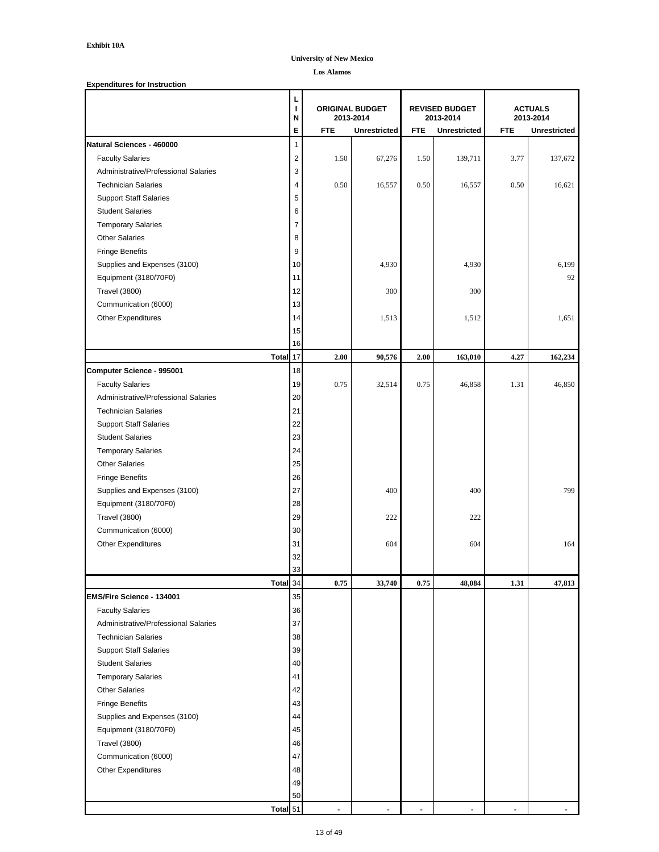|                                                   | L<br>$\mathbf{I}$<br>N |                | <b>ORIGINAL BUDGET</b><br>2013-2014 |            | <b>REVISED BUDGET</b><br>2013-2014 | <b>ACTUALS</b><br>2013-2014 |                     |  |
|---------------------------------------------------|------------------------|----------------|-------------------------------------|------------|------------------------------------|-----------------------------|---------------------|--|
|                                                   | E                      | <b>FTE</b>     | <b>Unrestricted</b>                 | <b>FTE</b> | <b>Unrestricted</b>                | <b>FTE</b>                  | <b>Unrestricted</b> |  |
| Natural Sciences - 460000                         | 1                      |                |                                     |            |                                    |                             |                     |  |
| <b>Faculty Salaries</b>                           | 2                      | 1.50           | 67,276                              | 1.50       | 139,711                            | 3.77                        | 137,672             |  |
| Administrative/Professional Salaries              | 3                      |                |                                     |            |                                    |                             |                     |  |
| <b>Technician Salaries</b>                        | 4                      | 0.50           | 16,557                              | 0.50       | 16,557                             | $0.50\,$                    | 16,621              |  |
| <b>Support Staff Salaries</b>                     | 5                      |                |                                     |            |                                    |                             |                     |  |
| <b>Student Salaries</b>                           | 6                      |                |                                     |            |                                    |                             |                     |  |
| <b>Temporary Salaries</b>                         | $\overline{7}$         |                |                                     |            |                                    |                             |                     |  |
| <b>Other Salaries</b>                             | 8                      |                |                                     |            |                                    |                             |                     |  |
| <b>Fringe Benefits</b>                            | 9                      |                |                                     |            |                                    |                             |                     |  |
| Supplies and Expenses (3100)                      | 10 <sup>1</sup>        |                | 4,930                               |            | 4,930                              |                             | 6,199               |  |
| Equipment (3180/70F0)                             | 11                     |                |                                     |            |                                    |                             | 92                  |  |
| <b>Travel (3800)</b>                              | 12                     |                | 300                                 |            | 300                                |                             |                     |  |
| Communication (6000)                              | 13                     |                |                                     |            |                                    |                             |                     |  |
| <b>Other Expenditures</b>                         | 14                     |                | 1,513                               |            | 1,512                              |                             | 1,651               |  |
|                                                   | 15                     |                |                                     |            |                                    |                             |                     |  |
|                                                   | 16                     |                |                                     |            |                                    |                             |                     |  |
|                                                   | Total 17               | 2.00           | 90,576                              | 2.00       | 163,010                            | 4.27                        | 162,234             |  |
| Computer Science - 995001                         | 18                     |                |                                     |            |                                    |                             |                     |  |
| <b>Faculty Salaries</b>                           | 19                     | 0.75           | 32,514                              | 0.75       | 46,858                             | 1.31                        | 46,850              |  |
| Administrative/Professional Salaries              | 20                     |                |                                     |            |                                    |                             |                     |  |
| <b>Technician Salaries</b>                        | 21                     |                |                                     |            |                                    |                             |                     |  |
| <b>Support Staff Salaries</b>                     | 22                     |                |                                     |            |                                    |                             |                     |  |
| <b>Student Salaries</b>                           | 23                     |                |                                     |            |                                    |                             |                     |  |
| <b>Temporary Salaries</b>                         | 24                     |                |                                     |            |                                    |                             |                     |  |
| <b>Other Salaries</b>                             | 25                     |                |                                     |            |                                    |                             |                     |  |
| <b>Fringe Benefits</b>                            | 26                     |                |                                     |            |                                    |                             |                     |  |
| Supplies and Expenses (3100)                      | 27                     |                | 400                                 |            | 400                                |                             | 799                 |  |
| Equipment (3180/70F0)                             | 28                     |                |                                     |            |                                    |                             |                     |  |
| <b>Travel (3800)</b>                              | 29                     |                | 222                                 |            | 222                                |                             |                     |  |
| Communication (6000)                              | 30                     |                |                                     |            |                                    |                             |                     |  |
| <b>Other Expenditures</b>                         | 31                     |                | 604                                 |            | 604                                |                             | 164                 |  |
|                                                   | 32                     |                |                                     |            |                                    |                             |                     |  |
|                                                   | 33                     |                |                                     |            |                                    |                             |                     |  |
|                                                   | Total <sup>34</sup>    | 0.75           | 33,740                              | 0.75       | 48,084                             | 1.31                        | 47,813              |  |
| <b>EMS/Fire Science - 134001</b>                  | 35                     |                |                                     |            |                                    |                             |                     |  |
| <b>Faculty Salaries</b>                           | 36                     |                |                                     |            |                                    |                             |                     |  |
| Administrative/Professional Salaries              | 37                     |                |                                     |            |                                    |                             |                     |  |
| <b>Technician Salaries</b>                        | 38                     |                |                                     |            |                                    |                             |                     |  |
| <b>Support Staff Salaries</b>                     | 39                     |                |                                     |            |                                    |                             |                     |  |
| <b>Student Salaries</b>                           | 40                     |                |                                     |            |                                    |                             |                     |  |
| <b>Temporary Salaries</b>                         | 41                     |                |                                     |            |                                    |                             |                     |  |
| <b>Other Salaries</b>                             | 42                     |                |                                     |            |                                    |                             |                     |  |
| <b>Fringe Benefits</b>                            | 43                     |                |                                     |            |                                    |                             |                     |  |
| Supplies and Expenses (3100)                      | 44                     |                |                                     |            |                                    |                             |                     |  |
| Equipment (3180/70F0)                             | 45                     |                |                                     |            |                                    |                             |                     |  |
| <b>Travel (3800)</b>                              | 46                     |                |                                     |            |                                    |                             |                     |  |
|                                                   | 47                     |                |                                     |            |                                    |                             |                     |  |
| Communication (6000)<br><b>Other Expenditures</b> |                        |                |                                     |            |                                    |                             |                     |  |
|                                                   | 48                     |                |                                     |            |                                    |                             |                     |  |
|                                                   | 49<br>50               |                |                                     |            |                                    |                             |                     |  |
|                                                   | Total 51               | $\blacksquare$ | $\blacksquare$                      |            | $\blacksquare$                     | $\blacksquare$              | $\blacksquare$      |  |
|                                                   |                        |                |                                     |            |                                    |                             |                     |  |

#### **University of New Mexico**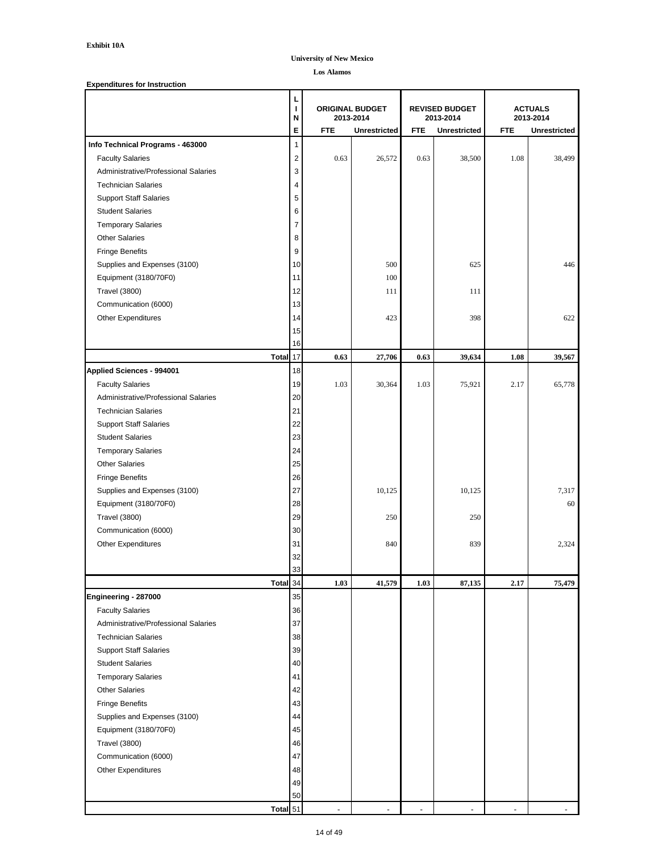|                                      | L<br>$\mathsf{N}$ |                | <b>ORIGINAL BUDGET</b><br>2013-2014 |            | <b>REVISED BUDGET</b><br>2013-2014 | <b>ACTUALS</b><br>2013-2014 |                     |  |
|--------------------------------------|-------------------|----------------|-------------------------------------|------------|------------------------------------|-----------------------------|---------------------|--|
|                                      | E                 | <b>FTE</b>     | <b>Unrestricted</b>                 | <b>FTE</b> | <b>Unrestricted</b>                | <b>FTE</b>                  | <b>Unrestricted</b> |  |
| Info Technical Programs - 463000     | 1                 |                |                                     |            |                                    |                             |                     |  |
| <b>Faculty Salaries</b>              | 2                 | 0.63           | 26,572                              | 0.63       | 38,500                             | 1.08                        | 38,499              |  |
| Administrative/Professional Salaries | 3                 |                |                                     |            |                                    |                             |                     |  |
| <b>Technician Salaries</b>           | 4                 |                |                                     |            |                                    |                             |                     |  |
| <b>Support Staff Salaries</b>        | 5                 |                |                                     |            |                                    |                             |                     |  |
| <b>Student Salaries</b>              | 6                 |                |                                     |            |                                    |                             |                     |  |
| <b>Temporary Salaries</b>            | $\overline{7}$    |                |                                     |            |                                    |                             |                     |  |
| <b>Other Salaries</b>                | 8                 |                |                                     |            |                                    |                             |                     |  |
| <b>Fringe Benefits</b>               | 9                 |                |                                     |            |                                    |                             |                     |  |
| Supplies and Expenses (3100)         | 10                |                | 500                                 |            | 625                                |                             | 446                 |  |
| Equipment (3180/70F0)                | 11                |                | 100                                 |            |                                    |                             |                     |  |
| <b>Travel (3800)</b>                 | 12                |                | 111                                 |            | 111                                |                             |                     |  |
| Communication (6000)                 | 13                |                |                                     |            |                                    |                             |                     |  |
| <b>Other Expenditures</b>            | 14                |                | 423                                 |            | 398                                |                             | 622                 |  |
|                                      | 15                |                |                                     |            |                                    |                             |                     |  |
|                                      | 16                |                |                                     |            |                                    |                             |                     |  |
| Total 17                             |                   | 0.63           | 27,706                              | 0.63       | 39,634                             | 1.08                        | 39,567              |  |
| <b>Applied Sciences - 994001</b>     | 18                |                |                                     |            |                                    |                             |                     |  |
| <b>Faculty Salaries</b>              | 19                | 1.03           | 30,364                              | 1.03       | 75,921                             | 2.17                        | 65,778              |  |
| Administrative/Professional Salaries | 20                |                |                                     |            |                                    |                             |                     |  |
| <b>Technician Salaries</b>           | 21                |                |                                     |            |                                    |                             |                     |  |
| <b>Support Staff Salaries</b>        | 22                |                |                                     |            |                                    |                             |                     |  |
| <b>Student Salaries</b>              | 23                |                |                                     |            |                                    |                             |                     |  |
| <b>Temporary Salaries</b>            | 24                |                |                                     |            |                                    |                             |                     |  |
| <b>Other Salaries</b>                | 25                |                |                                     |            |                                    |                             |                     |  |
| <b>Fringe Benefits</b>               | 26                |                |                                     |            |                                    |                             |                     |  |
| Supplies and Expenses (3100)         | 27                |                | 10,125                              |            | 10,125                             |                             | 7,317               |  |
| Equipment (3180/70F0)                | 28                |                |                                     |            |                                    |                             | 60                  |  |
| <b>Travel (3800)</b>                 | 29                |                | 250                                 |            | 250                                |                             |                     |  |
|                                      | 30                |                |                                     |            |                                    |                             |                     |  |
| Communication (6000)                 |                   |                |                                     |            |                                    |                             |                     |  |
| <b>Other Expenditures</b>            | 31                |                | 840                                 |            | 839                                |                             | 2,324               |  |
|                                      | 32                |                |                                     |            |                                    |                             |                     |  |
| Total 34                             | 33                | 1.03           | 41,579                              | 1.03       | 87,135                             | 2.17                        | 75,479              |  |
| Engineering - 287000                 | 35                |                |                                     |            |                                    |                             |                     |  |
| <b>Faculty Salaries</b>              | 36                |                |                                     |            |                                    |                             |                     |  |
|                                      |                   |                |                                     |            |                                    |                             |                     |  |
| Administrative/Professional Salaries | 37                |                |                                     |            |                                    |                             |                     |  |
| <b>Technician Salaries</b>           | 38                |                |                                     |            |                                    |                             |                     |  |
| <b>Support Staff Salaries</b>        | 39                |                |                                     |            |                                    |                             |                     |  |
| <b>Student Salaries</b>              | 40                |                |                                     |            |                                    |                             |                     |  |
| <b>Temporary Salaries</b>            | 41                |                |                                     |            |                                    |                             |                     |  |
| <b>Other Salaries</b>                | 42                |                |                                     |            |                                    |                             |                     |  |
| <b>Fringe Benefits</b>               | 43                |                |                                     |            |                                    |                             |                     |  |
| Supplies and Expenses (3100)         | 44                |                |                                     |            |                                    |                             |                     |  |
| Equipment (3180/70F0)                | 45                |                |                                     |            |                                    |                             |                     |  |
| <b>Travel (3800)</b>                 | 46                |                |                                     |            |                                    |                             |                     |  |
| Communication (6000)                 | 47                |                |                                     |            |                                    |                             |                     |  |
| <b>Other Expenditures</b>            | 48                |                |                                     |            |                                    |                             |                     |  |
|                                      | 49                |                |                                     |            |                                    |                             |                     |  |
|                                      | 50                |                |                                     |            |                                    |                             |                     |  |
| Total 51                             |                   | $\blacksquare$ | $\frac{1}{2}$                       |            | $\blacksquare$                     | $\blacksquare$              |                     |  |

#### **University of New Mexico**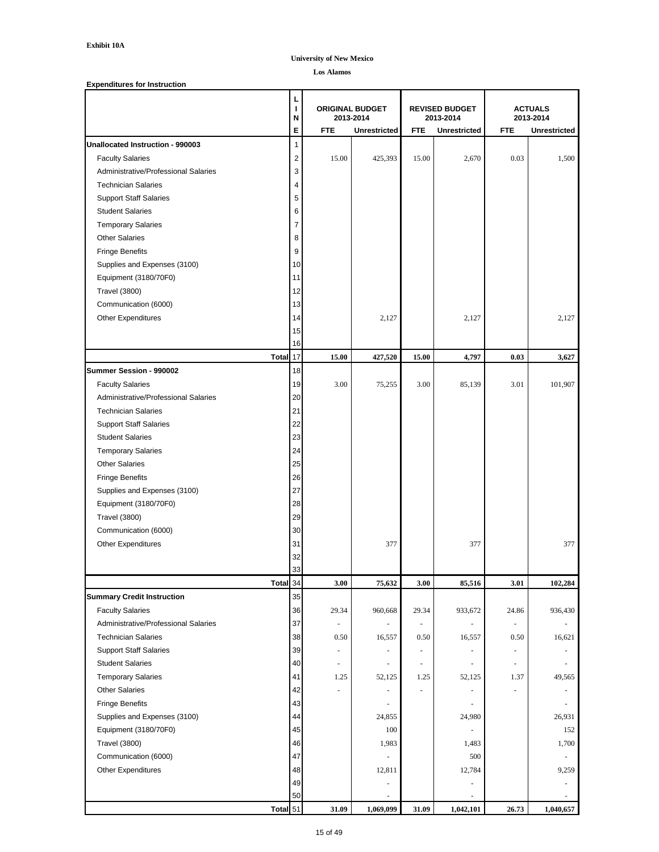|                                         | L<br>N              |                          | <b>ORIGINAL BUDGET</b><br>2013-2014 |            | <b>REVISED BUDGET</b><br>2013-2014 | <b>ACTUALS</b><br>2013-2014 |                          |  |
|-----------------------------------------|---------------------|--------------------------|-------------------------------------|------------|------------------------------------|-----------------------------|--------------------------|--|
|                                         | E                   | <b>FTE</b>               | <b>Unrestricted</b>                 | <b>FTE</b> | <b>Unrestricted</b>                | <b>FTE</b>                  | <b>Unrestricted</b>      |  |
| <b>Unallocated Instruction - 990003</b> | 1                   |                          |                                     |            |                                    |                             |                          |  |
| <b>Faculty Salaries</b>                 | 2                   | 15.00                    | 425,393                             | 15.00      | 2,670                              | 0.03                        | 1,500                    |  |
| Administrative/Professional Salaries    | 3                   |                          |                                     |            |                                    |                             |                          |  |
| <b>Technician Salaries</b>              | 4                   |                          |                                     |            |                                    |                             |                          |  |
| <b>Support Staff Salaries</b>           | 5                   |                          |                                     |            |                                    |                             |                          |  |
| <b>Student Salaries</b>                 | 6                   |                          |                                     |            |                                    |                             |                          |  |
| <b>Temporary Salaries</b>               | 7                   |                          |                                     |            |                                    |                             |                          |  |
| <b>Other Salaries</b>                   | 8                   |                          |                                     |            |                                    |                             |                          |  |
| <b>Fringe Benefits</b>                  | 9                   |                          |                                     |            |                                    |                             |                          |  |
| Supplies and Expenses (3100)            | 10                  |                          |                                     |            |                                    |                             |                          |  |
| Equipment (3180/70F0)                   | 11                  |                          |                                     |            |                                    |                             |                          |  |
| <b>Travel (3800)</b>                    | 12                  |                          |                                     |            |                                    |                             |                          |  |
| Communication (6000)                    | 13                  |                          |                                     |            |                                    |                             |                          |  |
| <b>Other Expenditures</b>               | 14                  |                          | 2,127                               |            | 2,127                              |                             | 2,127                    |  |
|                                         | 15                  |                          |                                     |            |                                    |                             |                          |  |
|                                         | 16                  |                          |                                     |            |                                    |                             |                          |  |
|                                         | Total 17            | 15.00                    | 427,520                             | 15.00      | 4,797                              | 0.03                        | 3,627                    |  |
| Summer Session - 990002                 | 18                  |                          |                                     |            |                                    |                             |                          |  |
| <b>Faculty Salaries</b>                 | 19                  | 3.00                     | 75,255                              | 3.00       | 85,139                             | 3.01                        | 101,907                  |  |
| Administrative/Professional Salaries    | 20                  |                          |                                     |            |                                    |                             |                          |  |
| <b>Technician Salaries</b>              | 21                  |                          |                                     |            |                                    |                             |                          |  |
| <b>Support Staff Salaries</b>           | 22                  |                          |                                     |            |                                    |                             |                          |  |
| <b>Student Salaries</b>                 | 23                  |                          |                                     |            |                                    |                             |                          |  |
| <b>Temporary Salaries</b>               | 24                  |                          |                                     |            |                                    |                             |                          |  |
| <b>Other Salaries</b>                   | 25                  |                          |                                     |            |                                    |                             |                          |  |
| <b>Fringe Benefits</b>                  | 26                  |                          |                                     |            |                                    |                             |                          |  |
| Supplies and Expenses (3100)            | 27                  |                          |                                     |            |                                    |                             |                          |  |
| Equipment (3180/70F0)                   | 28                  |                          |                                     |            |                                    |                             |                          |  |
| <b>Travel (3800)</b>                    | 29                  |                          |                                     |            |                                    |                             |                          |  |
|                                         | 30                  |                          |                                     |            |                                    |                             |                          |  |
| Communication (6000)                    |                     |                          |                                     |            |                                    |                             |                          |  |
| <b>Other Expenditures</b>               | 31                  |                          | 377                                 |            | 377                                |                             | 377                      |  |
|                                         | 32<br>33            |                          |                                     |            |                                    |                             |                          |  |
|                                         | Total 34            | 3.00                     | 75,632                              | 3.00       | 85,516                             | 3.01                        | 102,284                  |  |
| <b>Summary Credit Instruction</b>       | 35                  |                          |                                     |            |                                    |                             |                          |  |
| <b>Faculty Salaries</b>                 | 36                  | 29.34                    | 960,668                             | 29.34      | 933,672                            | 24.86                       | 936,430                  |  |
|                                         |                     |                          |                                     |            |                                    |                             |                          |  |
| Administrative/Professional Salaries    | 37                  | $\blacksquare$           |                                     |            | $\overline{\phantom{a}}$           |                             | $\blacksquare$           |  |
| <b>Technician Salaries</b>              | 38                  | 0.50                     | 16,557                              | 0.50       | 16,557                             | 0.50                        | 16,621                   |  |
| <b>Support Staff Salaries</b>           | 39                  | $\blacksquare$           | $\blacksquare$                      |            | $\blacksquare$                     |                             | $\blacksquare$           |  |
| <b>Student Salaries</b>                 | 40                  | $\overline{\phantom{a}}$ | $\blacksquare$                      |            | $\blacksquare$                     | $\blacksquare$              | $\blacksquare$           |  |
| <b>Temporary Salaries</b>               | 41                  | 1.25                     | 52,125                              | 1.25       | 52,125                             | 1.37                        | 49,565                   |  |
| <b>Other Salaries</b>                   | 42                  | Ξ.                       |                                     |            | $\overline{\phantom{a}}$           |                             | $\blacksquare$           |  |
| <b>Fringe Benefits</b>                  | 43                  |                          | $\blacksquare$                      |            | $\overline{\phantom{a}}$           |                             | $\blacksquare$           |  |
| Supplies and Expenses (3100)            | 44                  |                          | 24,855                              |            | 24,980                             |                             | 26,931                   |  |
| Equipment (3180/70F0)                   | 45                  |                          | 100                                 |            |                                    |                             | 152                      |  |
| <b>Travel (3800)</b>                    | 46                  |                          | 1,983                               |            | 1,483                              |                             | 1,700                    |  |
| Communication (6000)                    | 47                  |                          |                                     |            | 500                                |                             |                          |  |
| <b>Other Expenditures</b>               | 48                  |                          | 12,811                              |            | 12,784                             |                             | 9,259                    |  |
|                                         | 49                  |                          |                                     |            | $\overline{a}$                     |                             |                          |  |
|                                         | 50                  |                          | $\overline{\phantom{a}}$            |            | $\overline{\phantom{a}}$           |                             | $\overline{\phantom{a}}$ |  |
|                                         | Total <sup>51</sup> | 31.09                    | 1,069,099                           | 31.09      | 1,042,101                          | 26.73                       | 1,040,657                |  |

#### **University of New Mexico**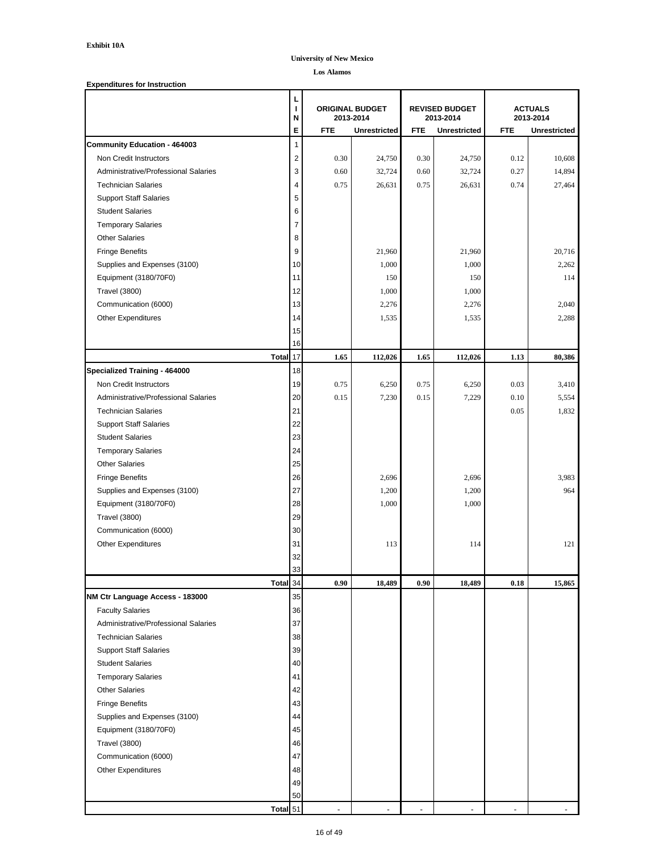|                                      | L<br>$\mathbf{I}$<br>$\mathsf{N}$ |                | <b>ORIGINAL BUDGET</b><br>2013-2014 |            | <b>REVISED BUDGET</b><br>2013-2014 | <b>ACTUALS</b><br>2013-2014 |                     |  |
|--------------------------------------|-----------------------------------|----------------|-------------------------------------|------------|------------------------------------|-----------------------------|---------------------|--|
|                                      | E                                 | <b>FTE</b>     | <b>Unrestricted</b>                 | <b>FTE</b> | <b>Unrestricted</b>                | <b>FTE</b>                  | <b>Unrestricted</b> |  |
| <b>Community Education - 464003</b>  | 1                                 |                |                                     |            |                                    |                             |                     |  |
| Non Credit Instructors               | 2                                 | 0.30           | 24,750                              | 0.30       | 24,750                             | 0.12                        | 10,608              |  |
| Administrative/Professional Salaries | 3                                 | 0.60           | 32,724                              | 0.60       | 32,724                             | 0.27                        | 14,894              |  |
| <b>Technician Salaries</b>           | 4                                 | 0.75           | 26,631                              | 0.75       | 26,631                             | 0.74                        | 27,464              |  |
| <b>Support Staff Salaries</b>        | 5                                 |                |                                     |            |                                    |                             |                     |  |
| <b>Student Salaries</b>              | 6                                 |                |                                     |            |                                    |                             |                     |  |
| <b>Temporary Salaries</b>            | $\overline{7}$                    |                |                                     |            |                                    |                             |                     |  |
| <b>Other Salaries</b>                | 8                                 |                |                                     |            |                                    |                             |                     |  |
| <b>Fringe Benefits</b>               | 9                                 |                | 21,960                              |            | 21,960                             |                             | 20,716              |  |
| Supplies and Expenses (3100)         | 10                                |                | 1,000                               |            | 1,000                              |                             | 2,262               |  |
| Equipment (3180/70F0)                | 11                                |                | 150                                 |            | 150                                |                             | 114                 |  |
| <b>Travel (3800)</b>                 | 12                                |                | 1,000                               |            | 1,000                              |                             |                     |  |
| Communication (6000)                 | 13                                |                | 2,276                               |            | 2,276                              |                             | 2,040               |  |
| <b>Other Expenditures</b>            | 14                                |                | 1,535                               |            | 1,535                              |                             | 2,288               |  |
|                                      | 15                                |                |                                     |            |                                    |                             |                     |  |
|                                      | 16                                |                |                                     |            |                                    |                             |                     |  |
|                                      | Total 17                          | 1.65           | 112,026                             | 1.65       | 112,026                            | 1.13                        | 80,386              |  |
| <b>Specialized Training - 464000</b> | 18                                |                |                                     |            |                                    |                             |                     |  |
| Non Credit Instructors               | 19                                | 0.75           | 6,250                               | 0.75       | 6,250                              | 0.03                        | 3,410               |  |
| Administrative/Professional Salaries | 20                                | 0.15           | 7,230                               | 0.15       | 7,229                              | 0.10                        | 5,554               |  |
| <b>Technician Salaries</b>           | 21                                |                |                                     |            |                                    | 0.05                        | 1,832               |  |
| <b>Support Staff Salaries</b>        | 22                                |                |                                     |            |                                    |                             |                     |  |
| <b>Student Salaries</b>              | 23                                |                |                                     |            |                                    |                             |                     |  |
| <b>Temporary Salaries</b>            | 24                                |                |                                     |            |                                    |                             |                     |  |
| <b>Other Salaries</b>                | 25                                |                |                                     |            |                                    |                             |                     |  |
| <b>Fringe Benefits</b>               | 26                                |                |                                     |            | 2,696                              |                             |                     |  |
|                                      |                                   |                | 2,696                               |            |                                    |                             | 3,983<br>964        |  |
| Supplies and Expenses (3100)         | 27                                |                | 1,200                               |            | 1,200                              |                             |                     |  |
| Equipment (3180/70F0)                | 28                                |                | 1,000                               |            | 1,000                              |                             |                     |  |
| <b>Travel (3800)</b>                 | 29                                |                |                                     |            |                                    |                             |                     |  |
| Communication (6000)                 | 30                                |                |                                     |            |                                    |                             |                     |  |
| <b>Other Expenditures</b>            | 31                                |                | 113                                 |            | 114                                |                             | 121                 |  |
|                                      | 32                                |                |                                     |            |                                    |                             |                     |  |
|                                      | 33<br>Total 34                    | 0.90           | 18,489                              | 0.90       | 18,489                             | 0.18                        |                     |  |
| NM Ctr Language Access - 183000      | 35                                |                |                                     |            |                                    |                             | 15,865              |  |
| <b>Faculty Salaries</b>              | 36                                |                |                                     |            |                                    |                             |                     |  |
|                                      |                                   |                |                                     |            |                                    |                             |                     |  |
| Administrative/Professional Salaries | 37                                |                |                                     |            |                                    |                             |                     |  |
| <b>Technician Salaries</b>           | 38                                |                |                                     |            |                                    |                             |                     |  |
| <b>Support Staff Salaries</b>        | 39                                |                |                                     |            |                                    |                             |                     |  |
| <b>Student Salaries</b>              | 40                                |                |                                     |            |                                    |                             |                     |  |
| <b>Temporary Salaries</b>            | 41                                |                |                                     |            |                                    |                             |                     |  |
| <b>Other Salaries</b>                | 42                                |                |                                     |            |                                    |                             |                     |  |
| <b>Fringe Benefits</b>               | 43                                |                |                                     |            |                                    |                             |                     |  |
| Supplies and Expenses (3100)         | 44                                |                |                                     |            |                                    |                             |                     |  |
| Equipment (3180/70F0)                | 45                                |                |                                     |            |                                    |                             |                     |  |
| <b>Travel (3800)</b>                 | 46                                |                |                                     |            |                                    |                             |                     |  |
| Communication (6000)                 | 47                                |                |                                     |            |                                    |                             |                     |  |
| <b>Other Expenditures</b>            | 48                                |                |                                     |            |                                    |                             |                     |  |
|                                      | 49                                |                |                                     |            |                                    |                             |                     |  |
|                                      | 50                                |                |                                     |            |                                    |                             |                     |  |
|                                      | Total 51                          | $\blacksquare$ |                                     |            |                                    |                             |                     |  |

#### **University of New Mexico**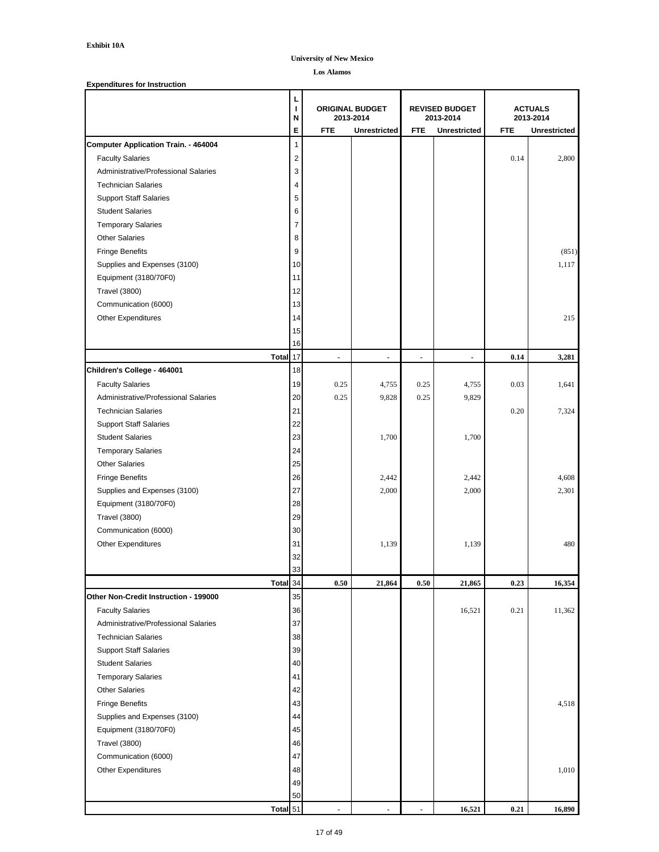|                                             |          | L<br>J.<br>N     | <b>ORIGINAL BUDGET</b><br>2013-2014 |                     |            | <b>REVISED BUDGET</b><br>2013-2014 |            | <b>ACTUALS</b><br>2013-2014 |
|---------------------------------------------|----------|------------------|-------------------------------------|---------------------|------------|------------------------------------|------------|-----------------------------|
|                                             |          | E                | <b>FTE</b>                          | <b>Unrestricted</b> | <b>FTE</b> | <b>Unrestricted</b>                | <b>FTE</b> | <b>Unrestricted</b>         |
| <b>Computer Application Train. - 464004</b> |          | 1                |                                     |                     |            |                                    |            |                             |
| <b>Faculty Salaries</b>                     |          | $\boldsymbol{2}$ |                                     |                     |            |                                    | 0.14       | 2,800                       |
| Administrative/Professional Salaries        |          | 3                |                                     |                     |            |                                    |            |                             |
| <b>Technician Salaries</b>                  |          | 4                |                                     |                     |            |                                    |            |                             |
| <b>Support Staff Salaries</b>               |          | 5                |                                     |                     |            |                                    |            |                             |
| <b>Student Salaries</b>                     |          | 6                |                                     |                     |            |                                    |            |                             |
| <b>Temporary Salaries</b>                   |          | $\overline{7}$   |                                     |                     |            |                                    |            |                             |
| <b>Other Salaries</b>                       |          | 8                |                                     |                     |            |                                    |            |                             |
| <b>Fringe Benefits</b>                      |          | 9                |                                     |                     |            |                                    |            | (851)                       |
| Supplies and Expenses (3100)                |          | 10               |                                     |                     |            |                                    |            | 1,117                       |
| Equipment (3180/70F0)                       |          | 11               |                                     |                     |            |                                    |            |                             |
| <b>Travel (3800)</b>                        |          | 12               |                                     |                     |            |                                    |            |                             |
| Communication (6000)                        |          | 13               |                                     |                     |            |                                    |            |                             |
| <b>Other Expenditures</b>                   |          | 14               |                                     |                     |            |                                    |            | 215                         |
|                                             |          | 15               |                                     |                     |            |                                    |            |                             |
|                                             |          | 16               |                                     |                     |            |                                    |            |                             |
|                                             | Total 17 |                  | $\blacksquare$                      | $\blacksquare$      | ٠          | $\blacksquare$                     | 0.14       | 3,281                       |
| Children's College - 464001                 |          | 18               |                                     |                     |            |                                    |            |                             |
| <b>Faculty Salaries</b>                     |          | 19               | 0.25                                | 4,755               | 0.25       | 4,755                              | 0.03       | 1,641                       |
| Administrative/Professional Salaries        |          | 20               | 0.25                                | 9,828               | 0.25       | 9,829                              |            |                             |
| <b>Technician Salaries</b>                  |          | 21               |                                     |                     |            |                                    | 0.20       | 7,324                       |
| <b>Support Staff Salaries</b>               |          | 22               |                                     |                     |            |                                    |            |                             |
| <b>Student Salaries</b>                     |          | 23               |                                     | 1,700               |            | 1,700                              |            |                             |
| <b>Temporary Salaries</b>                   |          | 24               |                                     |                     |            |                                    |            |                             |
| <b>Other Salaries</b>                       |          |                  |                                     |                     |            |                                    |            |                             |
|                                             |          | 25               |                                     |                     |            |                                    |            |                             |
| <b>Fringe Benefits</b>                      |          | 26               |                                     | 2,442               |            | 2,442                              |            | 4,608                       |
| Supplies and Expenses (3100)                |          | 27               |                                     | 2,000               |            | 2,000                              |            | 2,301                       |
| Equipment (3180/70F0)                       |          | 28               |                                     |                     |            |                                    |            |                             |
| <b>Travel (3800)</b>                        |          | 29               |                                     |                     |            |                                    |            |                             |
| Communication (6000)                        |          | 30               |                                     |                     |            |                                    |            |                             |
| <b>Other Expenditures</b>                   |          | 31               |                                     | 1,139               |            | 1,139                              |            | 480                         |
|                                             |          | 32               |                                     |                     |            |                                    |            |                             |
|                                             |          | 33               |                                     |                     |            |                                    |            |                             |
|                                             | Total 34 |                  | 0.50                                | 21,864              | 0.50       | 21,865                             | 0.23       | 16,354                      |
| Other Non-Credit Instruction - 199000       |          | 35               |                                     |                     |            |                                    |            |                             |
| <b>Faculty Salaries</b>                     |          | 36               |                                     |                     |            | 16,521                             | 0.21       | 11,362                      |
| Administrative/Professional Salaries        |          | 37               |                                     |                     |            |                                    |            |                             |
| <b>Technician Salaries</b>                  |          | 38               |                                     |                     |            |                                    |            |                             |
| <b>Support Staff Salaries</b>               |          | 39               |                                     |                     |            |                                    |            |                             |
| <b>Student Salaries</b>                     |          | 40               |                                     |                     |            |                                    |            |                             |
| <b>Temporary Salaries</b>                   |          | 41               |                                     |                     |            |                                    |            |                             |
| <b>Other Salaries</b>                       |          | 42               |                                     |                     |            |                                    |            |                             |
| <b>Fringe Benefits</b>                      |          | 43               |                                     |                     |            |                                    |            | 4,518                       |
| Supplies and Expenses (3100)                |          | 44               |                                     |                     |            |                                    |            |                             |
| Equipment (3180/70F0)                       |          | 45               |                                     |                     |            |                                    |            |                             |
| <b>Travel (3800)</b>                        |          | 46               |                                     |                     |            |                                    |            |                             |
| Communication (6000)                        |          | 47               |                                     |                     |            |                                    |            |                             |
| <b>Other Expenditures</b>                   |          | 48               |                                     |                     |            |                                    |            | 1,010                       |
|                                             |          | 49               |                                     |                     |            |                                    |            |                             |
|                                             |          | 50               |                                     |                     |            |                                    |            |                             |
|                                             | Total 51 |                  |                                     |                     |            | 16,521                             | 0.21       | 16,890                      |

#### **University of New Mexico**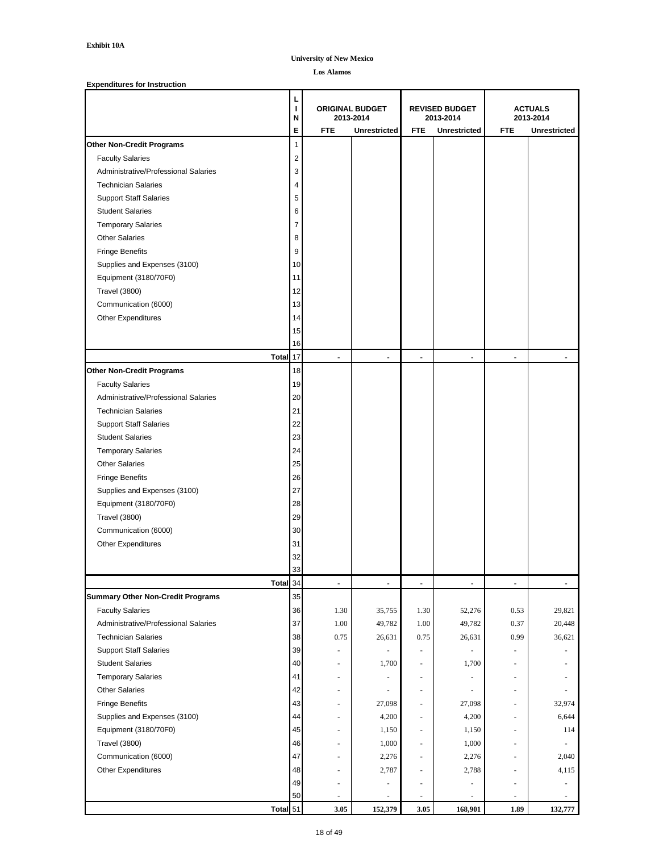|                                          | L<br>N | <b>ORIGINAL BUDGET</b>   | 2013-2014                |                          | <b>REVISED BUDGET</b><br>2013-2014 | <b>ACTUALS</b><br>2013-2014 |                          |
|------------------------------------------|--------|--------------------------|--------------------------|--------------------------|------------------------------------|-----------------------------|--------------------------|
|                                          | Е      | <b>FTE</b>               | <b>Unrestricted</b>      | <b>FTE</b>               | <b>Unrestricted</b>                | <b>FTE</b>                  | <b>Unrestricted</b>      |
| Other Non-Credit Programs                | 1      |                          |                          |                          |                                    |                             |                          |
| <b>Faculty Salaries</b>                  | 2      |                          |                          |                          |                                    |                             |                          |
| Administrative/Professional Salaries     | 3      |                          |                          |                          |                                    |                             |                          |
| <b>Technician Salaries</b>               | 4      |                          |                          |                          |                                    |                             |                          |
| <b>Support Staff Salaries</b>            | 5      |                          |                          |                          |                                    |                             |                          |
| <b>Student Salaries</b>                  | 6      |                          |                          |                          |                                    |                             |                          |
| <b>Temporary Salaries</b>                | 7      |                          |                          |                          |                                    |                             |                          |
| <b>Other Salaries</b>                    | 8      |                          |                          |                          |                                    |                             |                          |
| <b>Fringe Benefits</b>                   | 9      |                          |                          |                          |                                    |                             |                          |
| Supplies and Expenses (3100)             | 10     |                          |                          |                          |                                    |                             |                          |
| Equipment (3180/70F0)                    | 11     |                          |                          |                          |                                    |                             |                          |
| <b>Travel (3800)</b>                     | 12     |                          |                          |                          |                                    |                             |                          |
| Communication (6000)                     | 13     |                          |                          |                          |                                    |                             |                          |
| <b>Other Expenditures</b>                | 14     |                          |                          |                          |                                    |                             |                          |
|                                          | 15     |                          |                          |                          |                                    |                             |                          |
|                                          | 16     |                          |                          |                          |                                    |                             |                          |
| Total 17                                 |        | $\blacksquare$           | $\blacksquare$           | $\blacksquare$           | $\blacksquare$                     | $\blacksquare$              | $\blacksquare$           |
| <b>Other Non-Credit Programs</b>         | 18     |                          |                          |                          |                                    |                             |                          |
| <b>Faculty Salaries</b>                  | 19     |                          |                          |                          |                                    |                             |                          |
| Administrative/Professional Salaries     | 20     |                          |                          |                          |                                    |                             |                          |
| <b>Technician Salaries</b>               | 21     |                          |                          |                          |                                    |                             |                          |
| <b>Support Staff Salaries</b>            | 22     |                          |                          |                          |                                    |                             |                          |
| <b>Student Salaries</b>                  | 23     |                          |                          |                          |                                    |                             |                          |
| <b>Temporary Salaries</b>                | 24     |                          |                          |                          |                                    |                             |                          |
| <b>Other Salaries</b>                    | 25     |                          |                          |                          |                                    |                             |                          |
| <b>Fringe Benefits</b>                   | 26     |                          |                          |                          |                                    |                             |                          |
|                                          | 27     |                          |                          |                          |                                    |                             |                          |
| Supplies and Expenses (3100)             | 28     |                          |                          |                          |                                    |                             |                          |
| Equipment (3180/70F0)                    |        |                          |                          |                          |                                    |                             |                          |
| <b>Travel (3800)</b>                     | 29     |                          |                          |                          |                                    |                             |                          |
| Communication (6000)                     | 30     |                          |                          |                          |                                    |                             |                          |
| <b>Other Expenditures</b>                | 31     |                          |                          |                          |                                    |                             |                          |
|                                          | 32     |                          |                          |                          |                                    |                             |                          |
|                                          | 33     |                          |                          |                          |                                    |                             |                          |
| Total 34                                 |        | $\blacksquare$           |                          | ۰                        | $\blacksquare$                     | $\blacksquare$              | ۰                        |
| <b>Summary Other Non-Credit Programs</b> | 35     |                          |                          |                          |                                    |                             |                          |
| <b>Faculty Salaries</b>                  | 36     | 1.30                     | 35,755                   | 1.30                     | 52,276                             | 0.53                        | 29,821                   |
| Administrative/Professional Salaries     | 37     | 1.00                     | 49,782                   | 1.00                     | 49,782                             | 0.37                        | 20,448                   |
| <b>Technician Salaries</b>               | 38     | 0.75                     | 26,631                   | 0.75                     | 26,631                             | 0.99                        | 36,621                   |
| <b>Support Staff Salaries</b>            | 39     | $\blacksquare$           |                          | $\overline{\phantom{a}}$ | $\blacksquare$                     |                             | $\overline{a}$           |
| <b>Student Salaries</b>                  | 40     | $\overline{\phantom{a}}$ | 1,700                    | $\blacksquare$           | 1,700                              |                             | $\overline{\phantom{a}}$ |
| <b>Temporary Salaries</b>                | 41     | $\overline{\phantom{a}}$ |                          | $\blacksquare$           | $\overline{\phantom{a}}$           |                             | $\blacksquare$           |
| <b>Other Salaries</b>                    | 42     |                          |                          | $\overline{\phantom{0}}$ |                                    |                             | $\overline{\phantom{a}}$ |
| <b>Fringe Benefits</b>                   | 43     | $\overline{\phantom{0}}$ | 27,098                   | $\overline{\phantom{a}}$ | 27,098                             |                             | 32,974                   |
| Supplies and Expenses (3100)             | 44     |                          | 4,200                    | $\overline{\phantom{a}}$ | 4,200                              |                             | 6,644                    |
| Equipment (3180/70F0)                    | 45     | $\blacksquare$           | 1,150                    | $\blacksquare$           | 1,150                              |                             | 114                      |
| <b>Travel (3800)</b>                     | 46     |                          | 1,000                    | $\overline{\phantom{a}}$ | 1,000                              |                             |                          |
| Communication (6000)                     | 47     |                          | 2,276                    | $\overline{\phantom{a}}$ | 2,276                              |                             | 2,040                    |
| <b>Other Expenditures</b>                | 48     | $\sim$                   | 2,787                    | $\overline{\phantom{a}}$ | 2,788                              |                             | 4,115                    |
|                                          | 49     | $\overline{\phantom{a}}$ | $\overline{\phantom{a}}$ | $\blacksquare$           | $\overline{\phantom{a}}$           | $\overline{\phantom{a}}$    | $\blacksquare$           |
|                                          | 50     | $\overline{\phantom{a}}$ | $\blacksquare$           | $\blacksquare$           | $\blacksquare$                     | $\blacksquare$              | $\sim$                   |
| Total 51                                 |        | 3.05                     | 152,379                  | 3.05                     | 168,901                            | 1.89                        | 132,777                  |

#### **University of New Mexico**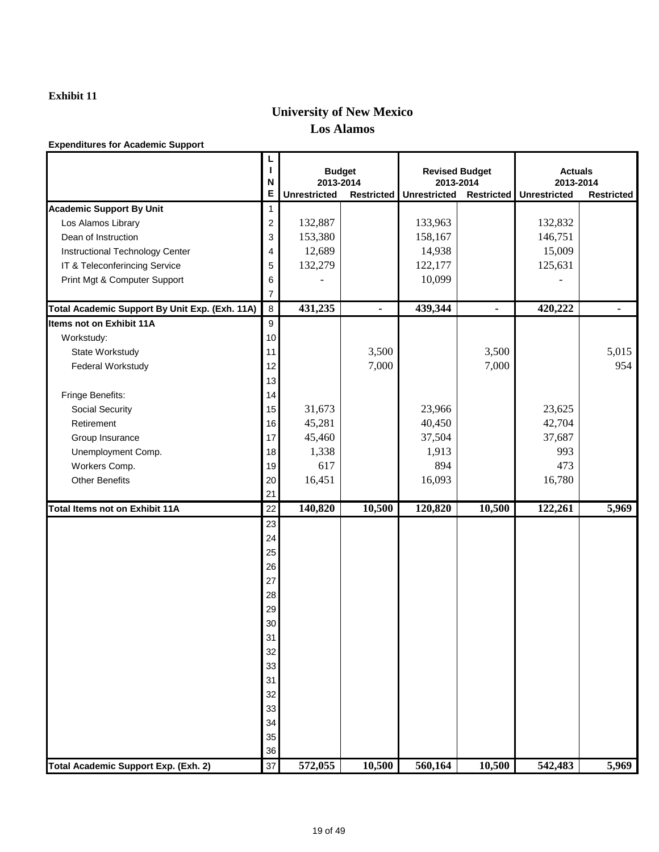## **University of New Mexico Los Alamos**

**Expenditures for Academic Support**

|                                                | L<br>ı<br>$\boldsymbol{\mathsf{N}}$ | 2013-2014           | <b>Budget</b>     | <b>Revised Budget</b><br>2013-2014 |                   | <b>Actuals</b><br>2013-2014 |                   |  |
|------------------------------------------------|-------------------------------------|---------------------|-------------------|------------------------------------|-------------------|-----------------------------|-------------------|--|
|                                                | E                                   | <b>Unrestricted</b> | <b>Restricted</b> | <b>Unrestricted</b>                | <b>Restricted</b> | <b>Unrestricted</b>         | <b>Restricted</b> |  |
| <b>Academic Support By Unit</b>                | 1                                   |                     |                   |                                    |                   |                             |                   |  |
| Los Alamos Library                             | $\overline{c}$                      | 132,887             |                   | 133,963                            |                   | 132,832                     |                   |  |
| Dean of Instruction                            | 3                                   | 153,380             |                   | 158,167                            |                   | 146,751                     |                   |  |
| Instructional Technology Center                | 4                                   | 12,689              |                   | 14,938                             |                   | 15,009                      |                   |  |
| IT & Teleconferincing Service                  | 5                                   | 132,279             |                   | 122,177                            |                   | 125,631                     |                   |  |
| Print Mgt & Computer Support                   | 6                                   |                     |                   | 10,099                             |                   |                             |                   |  |
|                                                | $\overline{7}$                      |                     |                   |                                    |                   |                             |                   |  |
| Total Academic Support By Unit Exp. (Exh. 11A) | $\bf 8$                             | 431,235             | $\blacksquare$    | 439,344                            | $\blacksquare$    | $\overline{420,}222$        | $\blacksquare$    |  |
| <b>Items not on Exhibit 11A</b>                | 9                                   |                     |                   |                                    |                   |                             |                   |  |
| Workstudy:                                     | 10 <sup>1</sup>                     |                     |                   |                                    |                   |                             |                   |  |
| State Workstudy                                | 11                                  |                     | 3,500             |                                    | 3,500             |                             | 5,015             |  |
| Federal Workstudy                              | 12                                  |                     | 7,000             |                                    | 7,000             |                             | 954               |  |
|                                                | 13                                  |                     |                   |                                    |                   |                             |                   |  |
| Fringe Benefits:                               | 14                                  |                     |                   |                                    |                   |                             |                   |  |
| Social Security                                | 15                                  | 31,673              |                   | 23,966                             |                   | 23,625                      |                   |  |
| Retirement                                     | 16                                  | 45,281              |                   | 40,450                             |                   | 42,704                      |                   |  |
| Group Insurance                                | 17                                  | 45,460              |                   | 37,504                             |                   | 37,687                      |                   |  |
| Unemployment Comp.                             | 18                                  | 1,338               |                   | 1,913                              |                   | 993                         |                   |  |
| Workers Comp.                                  | 19                                  | 617                 |                   | 894                                |                   | 473                         |                   |  |
| <b>Other Benefits</b>                          | 20                                  | 16,451              |                   | 16,093                             |                   | 16,780                      |                   |  |
|                                                | 21                                  |                     |                   |                                    |                   |                             |                   |  |
| Total Items not on Exhibit 11A                 | 22                                  | 140,820             | 10,500            | 120,820                            | 10,500            | 122,261                     | 5,969             |  |
|                                                | 23                                  |                     |                   |                                    |                   |                             |                   |  |
|                                                | 24                                  |                     |                   |                                    |                   |                             |                   |  |
|                                                | 25                                  |                     |                   |                                    |                   |                             |                   |  |
|                                                | 26                                  |                     |                   |                                    |                   |                             |                   |  |
|                                                | 27                                  |                     |                   |                                    |                   |                             |                   |  |
|                                                | 28                                  |                     |                   |                                    |                   |                             |                   |  |
|                                                | 29                                  |                     |                   |                                    |                   |                             |                   |  |
|                                                | 30                                  |                     |                   |                                    |                   |                             |                   |  |
|                                                | 31                                  |                     |                   |                                    |                   |                             |                   |  |
|                                                | 32                                  |                     |                   |                                    |                   |                             |                   |  |
|                                                | 33                                  |                     |                   |                                    |                   |                             |                   |  |
|                                                | 31                                  |                     |                   |                                    |                   |                             |                   |  |
|                                                | 32                                  |                     |                   |                                    |                   |                             |                   |  |
|                                                | 33                                  |                     |                   |                                    |                   |                             |                   |  |
|                                                | 34                                  |                     |                   |                                    |                   |                             |                   |  |
|                                                | 35                                  |                     |                   |                                    |                   |                             |                   |  |
|                                                | 36                                  |                     |                   |                                    |                   |                             |                   |  |
| Total Academic Support Exp. (Exh. 2)           | 37                                  | 572,055             | 10,500            | 560,164                            | 10,500            | 542,483                     | 5,969             |  |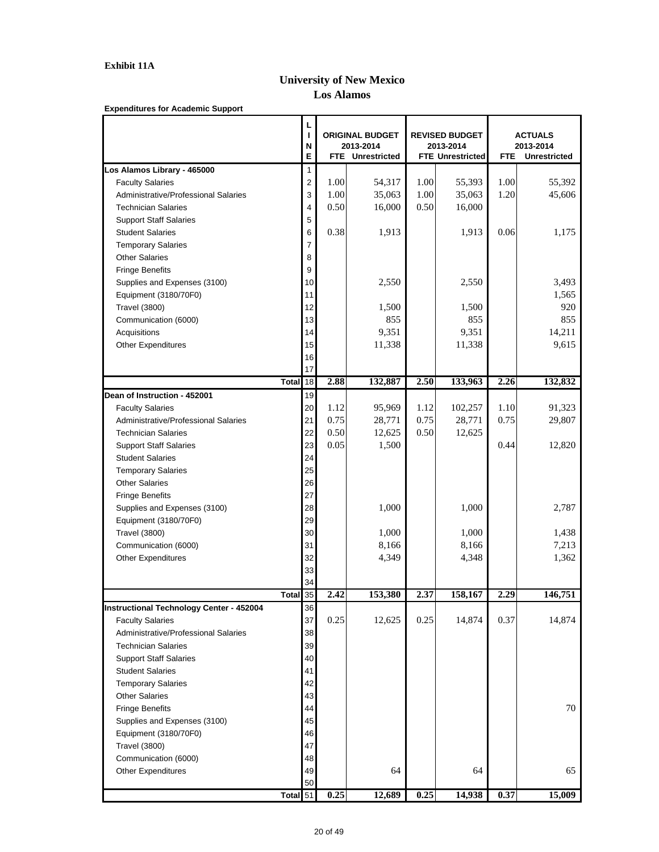## **University of New Mexico Los Alamos**

**Expenditures for Academic Support**

|                                                                    | L<br>I<br>N<br>E    |      | <b>ORIGINAL BUDGET</b><br>2013-2014<br><b>FTE</b> Unrestricted | <b>REVISED BUDGET</b><br>2013-2014<br><b>FTE Unrestricted</b> |         | <b>FTE</b> | <b>ACTUALS</b><br>2013-2014<br><b>Unrestricted</b> |
|--------------------------------------------------------------------|---------------------|------|----------------------------------------------------------------|---------------------------------------------------------------|---------|------------|----------------------------------------------------|
| Los Alamos Library - 465000                                        | 1                   |      |                                                                |                                                               |         |            |                                                    |
| <b>Faculty Salaries</b>                                            | $\overline{2}$      | 1.00 | 54,317                                                         | 1.00                                                          | 55,393  | 1.00       | 55,392                                             |
| Administrative/Professional Salaries                               | 3                   | 1.00 | 35,063                                                         | 1.00                                                          | 35,063  | 1.20       | 45,606                                             |
| <b>Technician Salaries</b>                                         | 4                   | 0.50 | 16,000                                                         | 0.50                                                          | 16,000  |            |                                                    |
| <b>Support Staff Salaries</b>                                      | 5                   |      |                                                                |                                                               |         |            |                                                    |
| <b>Student Salaries</b>                                            | 6                   | 0.38 | 1,913                                                          |                                                               | 1,913   | 0.06       | 1,175                                              |
| <b>Temporary Salaries</b>                                          | $\overline{7}$      |      |                                                                |                                                               |         |            |                                                    |
| <b>Other Salaries</b>                                              | 8                   |      |                                                                |                                                               |         |            |                                                    |
| <b>Fringe Benefits</b>                                             | 9                   |      |                                                                |                                                               |         |            |                                                    |
| Supplies and Expenses (3100)                                       | 10 <sub>1</sub>     |      | 2,550                                                          |                                                               | 2,550   |            | 3,493                                              |
| Equipment (3180/70F0)                                              | 11                  |      |                                                                |                                                               |         |            | 1,565                                              |
| <b>Travel (3800)</b>                                               | 12                  |      | 1,500                                                          |                                                               | 1,500   |            | 920                                                |
| Communication (6000)                                               | 13                  |      | 855                                                            |                                                               | 855     |            | 855                                                |
| Acquisitions                                                       | 14                  |      | 9,351                                                          |                                                               | 9,351   |            | 14,211                                             |
| <b>Other Expenditures</b>                                          | 15                  |      | 11,338                                                         |                                                               | 11,338  |            | 9,615                                              |
|                                                                    | 16<br>17            |      |                                                                |                                                               |         |            |                                                    |
|                                                                    | 18<br><b>Total</b>  | 2.88 | 132,887                                                        | 2.50                                                          | 133,963 | 2.26       | 132,832                                            |
| Dean of Instruction - 452001                                       | 19                  |      |                                                                |                                                               |         |            |                                                    |
| <b>Faculty Salaries</b>                                            | 20                  | 1.12 | 95,969                                                         | 1.12                                                          | 102,257 | 1.10       | 91,323                                             |
| Administrative/Professional Salaries                               | 21                  | 0.75 | 28,771                                                         | 0.75                                                          | 28,771  | 0.75       | 29,807                                             |
| <b>Technician Salaries</b>                                         | 22                  | 0.50 | 12,625                                                         | 0.50                                                          | 12,625  |            |                                                    |
| <b>Support Staff Salaries</b>                                      | 23                  | 0.05 | 1,500                                                          |                                                               |         | 0.44       | 12,820                                             |
| <b>Student Salaries</b>                                            | 24                  |      |                                                                |                                                               |         |            |                                                    |
| <b>Temporary Salaries</b>                                          | 25                  |      |                                                                |                                                               |         |            |                                                    |
| <b>Other Salaries</b>                                              | 26                  |      |                                                                |                                                               |         |            |                                                    |
| <b>Fringe Benefits</b>                                             | 27                  |      |                                                                |                                                               |         |            |                                                    |
| Supplies and Expenses (3100)                                       | 28                  |      | 1,000                                                          |                                                               | 1,000   |            | 2,787                                              |
| Equipment (3180/70F0)                                              | 29                  |      |                                                                |                                                               |         |            |                                                    |
| <b>Travel (3800)</b>                                               | 30                  |      | 1,000                                                          |                                                               | 1,000   |            | 1,438                                              |
| Communication (6000)                                               | 31                  |      | 8,166                                                          |                                                               | 8,166   |            | 7,213                                              |
| <b>Other Expenditures</b>                                          | 32                  |      | 4,349                                                          |                                                               | 4,348   |            | 1,362                                              |
|                                                                    | 33                  |      |                                                                |                                                               |         |            |                                                    |
|                                                                    | 34                  |      |                                                                |                                                               |         |            |                                                    |
|                                                                    | 35<br><b>Total</b>  | 2.42 | 153,380                                                        | 2.37                                                          | 158,167 | 2.29       | 146,751                                            |
| <b>Instructional Technology Center - 452004</b>                    | 36                  |      |                                                                |                                                               |         |            |                                                    |
| <b>Faculty Salaries</b>                                            | 37                  | 0.25 | 12,625                                                         | 0.25                                                          | 14,874  | 0.37       | 14,874                                             |
| Administrative/Professional Salaries<br><b>Technician Salaries</b> | 38                  |      |                                                                |                                                               |         |            |                                                    |
|                                                                    | 39<br>40            |      |                                                                |                                                               |         |            |                                                    |
| <b>Support Staff Salaries</b>                                      |                     |      |                                                                |                                                               |         |            |                                                    |
| <b>Student Salaries</b><br><b>Temporary Salaries</b>               | 41<br>42            |      |                                                                |                                                               |         |            |                                                    |
| <b>Other Salaries</b>                                              | 43                  |      |                                                                |                                                               |         |            |                                                    |
| <b>Fringe Benefits</b>                                             | 44                  |      |                                                                |                                                               |         |            | 70                                                 |
| Supplies and Expenses (3100)                                       | 45                  |      |                                                                |                                                               |         |            |                                                    |
| Equipment (3180/70F0)                                              | 46                  |      |                                                                |                                                               |         |            |                                                    |
| <b>Travel (3800)</b>                                               | 47                  |      |                                                                |                                                               |         |            |                                                    |
| Communication (6000)                                               | 48                  |      |                                                                |                                                               |         |            |                                                    |
| <b>Other Expenditures</b>                                          | 49                  |      | 64                                                             |                                                               | 64      |            | 65                                                 |
|                                                                    | 50                  |      |                                                                |                                                               |         |            |                                                    |
|                                                                    | Total <sup>51</sup> | 0.25 | 12,689                                                         | 0.25                                                          | 14,938  | 0.37       | 15,009                                             |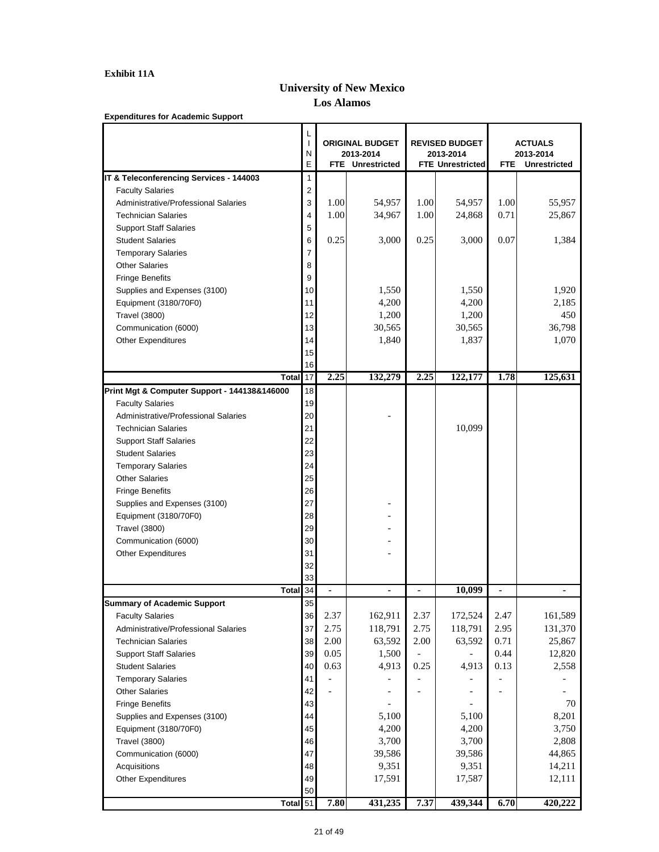#### **Exhibit 11A**

## **University of New Mexico Los Alamos**

**Expenditures for Academic Support**

|                                              | L<br>$\overline{\phantom{a}}$<br>N |      | <b>ORIGINAL BUDGET</b><br>2013-2014 |      | <b>REVISED BUDGET</b><br>2013-2014 |                          | <b>ACTUALS</b><br>2013-2014 |
|----------------------------------------------|------------------------------------|------|-------------------------------------|------|------------------------------------|--------------------------|-----------------------------|
|                                              | E                                  |      | <b>FTE</b> Unrestricted             |      | <b>FTE Unrestricted</b>            | <b>FTE</b>               | <b>Unrestricted</b>         |
| IT & Teleconferencing Services - 144003      | 1                                  |      |                                     |      |                                    |                          |                             |
| <b>Faculty Salaries</b>                      | $\overline{2}$                     |      |                                     |      |                                    |                          |                             |
| Administrative/Professional Salaries         | 3                                  | 1.00 | 54,957                              | 1.00 | 54,957                             | 1.00                     | 55,957                      |
| <b>Technician Salaries</b>                   | 4                                  | 1.00 | 34,967                              | 1.00 | 24,868                             | 0.71                     | 25,867                      |
| <b>Support Staff Salaries</b>                | 5                                  |      |                                     |      |                                    |                          |                             |
| <b>Student Salaries</b>                      | 6                                  | 0.25 | 3,000                               | 0.25 | 3,000                              | 0.07                     | 1,384                       |
| <b>Temporary Salaries</b>                    | 7                                  |      |                                     |      |                                    |                          |                             |
| <b>Other Salaries</b>                        | 8                                  |      |                                     |      |                                    |                          |                             |
| <b>Fringe Benefits</b>                       | 9                                  |      |                                     |      |                                    |                          |                             |
| Supplies and Expenses (3100)                 | 10                                 |      | 1,550                               |      | 1,550                              |                          | 1,920                       |
| Equipment (3180/70F0)                        | 11                                 |      | 4,200                               |      | 4,200                              |                          | 2,185                       |
| <b>Travel (3800)</b>                         | 12                                 |      | 1,200                               |      | 1,200                              |                          | 450                         |
| Communication (6000)                         | 13                                 |      | 30,565                              |      | 30,565                             |                          | 36,798                      |
| <b>Other Expenditures</b>                    | 14                                 |      | 1,840                               |      | 1,837                              |                          | 1,070                       |
|                                              | 15                                 |      |                                     |      |                                    |                          |                             |
| <b>Total</b>                                 | 16<br>17                           | 2.25 | 132,279                             | 2.25 | 122,177                            | 1.78                     | 125,631                     |
| Print Mgt & Computer Support - 144138&146000 | 18                                 |      |                                     |      |                                    |                          |                             |
| <b>Faculty Salaries</b>                      | 19                                 |      |                                     |      |                                    |                          |                             |
| Administrative/Professional Salaries         | 20                                 |      |                                     |      |                                    |                          |                             |
| <b>Technician Salaries</b>                   | 21                                 |      |                                     |      | 10,099                             |                          |                             |
| <b>Support Staff Salaries</b>                | 22                                 |      |                                     |      |                                    |                          |                             |
| <b>Student Salaries</b>                      | 23                                 |      |                                     |      |                                    |                          |                             |
| <b>Temporary Salaries</b>                    | 24                                 |      |                                     |      |                                    |                          |                             |
| <b>Other Salaries</b>                        | 25                                 |      |                                     |      |                                    |                          |                             |
| <b>Fringe Benefits</b>                       | 26                                 |      |                                     |      |                                    |                          |                             |
| Supplies and Expenses (3100)                 | 27                                 |      |                                     |      |                                    |                          |                             |
| Equipment (3180/70F0)                        | 28                                 |      |                                     |      |                                    |                          |                             |
| <b>Travel (3800)</b>                         | 29                                 |      |                                     |      |                                    |                          |                             |
| Communication (6000)                         | 30                                 |      |                                     |      |                                    |                          |                             |
| <b>Other Expenditures</b>                    | 31                                 |      |                                     |      |                                    |                          |                             |
|                                              | 32                                 |      |                                     |      |                                    |                          |                             |
|                                              | 33                                 |      |                                     |      |                                    |                          |                             |
| <b>Total</b>                                 | 34                                 |      |                                     |      | 10,099                             | $\overline{\phantom{0}}$ |                             |
| <b>Summary of Academic Support</b>           | 35                                 |      |                                     |      |                                    |                          |                             |
| <b>Faculty Salaries</b>                      | 36                                 | 2.37 | 162,911                             | 2.37 | 172,524                            | 2.47                     | 161,589                     |
| Administrative/Professional Salaries         | 37                                 | 2.75 | 118,791                             | 2.75 | 118,791                            | 2.95                     | 131,370                     |
| <b>Technician Salaries</b>                   | 38                                 | 2.00 | 63,592                              | 2.00 | 63,592                             | 0.71                     | 25,867                      |
| <b>Support Staff Salaries</b>                | 39                                 | 0.05 | 1,500                               |      |                                    | 0.44                     | 12,820                      |
| <b>Student Salaries</b>                      | 40                                 | 0.63 | 4,913                               | 0.25 | 4,913                              | 0.13                     | 2,558                       |
| <b>Temporary Salaries</b>                    | 41                                 |      |                                     |      |                                    |                          |                             |
| <b>Other Salaries</b>                        | 42                                 |      |                                     |      |                                    |                          |                             |
| <b>Fringe Benefits</b>                       | 43                                 |      |                                     |      |                                    |                          | 70                          |
| Supplies and Expenses (3100)                 | 44                                 |      | 5,100                               |      | 5,100                              |                          | 8,201                       |
| Equipment (3180/70F0)                        | 45                                 |      | 4,200                               |      | 4,200                              |                          | 3,750                       |
| <b>Travel (3800)</b>                         | 46                                 |      | 3,700                               |      | 3,700                              |                          | 2,808                       |
| Communication (6000)                         | 47                                 |      | 39,586                              |      | 39,586                             |                          | 44,865                      |
| Acquisitions                                 | 48                                 |      | 9,351                               |      | 9,351                              |                          | 14,211                      |
| <b>Other Expenditures</b>                    | 49                                 |      | 17,591                              |      | 17,587                             |                          | 12,111                      |
|                                              | 50                                 |      |                                     |      |                                    |                          |                             |
| Total <sup>51</sup>                          |                                    | 7.80 | 431,235                             | 7.37 | 439,344                            | 6.70                     | 420,222                     |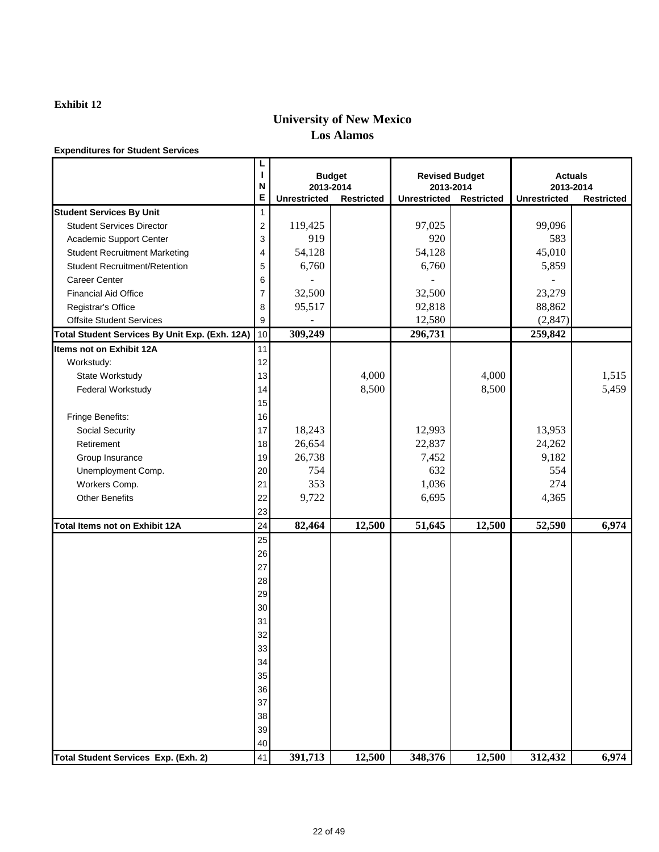## **University of New Mexico Los Alamos**

|                                                | N              | 2013-2014           | <b>Budget</b>     | <b>Revised Budget</b><br>2013-2014 |                   | <b>Actuals</b><br>2013-2014 |                   |
|------------------------------------------------|----------------|---------------------|-------------------|------------------------------------|-------------------|-----------------------------|-------------------|
|                                                | E              | <b>Unrestricted</b> | <b>Restricted</b> | <b>Unrestricted</b>                | <b>Restricted</b> | <b>Unrestricted</b>         | <b>Restricted</b> |
| <b>Student Services By Unit</b>                | 1              |                     |                   |                                    |                   |                             |                   |
| <b>Student Services Director</b>               | $\overline{2}$ | 119,425             |                   | 97,025                             |                   | 99,096                      |                   |
| Academic Support Center                        | 3              | 919                 |                   | 920                                |                   | 583                         |                   |
| <b>Student Recruitment Marketing</b>           | 4              | 54,128              |                   | 54,128                             |                   | 45,010                      |                   |
| <b>Student Recruitment/Retention</b>           | 5              | 6,760               |                   | 6,760                              |                   | 5,859                       |                   |
| <b>Career Center</b>                           | 6              |                     |                   |                                    |                   |                             |                   |
| <b>Financial Aid Office</b>                    | $\overline{7}$ | 32,500              |                   | 32,500                             |                   | 23,279                      |                   |
| Registrar's Office                             | 8              | 95,517              |                   | 92,818                             |                   | 88,862                      |                   |
| <b>Offsite Student Services</b>                | 9              |                     |                   | 12,580                             |                   | (2,847)                     |                   |
| Total Student Services By Unit Exp. (Exh. 12A) | $10$           | 309,249             |                   | 296,731                            |                   | 259,842                     |                   |
| <b>Items not on Exhibit 12A</b>                | 11             |                     |                   |                                    |                   |                             |                   |
| Workstudy:                                     | 12             |                     |                   |                                    |                   |                             |                   |
| State Workstudy                                | 13             |                     | 4,000             |                                    | 4,000             |                             | 1,515             |
| <b>Federal Workstudy</b>                       | 14             |                     | 8,500             |                                    | 8,500             |                             | 5,459             |
|                                                | 15             |                     |                   |                                    |                   |                             |                   |
| Fringe Benefits:                               | 16             |                     |                   |                                    |                   |                             |                   |
| <b>Social Security</b>                         | 17             | 18,243              |                   | 12,993                             |                   | 13,953                      |                   |
| Retirement                                     | 18             | 26,654              |                   | 22,837                             |                   | 24,262                      |                   |
| Group Insurance                                | 19             | 26,738              |                   | 7,452                              |                   | 9,182                       |                   |
| Unemployment Comp.                             | 20             | 754                 |                   | 632                                |                   | 554                         |                   |
| Workers Comp.                                  | 21             | 353                 |                   | 1,036                              |                   | 274                         |                   |
| <b>Other Benefits</b>                          | 22             | 9,722               |                   | 6,695                              |                   | 4,365                       |                   |
|                                                | 23             |                     |                   |                                    |                   |                             |                   |
| Total Items not on Exhibit 12A                 | 24             | 82,464              | 12,500            | 51,645                             | 12,500            | 52,590                      | 6,974             |
|                                                | 25             |                     |                   |                                    |                   |                             |                   |
|                                                | 26             |                     |                   |                                    |                   |                             |                   |
|                                                | 27             |                     |                   |                                    |                   |                             |                   |
|                                                | 28             |                     |                   |                                    |                   |                             |                   |
|                                                | 29             |                     |                   |                                    |                   |                             |                   |
|                                                | 30             |                     |                   |                                    |                   |                             |                   |
|                                                | 31             |                     |                   |                                    |                   |                             |                   |
|                                                | 32             |                     |                   |                                    |                   |                             |                   |
|                                                | 33             |                     |                   |                                    |                   |                             |                   |
|                                                | 34             |                     |                   |                                    |                   |                             |                   |
|                                                | 35             |                     |                   |                                    |                   |                             |                   |
|                                                | 36             |                     |                   |                                    |                   |                             |                   |
|                                                | 37             |                     |                   |                                    |                   |                             |                   |
|                                                | 38             |                     |                   |                                    |                   |                             |                   |
|                                                | 39             |                     |                   |                                    |                   |                             |                   |
|                                                | 40             |                     |                   |                                    |                   |                             |                   |
| Total Student Services Exp. (Exh. 2)           | 41             | 391,713             | 12,500            | 348,376                            | 12,500            | 312,432                     | 6,974             |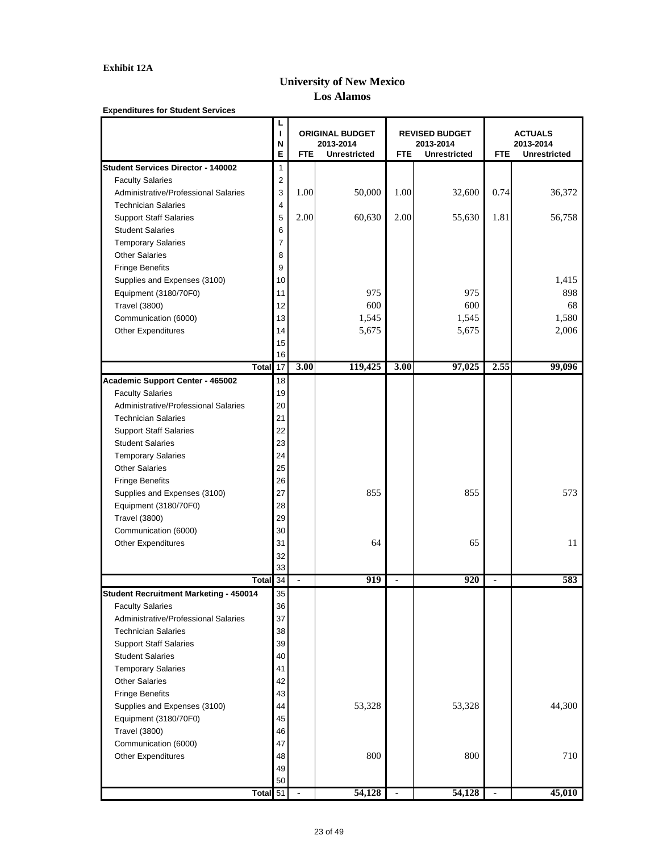### **Exhibit 12A**

### **University of New Mexico Los Alamos**

|                                                    | Ц<br>N<br>E               | <b>FTE</b>        | <b>ORIGINAL BUDGET</b><br>2013-2014<br><b>Unrestricted</b> | <b>FTE</b>     | <b>REVISED BUDGET</b><br>2013-2014<br><b>Unrestricted</b> | <b>FTE</b>     | <b>ACTUALS</b><br>2013-2014<br><b>Unrestricted</b> |
|----------------------------------------------------|---------------------------|-------------------|------------------------------------------------------------|----------------|-----------------------------------------------------------|----------------|----------------------------------------------------|
| <b>Student Services Director - 140002</b>          | 1                         |                   |                                                            |                |                                                           |                |                                                    |
| <b>Faculty Salaries</b>                            | $\overline{c}$            |                   |                                                            |                |                                                           |                |                                                    |
| Administrative/Professional Salaries               | $\ensuremath{\mathsf{3}}$ | 1.00              | 50,000                                                     | 1.00           | 32,600                                                    | 0.74           | 36,372                                             |
| <b>Technician Salaries</b>                         | 4                         |                   |                                                            |                |                                                           |                |                                                    |
| <b>Support Staff Salaries</b>                      | 5                         | 2.00              | 60,630                                                     | 2.00           | 55,630                                                    | 1.81           | 56,758                                             |
| <b>Student Salaries</b>                            | 6                         |                   |                                                            |                |                                                           |                |                                                    |
| <b>Temporary Salaries</b>                          | $\overline{7}$            |                   |                                                            |                |                                                           |                |                                                    |
| <b>Other Salaries</b>                              | 8                         |                   |                                                            |                |                                                           |                |                                                    |
| <b>Fringe Benefits</b>                             | 9                         |                   |                                                            |                |                                                           |                |                                                    |
| Supplies and Expenses (3100)                       | 10                        |                   |                                                            |                |                                                           |                | 1,415                                              |
| Equipment (3180/70F0)                              | 11                        |                   | 975                                                        |                | 975                                                       |                | 898                                                |
| <b>Travel (3800)</b>                               | 12                        |                   | 600                                                        |                | 600                                                       |                | 68                                                 |
| Communication (6000)                               | 13                        |                   | 1,545                                                      |                | 1,545                                                     |                | 1,580                                              |
| <b>Other Expenditures</b>                          | 14                        |                   | 5,675                                                      |                | 5,675                                                     |                | 2,006                                              |
|                                                    | 15                        |                   |                                                            |                |                                                           |                |                                                    |
|                                                    | 16                        |                   |                                                            |                |                                                           |                |                                                    |
| <b>Total</b>                                       | 17                        | $\overline{3.00}$ | 119,425                                                    | 3.00           | 97,025                                                    | 2.55           | 99,096                                             |
| <b>Academic Support Center - 465002</b>            | 18                        |                   |                                                            |                |                                                           |                |                                                    |
| <b>Faculty Salaries</b>                            | 19                        |                   |                                                            |                |                                                           |                |                                                    |
| Administrative/Professional Salaries               | 20                        |                   |                                                            |                |                                                           |                |                                                    |
| <b>Technician Salaries</b>                         | 21                        |                   |                                                            |                |                                                           |                |                                                    |
| <b>Support Staff Salaries</b>                      | 22                        |                   |                                                            |                |                                                           |                |                                                    |
| <b>Student Salaries</b>                            | 23                        |                   |                                                            |                |                                                           |                |                                                    |
| <b>Temporary Salaries</b>                          | 24                        |                   |                                                            |                |                                                           |                |                                                    |
| <b>Other Salaries</b>                              | 25                        |                   |                                                            |                |                                                           |                |                                                    |
| <b>Fringe Benefits</b>                             | 26                        |                   |                                                            |                |                                                           |                |                                                    |
| Supplies and Expenses (3100)                       | 27                        |                   | 855                                                        |                | 855                                                       |                | 573                                                |
| Equipment (3180/70F0)                              | 28                        |                   |                                                            |                |                                                           |                |                                                    |
| <b>Travel (3800)</b>                               | 29                        |                   |                                                            |                |                                                           |                |                                                    |
| Communication (6000)                               | 30                        |                   |                                                            |                |                                                           |                |                                                    |
| <b>Other Expenditures</b>                          | 31                        |                   | 64                                                         |                | 65                                                        |                | 11                                                 |
|                                                    | 32                        |                   |                                                            |                |                                                           |                |                                                    |
|                                                    | 33                        |                   |                                                            |                |                                                           |                |                                                    |
| <b>Total</b>                                       | 34                        | $\blacksquare$    | $\overline{919}$                                           | $\blacksquare$ | 920                                                       | $\blacksquare$ | 583                                                |
| <b>Student Recruitment Marketing - 450014</b>      | 35                        |                   |                                                            |                |                                                           |                |                                                    |
| <b>Faculty Salaries</b>                            | 36                        |                   |                                                            |                |                                                           |                |                                                    |
| Administrative/Professional Salaries               | 37                        |                   |                                                            |                |                                                           |                |                                                    |
| <b>Technician Salaries</b>                         | 38                        |                   |                                                            |                |                                                           |                |                                                    |
| <b>Support Staff Salaries</b>                      | 39                        |                   |                                                            |                |                                                           |                |                                                    |
| <b>Student Salaries</b>                            | 40                        |                   |                                                            |                |                                                           |                |                                                    |
| <b>Temporary Salaries</b><br><b>Other Salaries</b> | 41                        |                   |                                                            |                |                                                           |                |                                                    |
|                                                    | 42                        |                   |                                                            |                |                                                           |                |                                                    |
| <b>Fringe Benefits</b>                             | 43                        |                   | 53,328                                                     |                | 53,328                                                    |                | 44,300                                             |
| Supplies and Expenses (3100)                       | 44<br>45                  |                   |                                                            |                |                                                           |                |                                                    |
| Equipment (3180/70F0)<br><b>Travel (3800)</b>      | 46                        |                   |                                                            |                |                                                           |                |                                                    |
| Communication (6000)                               | 47                        |                   |                                                            |                |                                                           |                |                                                    |
| <b>Other Expenditures</b>                          | 48                        |                   | 800                                                        |                | 800                                                       |                | 710                                                |
|                                                    | 49                        |                   |                                                            |                |                                                           |                |                                                    |
|                                                    | 50                        |                   |                                                            |                |                                                           |                |                                                    |
| Total <sup>51</sup>                                |                           |                   | 54,128                                                     | $\blacksquare$ | 54,128                                                    |                | 45,010                                             |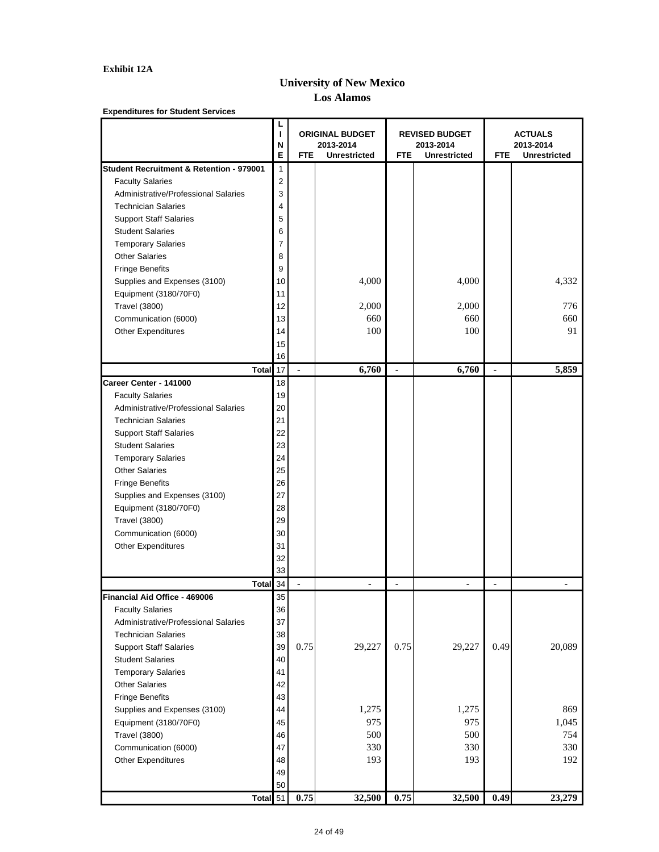#### **Exhibit 12A**

### **University of New Mexico Los Alamos**

|                                                     | L<br>ı<br>N<br>E    | <b>FTE</b>     | <b>ORIGINAL BUDGET</b><br>2013-2014<br><b>Unrestricted</b> | <b>FTE</b>     | <b>REVISED BUDGET</b><br>2013-2014<br><b>Unrestricted</b> | <b>FTE</b>     | <b>ACTUALS</b><br>2013-2014<br><b>Unrestricted</b> |
|-----------------------------------------------------|---------------------|----------------|------------------------------------------------------------|----------------|-----------------------------------------------------------|----------------|----------------------------------------------------|
| <b>Student Recruitment &amp; Retention - 979001</b> | 1                   |                |                                                            |                |                                                           |                |                                                    |
| <b>Faculty Salaries</b>                             | $\overline{2}$      |                |                                                            |                |                                                           |                |                                                    |
| Administrative/Professional Salaries                | 3                   |                |                                                            |                |                                                           |                |                                                    |
| <b>Technician Salaries</b>                          | 4                   |                |                                                            |                |                                                           |                |                                                    |
| <b>Support Staff Salaries</b>                       | 5                   |                |                                                            |                |                                                           |                |                                                    |
| <b>Student Salaries</b>                             | 6                   |                |                                                            |                |                                                           |                |                                                    |
| <b>Temporary Salaries</b>                           | 7                   |                |                                                            |                |                                                           |                |                                                    |
| <b>Other Salaries</b>                               | 8                   |                |                                                            |                |                                                           |                |                                                    |
| <b>Fringe Benefits</b>                              | 9                   |                |                                                            |                |                                                           |                |                                                    |
| Supplies and Expenses (3100)                        | 10                  |                | 4,000                                                      |                | 4,000                                                     |                | 4,332                                              |
| Equipment (3180/70F0)                               | 11                  |                |                                                            |                |                                                           |                |                                                    |
| <b>Travel (3800)</b>                                | 12                  |                | 2,000                                                      |                | 2,000                                                     |                | 776                                                |
| Communication (6000)                                | 13                  |                | 660                                                        |                | 660                                                       |                | 660                                                |
| <b>Other Expenditures</b>                           | 14                  |                | 100                                                        |                | 100                                                       |                | 91                                                 |
|                                                     | 15                  |                |                                                            |                |                                                           |                |                                                    |
|                                                     | 16                  |                |                                                            |                |                                                           |                |                                                    |
| <b>Total</b>                                        | 17                  | $\blacksquare$ | 6,760                                                      | $\blacksquare$ | 6,760                                                     | $\blacksquare$ | 5,859                                              |
| Career Center - 141000                              | 18                  |                |                                                            |                |                                                           |                |                                                    |
| <b>Faculty Salaries</b>                             | 19                  |                |                                                            |                |                                                           |                |                                                    |
| Administrative/Professional Salaries                | 20                  |                |                                                            |                |                                                           |                |                                                    |
| <b>Technician Salaries</b>                          | 21                  |                |                                                            |                |                                                           |                |                                                    |
| <b>Support Staff Salaries</b>                       | 22                  |                |                                                            |                |                                                           |                |                                                    |
| <b>Student Salaries</b>                             | 23                  |                |                                                            |                |                                                           |                |                                                    |
| <b>Temporary Salaries</b>                           | 24                  |                |                                                            |                |                                                           |                |                                                    |
| <b>Other Salaries</b>                               | 25                  |                |                                                            |                |                                                           |                |                                                    |
| <b>Fringe Benefits</b>                              | 26                  |                |                                                            |                |                                                           |                |                                                    |
| Supplies and Expenses (3100)                        | 27                  |                |                                                            |                |                                                           |                |                                                    |
| Equipment (3180/70F0)                               | 28                  |                |                                                            |                |                                                           |                |                                                    |
| <b>Travel (3800)</b>                                | 29                  |                |                                                            |                |                                                           |                |                                                    |
| Communication (6000)                                | 30                  |                |                                                            |                |                                                           |                |                                                    |
| <b>Other Expenditures</b>                           | 31                  |                |                                                            |                |                                                           |                |                                                    |
|                                                     | 32                  |                |                                                            |                |                                                           |                |                                                    |
|                                                     | 33                  |                |                                                            |                |                                                           |                |                                                    |
|                                                     | Total <sup>34</sup> |                |                                                            | $\blacksquare$ |                                                           | $\blacksquare$ |                                                    |
| Financial Aid Office - 469006                       | 35                  |                |                                                            |                |                                                           |                |                                                    |
| <b>Faculty Salaries</b>                             | 36                  |                |                                                            |                |                                                           |                |                                                    |
| Administrative/Professional Salaries                | 37                  |                |                                                            |                |                                                           |                |                                                    |
| <b>Technician Salaries</b>                          | 38                  |                |                                                            |                |                                                           |                |                                                    |
| <b>Support Staff Salaries</b>                       | 39                  | 0.75           | 29,227                                                     | 0.75           | 29,227                                                    | 0.49           | 20,089                                             |
| <b>Student Salaries</b>                             | 40                  |                |                                                            |                |                                                           |                |                                                    |
| <b>Temporary Salaries</b>                           | 41                  |                |                                                            |                |                                                           |                |                                                    |
| <b>Other Salaries</b>                               | 42                  |                |                                                            |                |                                                           |                |                                                    |
| <b>Fringe Benefits</b>                              | 43                  |                |                                                            |                |                                                           |                |                                                    |
| Supplies and Expenses (3100)                        | 44                  |                | 1,275                                                      |                | 1,275                                                     |                | 869                                                |
| Equipment (3180/70F0)                               | 45                  |                | 975                                                        |                | 975                                                       |                | 1,045                                              |
| <b>Travel (3800)</b>                                | 46                  |                | 500                                                        |                | 500                                                       |                | 754                                                |
| Communication (6000)                                | 47                  |                | 330                                                        |                | 330                                                       |                | 330                                                |
| <b>Other Expenditures</b>                           | 48                  |                | 193                                                        |                | 193                                                       |                | 192                                                |
|                                                     | 49                  |                |                                                            |                |                                                           |                |                                                    |
|                                                     | 50                  |                |                                                            |                |                                                           |                |                                                    |
|                                                     | Total <sup>51</sup> | 0.75           | 32,500                                                     | 0.75           | 32,500                                                    | 0.49           | 23,279                                             |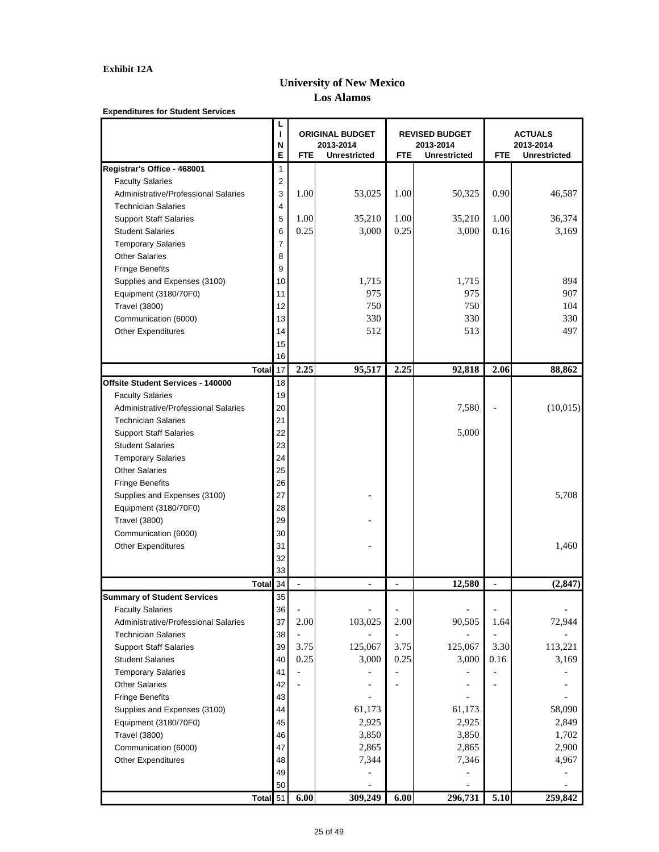#### **Exhibit 12A**

### **Los Alamos University of New Mexico**

|                                                          | L<br>N<br>E         | <b>FTE</b> | <b>ORIGINAL BUDGET</b><br>2013-2014<br><b>Unrestricted</b> | <b>FTE</b>     | <b>REVISED BUDGET</b><br>2013-2014<br><b>Unrestricted</b> | <b>ACTUALS</b><br>2013-2014<br><b>FTE</b><br><b>Unrestricted</b> |          |  |
|----------------------------------------------------------|---------------------|------------|------------------------------------------------------------|----------------|-----------------------------------------------------------|------------------------------------------------------------------|----------|--|
| Registrar's Office - 468001                              | 1                   |            |                                                            |                |                                                           |                                                                  |          |  |
| <b>Faculty Salaries</b>                                  | $\overline{2}$      |            |                                                            |                |                                                           |                                                                  |          |  |
| Administrative/Professional Salaries                     | 3                   | 1.00       | 53,025                                                     | 1.00           | 50,325                                                    | 0.90                                                             | 46,587   |  |
| <b>Technician Salaries</b>                               | 4                   |            |                                                            |                |                                                           |                                                                  |          |  |
| <b>Support Staff Salaries</b>                            | 5                   | 1.00       | 35,210                                                     | 1.00           | 35,210                                                    | 1.00                                                             | 36,374   |  |
| <b>Student Salaries</b>                                  | 6                   | 0.25       | 3,000                                                      | 0.25           | 3,000                                                     | 0.16                                                             | 3,169    |  |
| <b>Temporary Salaries</b>                                | $\overline{7}$      |            |                                                            |                |                                                           |                                                                  |          |  |
| <b>Other Salaries</b>                                    | 8                   |            |                                                            |                |                                                           |                                                                  |          |  |
| <b>Fringe Benefits</b>                                   | 9                   |            |                                                            |                |                                                           |                                                                  |          |  |
| Supplies and Expenses (3100)                             | 10                  |            | 1,715                                                      |                | 1,715                                                     |                                                                  | 894      |  |
| Equipment (3180/70F0)                                    | 11                  |            | 975                                                        |                | 975                                                       |                                                                  | 907      |  |
| <b>Travel (3800)</b>                                     | 12                  |            | 750                                                        |                | 750                                                       |                                                                  | 104      |  |
| Communication (6000)                                     | 13                  |            | 330                                                        |                | 330                                                       |                                                                  | 330      |  |
| <b>Other Expenditures</b>                                | 14                  |            | 512                                                        |                | 513                                                       |                                                                  | 497      |  |
|                                                          | 15                  |            |                                                            |                |                                                           |                                                                  |          |  |
|                                                          | 16                  |            |                                                            |                |                                                           |                                                                  |          |  |
| <b>Total</b>                                             | 17                  | 2.25       | 95,517                                                     | 2.25           | 92,818                                                    | 2.06                                                             | 88,862   |  |
| <b>Offsite Student Services - 140000</b>                 | 18                  |            |                                                            |                |                                                           |                                                                  |          |  |
| <b>Faculty Salaries</b>                                  | 19                  |            |                                                            |                |                                                           |                                                                  |          |  |
| Administrative/Professional Salaries                     | 20                  |            |                                                            |                | 7,580                                                     |                                                                  | (10,015) |  |
| <b>Technician Salaries</b>                               | 21                  |            |                                                            |                |                                                           |                                                                  |          |  |
| <b>Support Staff Salaries</b>                            | 22                  |            |                                                            |                | 5,000                                                     |                                                                  |          |  |
| <b>Student Salaries</b>                                  | 23                  |            |                                                            |                |                                                           |                                                                  |          |  |
| <b>Temporary Salaries</b>                                | 24                  |            |                                                            |                |                                                           |                                                                  |          |  |
| <b>Other Salaries</b>                                    | 25                  |            |                                                            |                |                                                           |                                                                  |          |  |
| <b>Fringe Benefits</b>                                   | 26                  |            |                                                            |                |                                                           |                                                                  |          |  |
| Supplies and Expenses (3100)                             | 27                  |            |                                                            |                |                                                           |                                                                  | 5,708    |  |
| Equipment (3180/70F0)                                    | 28                  |            |                                                            |                |                                                           |                                                                  |          |  |
| <b>Travel (3800)</b>                                     | 29                  |            |                                                            |                |                                                           |                                                                  |          |  |
| Communication (6000)                                     | 30                  |            |                                                            |                |                                                           |                                                                  |          |  |
| <b>Other Expenditures</b>                                | 31                  |            |                                                            |                |                                                           |                                                                  | 1,460    |  |
|                                                          | 32                  |            |                                                            |                |                                                           |                                                                  |          |  |
|                                                          | 33                  |            |                                                            |                |                                                           |                                                                  |          |  |
|                                                          | Total $34$          |            |                                                            | $\blacksquare$ | 12,580                                                    | $\blacksquare$                                                   | (2, 847) |  |
| <b>Summary of Student Services</b>                       | 35                  |            |                                                            |                |                                                           |                                                                  |          |  |
| <b>Faculty Salaries</b>                                  | 36                  |            |                                                            |                |                                                           |                                                                  |          |  |
| Administrative/Professional Salaries                     | 37                  | 2.00       | 103,025                                                    | 2.00           | 90,505                                                    | 1.64                                                             | 72,944   |  |
| <b>Technician Salaries</b>                               | 38<br>39            | 3.75       | 125,067                                                    | 3.75           | 125,067                                                   | 3.30                                                             | 113,221  |  |
| <b>Support Staff Salaries</b><br><b>Student Salaries</b> | 40                  | 0.25       | 3,000                                                      | 0.25           | 3,000                                                     | 0.16                                                             | 3,169    |  |
| <b>Temporary Salaries</b>                                | 41                  |            |                                                            |                |                                                           |                                                                  |          |  |
| <b>Other Salaries</b>                                    | 42                  |            |                                                            |                |                                                           |                                                                  |          |  |
| <b>Fringe Benefits</b>                                   | 43                  |            |                                                            |                |                                                           |                                                                  |          |  |
| Supplies and Expenses (3100)                             | 44                  |            | 61,173                                                     |                | 61,173                                                    |                                                                  | 58,090   |  |
| Equipment (3180/70F0)                                    | 45                  |            | 2,925                                                      |                | 2,925                                                     |                                                                  | 2,849    |  |
| <b>Travel (3800)</b>                                     | 46                  |            | 3,850                                                      |                | 3,850                                                     |                                                                  | 1,702    |  |
| Communication (6000)                                     | 47                  |            | 2,865                                                      |                | 2,865                                                     |                                                                  | 2,900    |  |
| <b>Other Expenditures</b>                                | 48                  |            | 7,344                                                      |                | 7,346                                                     |                                                                  | 4,967    |  |
|                                                          | 49                  |            |                                                            |                |                                                           |                                                                  |          |  |
|                                                          | 50                  |            |                                                            |                |                                                           |                                                                  |          |  |
|                                                          | Total <sup>51</sup> | 6.00       | 309,249                                                    | 6.00           | 296,731                                                   | 5.10                                                             | 259,842  |  |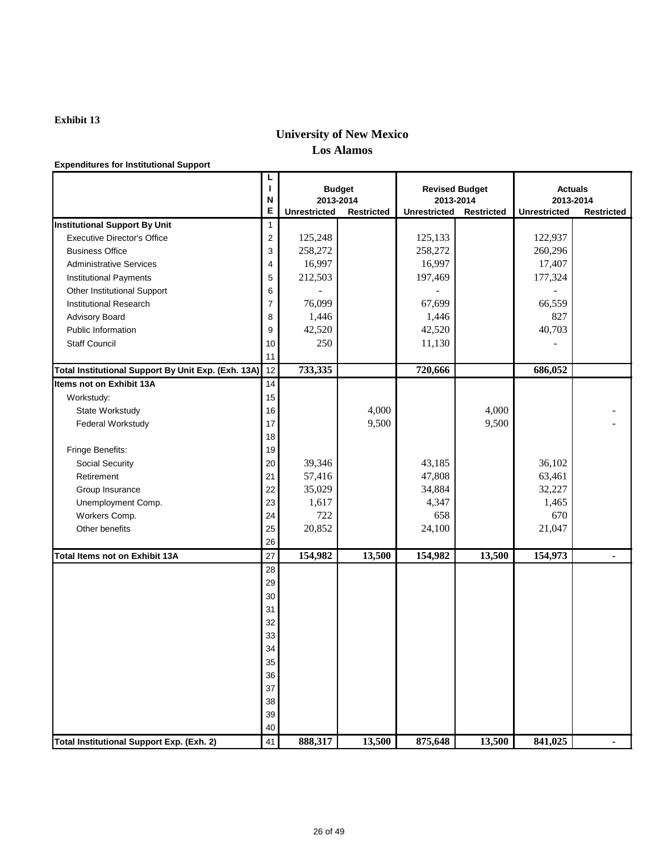### **University of New Mexico Los Alamos**

|                                                     | L<br>$\mathbf{I}$<br>N |                     | <b>Budget</b><br>2013-2014 |                     | <b>Revised Budget</b><br>2013-2014 | <b>Actuals</b><br>2013-2014 |                   |  |
|-----------------------------------------------------|------------------------|---------------------|----------------------------|---------------------|------------------------------------|-----------------------------|-------------------|--|
|                                                     | E                      | <b>Unrestricted</b> | <b>Restricted</b>          | <b>Unrestricted</b> | <b>Restricted</b>                  | <b>Unrestricted</b>         | <b>Restricted</b> |  |
| <b>Institutional Support By Unit</b>                | $\mathbf{1}$           |                     |                            |                     |                                    |                             |                   |  |
| <b>Executive Director's Office</b>                  | $\overline{c}$         | 125,248             |                            | 125,133             |                                    | 122,937                     |                   |  |
| <b>Business Office</b>                              | 3                      | 258,272             |                            | 258,272             |                                    | 260,296                     |                   |  |
| <b>Administrative Services</b>                      | 4                      | 16,997              |                            | 16,997              |                                    | 17,407                      |                   |  |
| <b>Institutional Payments</b>                       | 5                      | 212,503             |                            | 197,469             |                                    | 177,324                     |                   |  |
| <b>Other Institutional Support</b>                  | $\,6$                  |                     |                            |                     |                                    |                             |                   |  |
| <b>Institutional Research</b>                       | $\overline{7}$         | 76,099              |                            | 67,699              |                                    | 66,559                      |                   |  |
| <b>Advisory Board</b>                               | 8                      | 1,446               |                            | 1,446               |                                    | 827                         |                   |  |
| Public Information                                  | 9                      | 42,520              |                            | 42,520              |                                    | 40,703                      |                   |  |
| <b>Staff Council</b>                                | 10                     | 250                 |                            | 11,130              |                                    |                             |                   |  |
|                                                     | 11                     |                     |                            |                     |                                    |                             |                   |  |
| Total Institutional Support By Unit Exp. (Exh. 13A) | 12                     | 733,335             |                            | 720,666             |                                    | 686,052                     |                   |  |
| Items not on Exhibit 13A                            | 14                     |                     |                            |                     |                                    |                             |                   |  |
| Workstudy:                                          | 15                     |                     |                            |                     |                                    |                             |                   |  |
| State Workstudy                                     | 16                     |                     | 4,000                      |                     | 4,000                              |                             |                   |  |
| Federal Workstudy                                   | 17                     |                     | 9,500                      |                     | 9,500                              |                             |                   |  |
|                                                     | 18                     |                     |                            |                     |                                    |                             |                   |  |
| Fringe Benefits:                                    | 19                     |                     |                            |                     |                                    |                             |                   |  |
| Social Security                                     | 20                     | 39,346              |                            | 43,185              |                                    | 36,102                      |                   |  |
| Retirement                                          | 21                     | 57,416              |                            | 47,808              |                                    | 63,461                      |                   |  |
| Group Insurance                                     | 22                     | 35,029              |                            | 34,884              |                                    | 32,227                      |                   |  |
| Unemployment Comp.                                  | 23                     | 1,617               |                            | 4,347               |                                    | 1,465                       |                   |  |
| Workers Comp.                                       | 24                     | 722                 |                            | 658                 |                                    | 670                         |                   |  |
| Other benefits                                      | 25                     | 20,852              |                            | 24,100              |                                    | 21,047                      |                   |  |
|                                                     | 26                     |                     |                            |                     |                                    |                             |                   |  |
| Total Items not on Exhibit 13A                      | 27                     | 154,982             | 13,500                     | 154,982             | 13,500                             | 154,973                     |                   |  |
|                                                     | 28                     |                     |                            |                     |                                    |                             |                   |  |
|                                                     | 29                     |                     |                            |                     |                                    |                             |                   |  |
|                                                     |                        |                     |                            |                     |                                    |                             |                   |  |
|                                                     | 30                     |                     |                            |                     |                                    |                             |                   |  |
|                                                     | 31                     |                     |                            |                     |                                    |                             |                   |  |
|                                                     | 32                     |                     |                            |                     |                                    |                             |                   |  |
|                                                     | 33                     |                     |                            |                     |                                    |                             |                   |  |
|                                                     | 34                     |                     |                            |                     |                                    |                             |                   |  |
|                                                     | 35                     |                     |                            |                     |                                    |                             |                   |  |
|                                                     | 36                     |                     |                            |                     |                                    |                             |                   |  |
|                                                     | 37                     |                     |                            |                     |                                    |                             |                   |  |
|                                                     | 38                     |                     |                            |                     |                                    |                             |                   |  |
|                                                     | 39                     |                     |                            |                     |                                    |                             |                   |  |
|                                                     | 40                     |                     |                            |                     |                                    |                             |                   |  |
| <b>Total Institutional Support Exp. (Exh. 2)</b>    | 41                     | 888,317             | 13,500                     | 875,648             | 13,500                             | 841,025                     | $\blacksquare$    |  |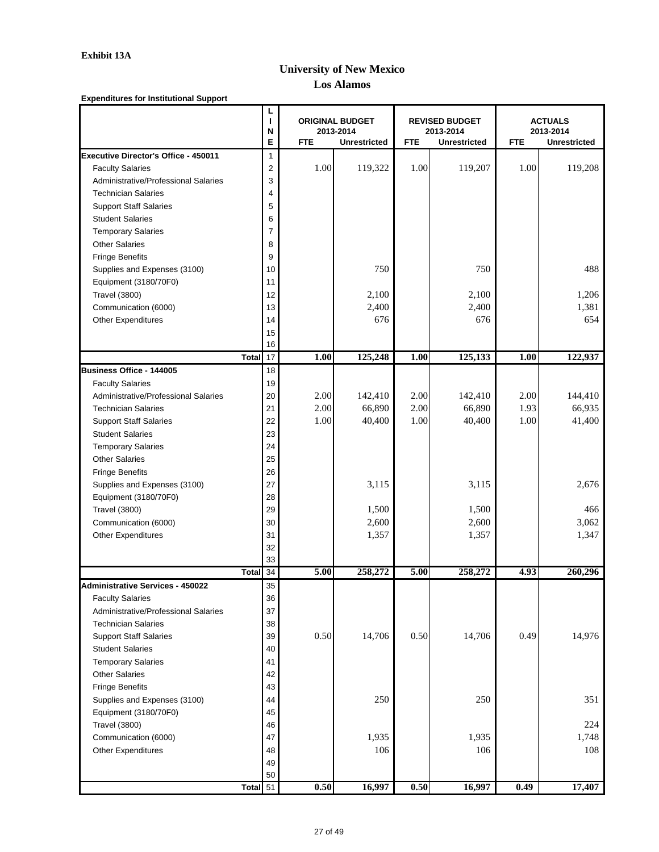# **University of New Mexico**

**Los Alamos**

|                                             |              | L<br>ı<br>N    |                   | <b>ORIGINAL BUDGET</b><br>2013-2014 |                   | <b>REVISED BUDGET</b><br>2013-2014 | <b>ACTUALS</b><br>2013-2014 |                     |  |  |
|---------------------------------------------|--------------|----------------|-------------------|-------------------------------------|-------------------|------------------------------------|-----------------------------|---------------------|--|--|
|                                             |              | E              | <b>FTE</b>        | <b>Unrestricted</b>                 | <b>FTE</b>        | <b>Unrestricted</b>                | <b>FTE</b>                  | <b>Unrestricted</b> |  |  |
| <b>Executive Director's Office - 450011</b> |              | 1              |                   |                                     |                   |                                    |                             |                     |  |  |
| <b>Faculty Salaries</b>                     |              | $\overline{2}$ | 1.00              | 119,322                             | 1.00              | 119,207                            | 1.00                        | 119,208             |  |  |
| Administrative/Professional Salaries        |              | 3              |                   |                                     |                   |                                    |                             |                     |  |  |
| <b>Technician Salaries</b>                  |              | 4              |                   |                                     |                   |                                    |                             |                     |  |  |
| <b>Support Staff Salaries</b>               |              | 5              |                   |                                     |                   |                                    |                             |                     |  |  |
| <b>Student Salaries</b>                     |              | 6              |                   |                                     |                   |                                    |                             |                     |  |  |
| <b>Temporary Salaries</b>                   |              | $\overline{7}$ |                   |                                     |                   |                                    |                             |                     |  |  |
| <b>Other Salaries</b>                       |              | 8              |                   |                                     |                   |                                    |                             |                     |  |  |
| <b>Fringe Benefits</b>                      |              | 9              |                   |                                     |                   |                                    |                             |                     |  |  |
| Supplies and Expenses (3100)                |              | 10             |                   | 750                                 |                   | 750                                |                             | 488                 |  |  |
| Equipment (3180/70F0)                       |              | 11             |                   |                                     |                   |                                    |                             |                     |  |  |
| <b>Travel (3800)</b>                        |              | 12             |                   | 2,100                               |                   | 2,100                              |                             | 1,206               |  |  |
| Communication (6000)                        |              | 13             |                   | 2,400                               |                   | 2,400                              |                             | 1,381               |  |  |
| <b>Other Expenditures</b>                   |              | 14             |                   | 676                                 |                   | 676                                |                             | 654                 |  |  |
|                                             |              | 15             |                   |                                     |                   |                                    |                             |                     |  |  |
|                                             |              | 16             |                   |                                     |                   |                                    |                             |                     |  |  |
|                                             | <b>Total</b> | 17             | 1.00              | 125,248                             | 1.00              | 125,133                            | 1.00                        | 122,937             |  |  |
| <b>Business Office - 144005</b>             |              | 18             |                   |                                     |                   |                                    |                             |                     |  |  |
| <b>Faculty Salaries</b>                     |              | 19             |                   |                                     |                   |                                    |                             |                     |  |  |
| Administrative/Professional Salaries        |              | 20             | 2.00              | 142,410                             | 2.00              | 142,410                            | 2.00                        | 144,410             |  |  |
| <b>Technician Salaries</b>                  |              | 21             | 2.00              | 66,890                              | 2.00              | 66,890                             | 1.93                        | 66,935              |  |  |
| <b>Support Staff Salaries</b>               |              | 22             | 1.00              | 40,400                              | 1.00              | 40,400                             | 1.00                        | 41,400              |  |  |
| <b>Student Salaries</b>                     |              | 23             |                   |                                     |                   |                                    |                             |                     |  |  |
| <b>Temporary Salaries</b>                   |              | 24             |                   |                                     |                   |                                    |                             |                     |  |  |
| <b>Other Salaries</b>                       |              | 25             |                   |                                     |                   |                                    |                             |                     |  |  |
| <b>Fringe Benefits</b>                      |              | 26             |                   |                                     |                   |                                    |                             |                     |  |  |
| Supplies and Expenses (3100)                |              | 27             |                   | 3,115                               |                   | 3,115                              |                             | 2,676               |  |  |
| Equipment (3180/70F0)                       |              | 28             |                   |                                     |                   |                                    |                             |                     |  |  |
| <b>Travel (3800)</b>                        |              | 29             |                   | 1,500                               |                   | 1,500                              |                             | 466                 |  |  |
| Communication (6000)                        |              | 30             |                   | 2,600                               |                   | 2,600                              |                             | 3,062               |  |  |
| <b>Other Expenditures</b>                   |              | 31             |                   | 1,357                               |                   | 1,357                              |                             | 1,347               |  |  |
|                                             |              | 32             |                   |                                     |                   |                                    |                             |                     |  |  |
|                                             | <b>Total</b> | 33<br>34       | 5.00              | 258,272                             | 5.00              | 258,272                            | 4.93                        | 260,296             |  |  |
| <b>Administrative Services - 450022</b>     |              | 35             |                   |                                     |                   |                                    |                             |                     |  |  |
| <b>Faculty Salaries</b>                     |              | 36             |                   |                                     |                   |                                    |                             |                     |  |  |
| Administrative/Professional Salaries        |              | 37             |                   |                                     |                   |                                    |                             |                     |  |  |
| <b>Technician Salaries</b>                  |              | 38             |                   |                                     |                   |                                    |                             |                     |  |  |
| <b>Support Staff Salaries</b>               |              | 39             | 0.50              | 14,706                              | 0.50              | 14,706                             | 0.49                        | 14,976              |  |  |
| <b>Student Salaries</b>                     |              | 40             |                   |                                     |                   |                                    |                             |                     |  |  |
| <b>Temporary Salaries</b>                   |              | 41             |                   |                                     |                   |                                    |                             |                     |  |  |
| <b>Other Salaries</b>                       |              | 42             |                   |                                     |                   |                                    |                             |                     |  |  |
| <b>Fringe Benefits</b>                      |              | 43             |                   |                                     |                   |                                    |                             |                     |  |  |
| Supplies and Expenses (3100)                |              | 44             |                   | 250                                 |                   | 250                                |                             | 351                 |  |  |
| Equipment (3180/70F0)                       |              | 45             |                   |                                     |                   |                                    |                             |                     |  |  |
| <b>Travel (3800)</b>                        |              | 46             |                   |                                     |                   |                                    |                             | 224                 |  |  |
| Communication (6000)                        |              | 47             |                   | 1,935                               |                   | 1,935                              |                             | 1,748               |  |  |
| <b>Other Expenditures</b>                   |              | 48             |                   | 106                                 |                   | 106                                |                             | 108                 |  |  |
|                                             |              | 49             |                   |                                     |                   |                                    |                             |                     |  |  |
|                                             |              | 50             |                   |                                     |                   |                                    |                             |                     |  |  |
|                                             | Total $51$   |                | $\overline{0.50}$ | 16,997                              | $\overline{0.50}$ | 16,997                             | $\overline{0.49}$           | 17,407              |  |  |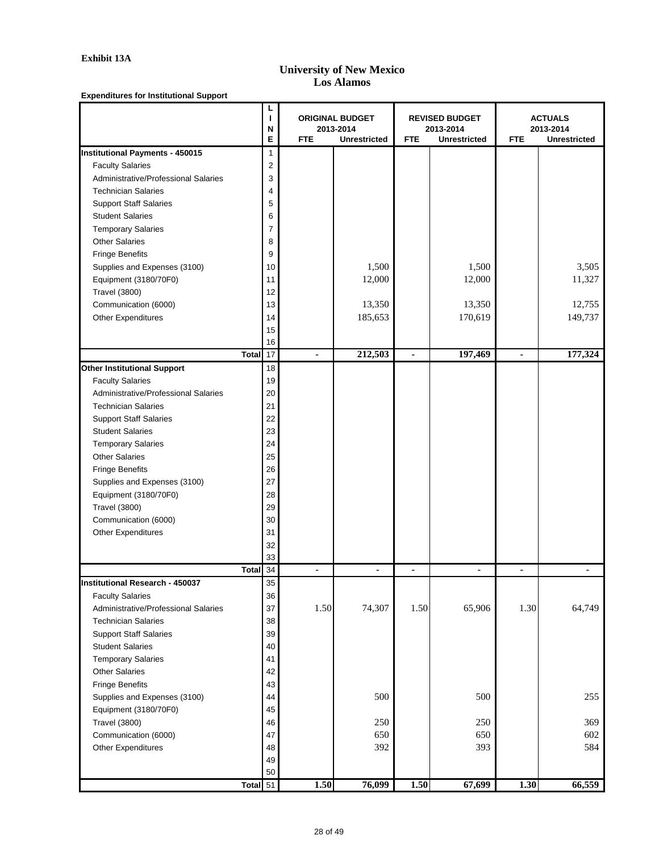### **University of New Mexico Los Alamos**

|                                        |              | L<br>N         |                | <b>ORIGINAL BUDGET</b><br>2013-2014 |                | <b>REVISED BUDGET</b><br>2013-2014 | <b>ACTUALS</b><br>2013-2014 |                     |  |  |
|----------------------------------------|--------------|----------------|----------------|-------------------------------------|----------------|------------------------------------|-----------------------------|---------------------|--|--|
|                                        |              | E              | <b>FTE</b>     | <b>Unrestricted</b>                 | <b>FTE</b>     | <b>Unrestricted</b>                | <b>FTE</b>                  | <b>Unrestricted</b> |  |  |
| <b>Institutional Payments - 450015</b> |              | 1              |                |                                     |                |                                    |                             |                     |  |  |
| <b>Faculty Salaries</b>                |              | $\overline{2}$ |                |                                     |                |                                    |                             |                     |  |  |
| Administrative/Professional Salaries   |              | 3              |                |                                     |                |                                    |                             |                     |  |  |
| <b>Technician Salaries</b>             |              | 4              |                |                                     |                |                                    |                             |                     |  |  |
| <b>Support Staff Salaries</b>          |              | 5              |                |                                     |                |                                    |                             |                     |  |  |
| <b>Student Salaries</b>                |              | 6              |                |                                     |                |                                    |                             |                     |  |  |
| <b>Temporary Salaries</b>              |              | 7              |                |                                     |                |                                    |                             |                     |  |  |
| <b>Other Salaries</b>                  |              | 8              |                |                                     |                |                                    |                             |                     |  |  |
| <b>Fringe Benefits</b>                 |              | 9              |                |                                     |                |                                    |                             |                     |  |  |
| Supplies and Expenses (3100)           |              | 10             |                | 1,500                               |                | 1,500                              |                             | 3,505               |  |  |
| Equipment (3180/70F0)                  |              | 11             |                | 12,000                              |                | 12,000                             |                             | 11,327              |  |  |
| <b>Travel (3800)</b>                   |              | 12             |                |                                     |                |                                    |                             |                     |  |  |
| Communication (6000)                   |              | 13             |                | 13,350                              |                | 13,350                             |                             | 12,755              |  |  |
| <b>Other Expenditures</b>              |              | 14             |                | 185,653                             |                | 170,619                            |                             | 149,737             |  |  |
|                                        |              | 15             |                |                                     |                |                                    |                             |                     |  |  |
|                                        |              | 16             |                |                                     |                |                                    |                             |                     |  |  |
|                                        | <b>Total</b> | 17             |                | 212,503                             | $\blacksquare$ | 197,469                            | $\blacksquare$              | 177,324             |  |  |
| <b>Other Institutional Support</b>     |              | 18             |                |                                     |                |                                    |                             |                     |  |  |
| <b>Faculty Salaries</b>                |              | 19             |                |                                     |                |                                    |                             |                     |  |  |
| Administrative/Professional Salaries   |              | 20             |                |                                     |                |                                    |                             |                     |  |  |
| <b>Technician Salaries</b>             |              | 21             |                |                                     |                |                                    |                             |                     |  |  |
| <b>Support Staff Salaries</b>          |              | 22             |                |                                     |                |                                    |                             |                     |  |  |
| <b>Student Salaries</b>                |              | 23             |                |                                     |                |                                    |                             |                     |  |  |
| <b>Temporary Salaries</b>              |              | 24             |                |                                     |                |                                    |                             |                     |  |  |
| <b>Other Salaries</b>                  |              | 25             |                |                                     |                |                                    |                             |                     |  |  |
| <b>Fringe Benefits</b>                 |              | 26             |                |                                     |                |                                    |                             |                     |  |  |
| Supplies and Expenses (3100)           |              | 27             |                |                                     |                |                                    |                             |                     |  |  |
| Equipment (3180/70F0)                  |              | 28             |                |                                     |                |                                    |                             |                     |  |  |
| <b>Travel (3800)</b>                   |              | 29             |                |                                     |                |                                    |                             |                     |  |  |
| Communication (6000)                   |              | 30             |                |                                     |                |                                    |                             |                     |  |  |
| <b>Other Expenditures</b>              |              | 31             |                |                                     |                |                                    |                             |                     |  |  |
|                                        |              | 32             |                |                                     |                |                                    |                             |                     |  |  |
|                                        |              | 33             |                |                                     |                |                                    |                             |                     |  |  |
|                                        | <b>Total</b> | 34             | $\blacksquare$ | $\blacksquare$                      | $\blacksquare$ | $\blacksquare$                     | $\blacksquare$              |                     |  |  |
| <b>Institutional Research - 450037</b> |              | 35             |                |                                     |                |                                    |                             |                     |  |  |
| <b>Faculty Salaries</b>                |              | 36             |                |                                     |                |                                    |                             |                     |  |  |
| Administrative/Professional Salaries   |              | 37             | 1.50           | 74,307                              | 1.50           | 65,906                             | 1.30                        | 64,749              |  |  |
| <b>Technician Salaries</b>             |              | 38             |                |                                     |                |                                    |                             |                     |  |  |
| <b>Support Staff Salaries</b>          |              | 39             |                |                                     |                |                                    |                             |                     |  |  |
| <b>Student Salaries</b>                |              | 40             |                |                                     |                |                                    |                             |                     |  |  |
| <b>Temporary Salaries</b>              |              | 41             |                |                                     |                |                                    |                             |                     |  |  |
| <b>Other Salaries</b>                  |              | 42             |                |                                     |                |                                    |                             |                     |  |  |
| <b>Fringe Benefits</b>                 |              | 43             |                |                                     |                |                                    |                             |                     |  |  |
| Supplies and Expenses (3100)           |              | 44             |                | 500                                 |                | 500                                |                             | 255                 |  |  |
| Equipment (3180/70F0)                  |              | 45             |                |                                     |                |                                    |                             |                     |  |  |
| <b>Travel (3800)</b>                   |              | 46             |                | 250                                 |                | 250                                |                             | 369                 |  |  |
| Communication (6000)                   |              | 47             |                | 650                                 |                | 650                                |                             | 602                 |  |  |
| <b>Other Expenditures</b>              |              | 48             |                | 392                                 |                | 393                                |                             | 584                 |  |  |
|                                        |              | 49             |                |                                     |                |                                    |                             |                     |  |  |
|                                        | Total 51     | 50             | 1.50           | 76,099                              | 1.50           | 67,699                             | 1.30                        | 66,559              |  |  |
|                                        |              |                |                |                                     |                |                                    |                             |                     |  |  |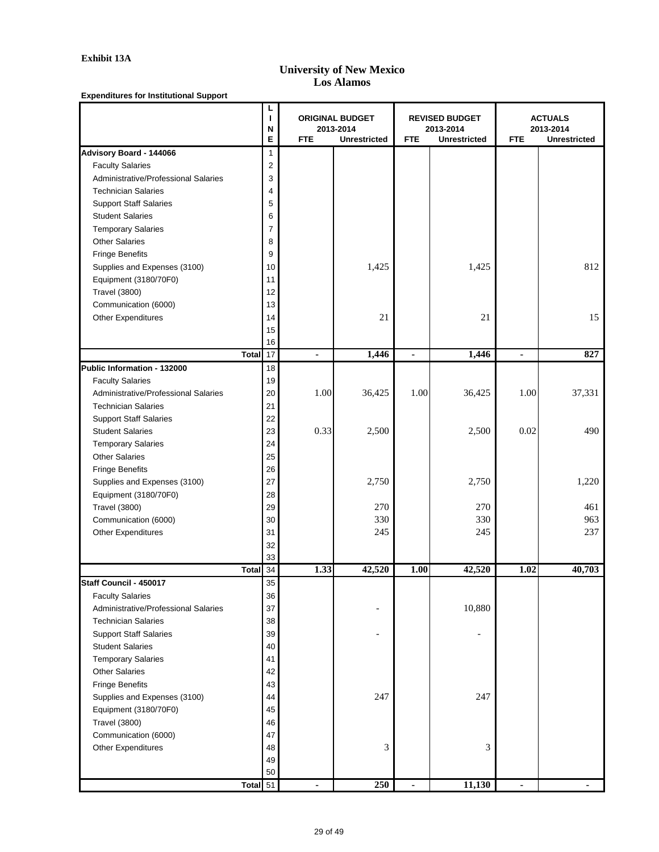### **University of New Mexico Los Alamos**

|                                                          | L<br>N         |                | <b>ORIGINAL BUDGET</b><br>2013-2014 |                | <b>REVISED BUDGET</b><br>2013-2014 | <b>ACTUALS</b><br>2013-2014 |                     |  |  |
|----------------------------------------------------------|----------------|----------------|-------------------------------------|----------------|------------------------------------|-----------------------------|---------------------|--|--|
|                                                          | E              | <b>FTE</b>     | <b>Unrestricted</b>                 | <b>FTE</b>     | <b>Unrestricted</b>                | <b>FTE</b>                  | <b>Unrestricted</b> |  |  |
| <b>Advisory Board - 144066</b>                           | 1              |                |                                     |                |                                    |                             |                     |  |  |
| <b>Faculty Salaries</b>                                  | $\overline{2}$ |                |                                     |                |                                    |                             |                     |  |  |
| Administrative/Professional Salaries                     | 3              |                |                                     |                |                                    |                             |                     |  |  |
| <b>Technician Salaries</b>                               | 4              |                |                                     |                |                                    |                             |                     |  |  |
| <b>Support Staff Salaries</b>                            | 5              |                |                                     |                |                                    |                             |                     |  |  |
| <b>Student Salaries</b>                                  | 6              |                |                                     |                |                                    |                             |                     |  |  |
| <b>Temporary Salaries</b>                                | $\overline{7}$ |                |                                     |                |                                    |                             |                     |  |  |
| <b>Other Salaries</b>                                    | 8              |                |                                     |                |                                    |                             |                     |  |  |
| <b>Fringe Benefits</b>                                   | 9              |                |                                     |                |                                    |                             |                     |  |  |
| Supplies and Expenses (3100)                             | 10             |                | 1,425                               |                | 1,425                              |                             | 812                 |  |  |
| Equipment (3180/70F0)                                    | 11             |                |                                     |                |                                    |                             |                     |  |  |
| <b>Travel (3800)</b>                                     | 12             |                |                                     |                |                                    |                             |                     |  |  |
| Communication (6000)                                     | 13             |                |                                     |                |                                    |                             |                     |  |  |
| <b>Other Expenditures</b>                                | 14             |                | 21                                  |                | 21                                 |                             | 15                  |  |  |
|                                                          | 15             |                |                                     |                |                                    |                             |                     |  |  |
|                                                          | 16             |                |                                     |                |                                    |                             |                     |  |  |
| <b>Total</b>                                             | 17             | $\blacksquare$ | 1,446                               | $\blacksquare$ | 1,446                              | $\blacksquare$              | 827                 |  |  |
| Public Information - 132000                              | 18             |                |                                     |                |                                    |                             |                     |  |  |
| <b>Faculty Salaries</b>                                  | 19             |                |                                     |                |                                    |                             |                     |  |  |
| Administrative/Professional Salaries                     | 20             | 1.00           | 36,425                              | 1.00           | 36,425                             | 1.00                        | 37,331              |  |  |
| <b>Technician Salaries</b>                               | 21             |                |                                     |                |                                    |                             |                     |  |  |
| <b>Support Staff Salaries</b>                            | 22             |                |                                     |                |                                    |                             |                     |  |  |
| <b>Student Salaries</b>                                  | 23             | 0.33           | 2,500                               |                | 2,500                              | 0.02                        | 490                 |  |  |
| <b>Temporary Salaries</b>                                | 24             |                |                                     |                |                                    |                             |                     |  |  |
| <b>Other Salaries</b>                                    | 25             |                |                                     |                |                                    |                             |                     |  |  |
| <b>Fringe Benefits</b>                                   | 26             |                |                                     |                |                                    |                             |                     |  |  |
| Supplies and Expenses (3100)                             | 27             |                | 2,750                               |                | 2,750                              |                             | 1,220               |  |  |
| Equipment (3180/70F0)                                    | 28             |                |                                     |                |                                    |                             |                     |  |  |
| <b>Travel (3800)</b>                                     | 29             |                | 270                                 |                | 270                                |                             | 461                 |  |  |
| Communication (6000)                                     | 30             |                | 330                                 |                | 330                                |                             | 963                 |  |  |
| <b>Other Expenditures</b>                                | 31             |                | 245                                 |                | 245                                |                             | 237                 |  |  |
|                                                          | 32             |                |                                     |                |                                    |                             |                     |  |  |
|                                                          | 33             |                |                                     |                |                                    |                             |                     |  |  |
| <b>Total</b>                                             | 34             | 1.33           | 42,520                              | 1.00           | 42,520                             | $\overline{1.02}$           | 40,703              |  |  |
| Staff Council - 450017                                   | 35             |                |                                     |                |                                    |                             |                     |  |  |
| <b>Faculty Salaries</b>                                  | 36             |                |                                     |                |                                    |                             |                     |  |  |
| Administrative/Professional Salaries                     | 37             |                | -                                   |                | 10,880                             |                             |                     |  |  |
| <b>Technician Salaries</b>                               | 38             |                |                                     |                |                                    |                             |                     |  |  |
| <b>Support Staff Salaries</b><br><b>Student Salaries</b> | 39             |                |                                     |                |                                    |                             |                     |  |  |
|                                                          | 40<br>41       |                |                                     |                |                                    |                             |                     |  |  |
| <b>Temporary Salaries</b><br><b>Other Salaries</b>       | 42             |                |                                     |                |                                    |                             |                     |  |  |
|                                                          | 43             |                |                                     |                |                                    |                             |                     |  |  |
| <b>Fringe Benefits</b>                                   | 44             |                | 247                                 |                | 247                                |                             |                     |  |  |
| Supplies and Expenses (3100)                             | 45             |                |                                     |                |                                    |                             |                     |  |  |
| Equipment (3180/70F0)                                    |                |                |                                     |                |                                    |                             |                     |  |  |
| <b>Travel (3800)</b>                                     | 46<br>47       |                |                                     |                |                                    |                             |                     |  |  |
| Communication (6000)                                     |                |                | 3                                   |                | 3                                  |                             |                     |  |  |
| <b>Other Expenditures</b>                                | 48<br>49       |                |                                     |                |                                    |                             |                     |  |  |
|                                                          | 50             |                |                                     |                |                                    |                             |                     |  |  |
| Total 51                                                 |                |                | 250                                 |                | 11,130                             |                             |                     |  |  |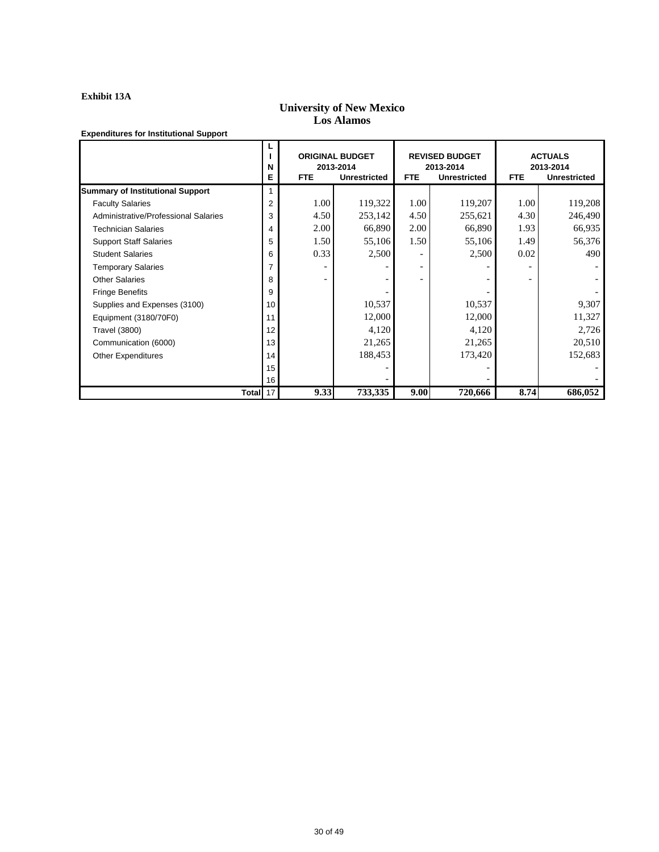#### **Exhibit 13A**

### **University of New Mexico Los Alamos**

|                                         | N<br>Е         | <b>FTE</b> | <b>ORIGINAL BUDGET</b><br>2013-2014<br>Unrestricted | <b>FTE</b>               | <b>REVISED BUDGET</b><br>2013-2014<br><b>Unrestricted</b> | <b>FTE</b> | <b>ACTUALS</b><br>2013-2014<br><b>Unrestricted</b> |
|-----------------------------------------|----------------|------------|-----------------------------------------------------|--------------------------|-----------------------------------------------------------|------------|----------------------------------------------------|
| <b>Summary of Institutional Support</b> |                |            |                                                     |                          |                                                           |            |                                                    |
| <b>Faculty Salaries</b>                 | $\overline{2}$ | 1.00       | 119,322                                             | 1.00                     | 119,207                                                   | 1.00       | 119,208                                            |
| Administrative/Professional Salaries    | 3              | 4.50       | 253,142                                             | 4.50                     | 255,621                                                   | 4.30       | 246,490                                            |
| <b>Technician Salaries</b>              | 4              | 2.00       | 66,890                                              | 2.00                     | 66,890                                                    | 1.93       | 66,935                                             |
| <b>Support Staff Salaries</b>           | 5              | 1.50       | 55,106                                              | 1.50                     | 55,106                                                    | 1.49       | 56,376                                             |
| <b>Student Salaries</b>                 | 6              | 0.33       | 2,500                                               | $\overline{\phantom{0}}$ | 2,500                                                     | 0.02       | 490                                                |
| <b>Temporary Salaries</b>               | 7              |            |                                                     | $\overline{\phantom{a}}$ |                                                           |            |                                                    |
| <b>Other Salaries</b>                   | 8              |            |                                                     |                          |                                                           |            |                                                    |
| <b>Fringe Benefits</b>                  | 9              |            |                                                     |                          |                                                           |            |                                                    |
| Supplies and Expenses (3100)            | 10             |            | 10,537                                              |                          | 10,537                                                    |            | 9,307                                              |
| Equipment (3180/70F0)                   | 11             |            | 12,000                                              |                          | 12,000                                                    |            | 11,327                                             |
| <b>Travel (3800)</b>                    | 12             |            | 4,120                                               |                          | 4,120                                                     |            | 2,726                                              |
| Communication (6000)                    | 13             |            | 21,265                                              |                          | 21,265                                                    |            | 20,510                                             |
| <b>Other Expenditures</b>               | 14             |            | 188,453                                             |                          | 173,420                                                   |            | 152,683                                            |
|                                         | 15             |            |                                                     |                          |                                                           |            |                                                    |
|                                         | 16             |            |                                                     |                          |                                                           |            |                                                    |
| Total 17                                |                | 9.33       | 733,335                                             | 9.00                     | 720,666                                                   | 8.74       | 686,052                                            |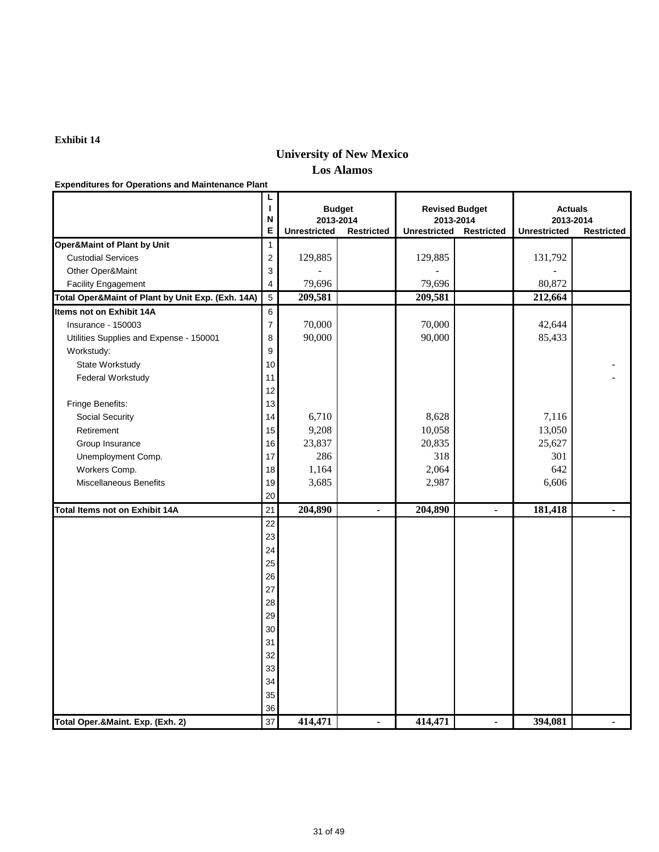## **University of New Mexico Los Alamos**

**Expenditures for Operations and Maintenance Plant**

|                                                   | L<br>$\mathbf{I}$<br>N<br>E |                     | <b>Budget</b><br>2013-2014 | 2013-2014           | <b>Revised Budget</b><br><b>Restricted</b> |                     | <b>Actuals</b><br>2013-2014<br><b>Restricted</b> |  |
|---------------------------------------------------|-----------------------------|---------------------|----------------------------|---------------------|--------------------------------------------|---------------------|--------------------------------------------------|--|
| <b>Oper&amp;Maint of Plant by Unit</b>            | 1                           | <b>Unrestricted</b> | <b>Restricted</b>          | <b>Unrestricted</b> |                                            | <b>Unrestricted</b> |                                                  |  |
| <b>Custodial Services</b>                         | $\overline{2}$              | 129,885             |                            | 129,885             |                                            | 131,792             |                                                  |  |
| Other Oper&Maint                                  | $\ensuremath{\mathsf{3}}$   |                     |                            |                     |                                            |                     |                                                  |  |
| <b>Facility Engagement</b>                        | $\overline{\mathbf{4}}$     | 79,696              |                            | 79,696              |                                            | 80,872              |                                                  |  |
| Total Oper&Maint of Plant by Unit Exp. (Exh. 14A) | 5                           | 209,581             |                            | 209,581             |                                            | 212,664             |                                                  |  |
| Items not on Exhibit 14A                          | $\,6$                       |                     |                            |                     |                                            |                     |                                                  |  |
| Insurance - 150003                                | $\overline{7}$              | 70,000              |                            | 70,000              |                                            | 42,644              |                                                  |  |
| Utilities Supplies and Expense - 150001           | 8                           | 90,000              |                            | 90,000              |                                            | 85,433              |                                                  |  |
| Workstudy:                                        | $\boldsymbol{9}$            |                     |                            |                     |                                            |                     |                                                  |  |
| State Workstudy                                   | 10                          |                     |                            |                     |                                            |                     |                                                  |  |
| Federal Workstudy                                 | 11                          |                     |                            |                     |                                            |                     |                                                  |  |
|                                                   | 12                          |                     |                            |                     |                                            |                     |                                                  |  |
| Fringe Benefits:                                  | 13                          |                     |                            |                     |                                            |                     |                                                  |  |
| <b>Social Security</b>                            | 14                          | 6,710               |                            | 8,628               |                                            | 7,116               |                                                  |  |
| Retirement                                        | 15                          | 9,208               |                            | 10,058              |                                            | 13,050              |                                                  |  |
| Group Insurance                                   | 16                          | 23,837              |                            | 20,835              |                                            | 25,627              |                                                  |  |
| Unemployment Comp.                                | 17                          | 286                 |                            | 318                 |                                            | 301                 |                                                  |  |
| Workers Comp.                                     | 18                          | 1,164               |                            | 2,064               |                                            | 642                 |                                                  |  |
| <b>Miscellaneous Benefits</b>                     | 19                          | 3,685               |                            | 2,987               |                                            | 6,606               |                                                  |  |
|                                                   | 20                          |                     |                            |                     |                                            |                     |                                                  |  |
| <b>Total Items not on Exhibit 14A</b>             | 21                          | 204,890             | $\blacksquare$             | 204,890             | $\blacksquare$                             | 181,418             | $\blacksquare$                                   |  |
|                                                   | 22                          |                     |                            |                     |                                            |                     |                                                  |  |
|                                                   | 23                          |                     |                            |                     |                                            |                     |                                                  |  |
|                                                   | 24                          |                     |                            |                     |                                            |                     |                                                  |  |
|                                                   | 25                          |                     |                            |                     |                                            |                     |                                                  |  |
|                                                   | 26                          |                     |                            |                     |                                            |                     |                                                  |  |
|                                                   | 27                          |                     |                            |                     |                                            |                     |                                                  |  |
|                                                   | 28                          |                     |                            |                     |                                            |                     |                                                  |  |
|                                                   | 29                          |                     |                            |                     |                                            |                     |                                                  |  |
|                                                   | $30\,$                      |                     |                            |                     |                                            |                     |                                                  |  |
|                                                   | 31                          |                     |                            |                     |                                            |                     |                                                  |  |
|                                                   | 32                          |                     |                            |                     |                                            |                     |                                                  |  |
|                                                   | 33                          |                     |                            |                     |                                            |                     |                                                  |  |
|                                                   | 34                          |                     |                            |                     |                                            |                     |                                                  |  |
|                                                   | 35                          |                     |                            |                     |                                            |                     |                                                  |  |
|                                                   | 36                          |                     |                            |                     |                                            |                     |                                                  |  |
| Total Oper.&Maint. Exp. (Exh. 2)                  | 37                          | 414,471             |                            | 414,471             | $\blacksquare$                             | 394,081             | ٠                                                |  |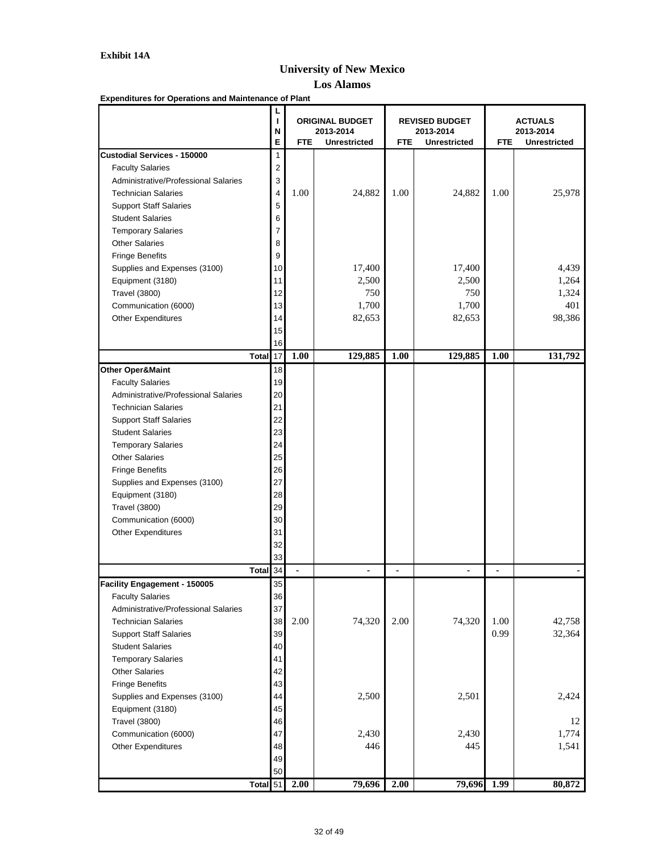## **University of New Mexico**

|                                                         | L<br>N<br>E              | <b>FTE</b> | <b>ORIGINAL BUDGET</b><br>2013-2014<br><b>Unrestricted</b> | <b>FTE</b>     | <b>REVISED BUDGET</b><br>2013-2014<br><b>Unrestricted</b> | <b>ACTUALS</b><br>2013-2014<br><b>FTE</b><br><b>Unrestricted</b> |         |  |
|---------------------------------------------------------|--------------------------|------------|------------------------------------------------------------|----------------|-----------------------------------------------------------|------------------------------------------------------------------|---------|--|
| <b>Custodial Services - 150000</b>                      | 1                        |            |                                                            |                |                                                           |                                                                  |         |  |
| <b>Faculty Salaries</b>                                 | $\overline{2}$           |            |                                                            |                |                                                           |                                                                  |         |  |
| Administrative/Professional Salaries                    | 3                        |            |                                                            |                |                                                           |                                                                  |         |  |
| <b>Technician Salaries</b>                              | 4                        | 1.00       | 24,882                                                     | 1.00           | 24,882                                                    | 1.00                                                             | 25,978  |  |
| <b>Support Staff Salaries</b>                           | 5                        |            |                                                            |                |                                                           |                                                                  |         |  |
| <b>Student Salaries</b>                                 | 6                        |            |                                                            |                |                                                           |                                                                  |         |  |
| <b>Temporary Salaries</b>                               | $\overline{7}$           |            |                                                            |                |                                                           |                                                                  |         |  |
| <b>Other Salaries</b>                                   | 8                        |            |                                                            |                |                                                           |                                                                  |         |  |
| <b>Fringe Benefits</b>                                  | 9                        |            |                                                            |                |                                                           |                                                                  |         |  |
| Supplies and Expenses (3100)                            | 10                       |            | 17,400                                                     |                | 17,400                                                    |                                                                  | 4,439   |  |
| Equipment (3180)                                        | 11                       |            | 2,500                                                      |                | 2,500                                                     |                                                                  | 1,264   |  |
| <b>Travel (3800)</b>                                    | 12                       |            | 750                                                        |                | 750                                                       |                                                                  | 1,324   |  |
| Communication (6000)                                    | 13                       |            | 1,700                                                      |                | 1,700                                                     |                                                                  | 401     |  |
| <b>Other Expenditures</b>                               | 14                       |            | 82,653                                                     |                | 82,653                                                    |                                                                  | 98,386  |  |
|                                                         | 15                       |            |                                                            |                |                                                           |                                                                  |         |  |
|                                                         | 16                       |            |                                                            |                |                                                           |                                                                  |         |  |
|                                                         | <b>Total</b><br>17       | 1.00       | 129,885                                                    | 1.00           | 129,885                                                   | 1.00                                                             | 131,792 |  |
| <b>Other Oper&amp;Maint</b>                             | 18                       |            |                                                            |                |                                                           |                                                                  |         |  |
| <b>Faculty Salaries</b>                                 | 19                       |            |                                                            |                |                                                           |                                                                  |         |  |
| Administrative/Professional Salaries                    | 20                       |            |                                                            |                |                                                           |                                                                  |         |  |
| <b>Technician Salaries</b>                              | 21                       |            |                                                            |                |                                                           |                                                                  |         |  |
| <b>Support Staff Salaries</b>                           | 22                       |            |                                                            |                |                                                           |                                                                  |         |  |
| <b>Student Salaries</b>                                 | 23                       |            |                                                            |                |                                                           |                                                                  |         |  |
| <b>Temporary Salaries</b>                               | 24                       |            |                                                            |                |                                                           |                                                                  |         |  |
| <b>Other Salaries</b>                                   | 25                       |            |                                                            |                |                                                           |                                                                  |         |  |
| <b>Fringe Benefits</b>                                  | 26                       |            |                                                            |                |                                                           |                                                                  |         |  |
| Supplies and Expenses (3100)                            | 27                       |            |                                                            |                |                                                           |                                                                  |         |  |
| Equipment (3180)                                        | 28                       |            |                                                            |                |                                                           |                                                                  |         |  |
| <b>Travel (3800)</b>                                    | 29                       |            |                                                            |                |                                                           |                                                                  |         |  |
| Communication (6000)                                    | 30                       |            |                                                            |                |                                                           |                                                                  |         |  |
| <b>Other Expenditures</b>                               | 31                       |            |                                                            |                |                                                           |                                                                  |         |  |
|                                                         | 32                       |            |                                                            |                |                                                           |                                                                  |         |  |
|                                                         | 33                       |            |                                                            |                |                                                           |                                                                  |         |  |
|                                                         | <b>Total</b><br>34<br>35 |            | $\blacksquare$                                             | $\blacksquare$ | $\blacksquare$                                            |                                                                  |         |  |
| Facility Engagement - 150005<br><b>Faculty Salaries</b> | 36                       |            |                                                            |                |                                                           |                                                                  |         |  |
| Administrative/Professional Salaries                    | 37                       |            |                                                            |                |                                                           |                                                                  |         |  |
| <b>Technician Salaries</b>                              | 38                       | 2.00       | 74,320                                                     | 2.00           | 74,320                                                    | 1.00                                                             | 42,758  |  |
| <b>Support Staff Salaries</b>                           | 39                       |            |                                                            |                |                                                           | 0.99                                                             | 32,364  |  |
| <b>Student Salaries</b>                                 | 40                       |            |                                                            |                |                                                           |                                                                  |         |  |
| <b>Temporary Salaries</b>                               | 41                       |            |                                                            |                |                                                           |                                                                  |         |  |
| <b>Other Salaries</b>                                   | 42                       |            |                                                            |                |                                                           |                                                                  |         |  |
| <b>Fringe Benefits</b>                                  | 43                       |            |                                                            |                |                                                           |                                                                  |         |  |
| Supplies and Expenses (3100)                            | 44                       |            | 2,500                                                      |                | 2,501                                                     |                                                                  | 2,424   |  |
| Equipment (3180)                                        | 45                       |            |                                                            |                |                                                           |                                                                  |         |  |
| <b>Travel (3800)</b>                                    | 46                       |            |                                                            |                |                                                           |                                                                  | 12      |  |
| Communication (6000)                                    | 47                       |            | 2,430                                                      |                | 2,430                                                     |                                                                  | 1,774   |  |
| <b>Other Expenditures</b>                               | 48                       |            | 446                                                        |                | 445                                                       |                                                                  | 1,541   |  |
|                                                         | 49                       |            |                                                            |                |                                                           |                                                                  |         |  |
|                                                         | 50                       |            |                                                            |                |                                                           |                                                                  |         |  |
|                                                         | Total <sup>51</sup>      | 2.00       | 79,696                                                     | 2.00           | 79,696                                                    | 1.99                                                             | 80,872  |  |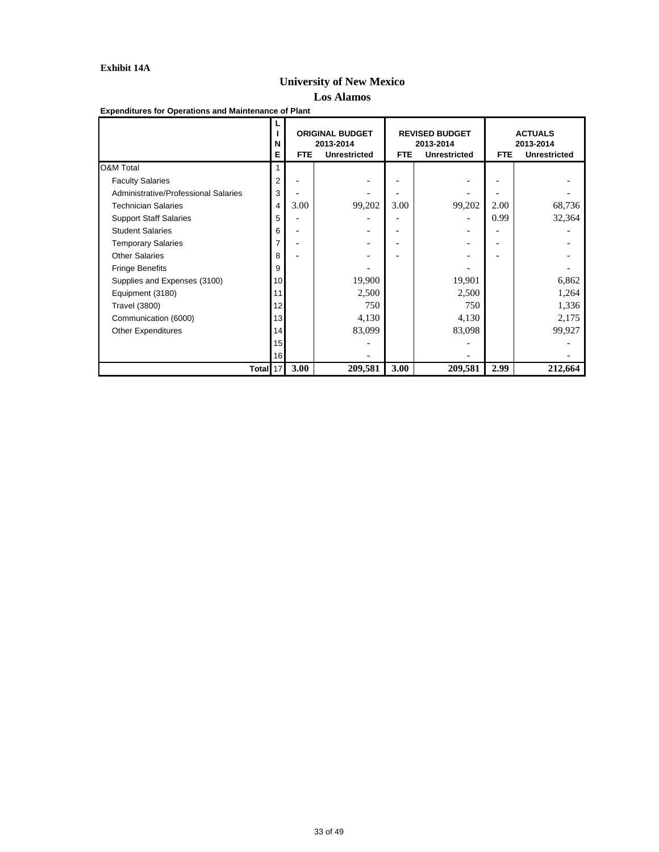### **Exhibit 14A**

### **University of New Mexico Los Alamos**

**Expenditures for Operations and Maintenance of Plant**

|                                      | N<br>Е          | <b>FTE</b> | <b>ORIGINAL BUDGET</b><br>2013-2014<br><b>Unrestricted</b> | <b>FTE</b> | <b>REVISED BUDGET</b><br>2013-2014<br><b>Unrestricted</b> | <b>ACTUALS</b><br>2013-2014<br><b>FTE</b><br><b>Unrestricted</b> |         |  |
|--------------------------------------|-----------------|------------|------------------------------------------------------------|------------|-----------------------------------------------------------|------------------------------------------------------------------|---------|--|
| <b>O&amp;M Total</b>                 |                 |            |                                                            |            |                                                           |                                                                  |         |  |
| <b>Faculty Salaries</b>              | 2               |            |                                                            |            |                                                           |                                                                  |         |  |
| Administrative/Professional Salaries | 3               |            |                                                            |            |                                                           |                                                                  |         |  |
| <b>Technician Salaries</b>           | 4               | 3.00       | 99,202                                                     | 3.00       | 99,202                                                    | 2.00                                                             | 68,736  |  |
| <b>Support Staff Salaries</b>        | 5               |            |                                                            |            |                                                           | 0.99                                                             | 32,364  |  |
| <b>Student Salaries</b>              | 6               |            | $\overline{a}$                                             |            |                                                           |                                                                  |         |  |
| <b>Temporary Salaries</b>            |                 |            |                                                            |            |                                                           |                                                                  |         |  |
| <b>Other Salaries</b>                | 8               |            |                                                            |            |                                                           |                                                                  |         |  |
| <b>Fringe Benefits</b>               | 9               |            |                                                            |            |                                                           |                                                                  |         |  |
| Supplies and Expenses (3100)         | 10 <sub>1</sub> |            | 19,900                                                     |            | 19,901                                                    |                                                                  | 6,862   |  |
| Equipment (3180)                     | 11              |            | 2,500                                                      |            | 2,500                                                     |                                                                  | 1,264   |  |
| <b>Travel (3800)</b>                 | 12              |            | 750                                                        |            | 750                                                       |                                                                  | 1,336   |  |
| Communication (6000)                 | 13              |            | 4,130                                                      |            | 4,130                                                     |                                                                  | 2,175   |  |
| <b>Other Expenditures</b>            | 14              |            | 83,099                                                     |            | 83,098                                                    |                                                                  | 99,927  |  |
|                                      | 15              |            |                                                            |            |                                                           |                                                                  |         |  |
|                                      | 16              |            |                                                            |            |                                                           |                                                                  |         |  |
| Total 17                             |                 | 3.00       | 209,581                                                    | 3.00       | 209,581                                                   | 2.99                                                             | 212,664 |  |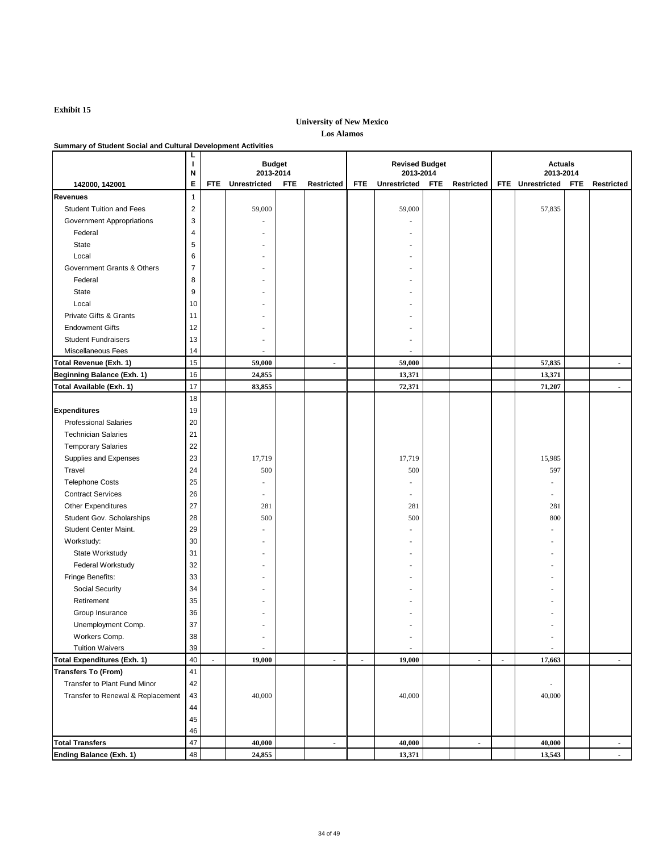**Summary of Student Social and Cultural Development Activities**

|                                       | L<br>N          |            | <b>Budget</b><br>2013-2014 |            |                   |                | <b>Revised Budget</b><br>2013-2014 |            |                   |            | <b>Actuals</b><br>2013-2014 |            |                   |
|---------------------------------------|-----------------|------------|----------------------------|------------|-------------------|----------------|------------------------------------|------------|-------------------|------------|-----------------------------|------------|-------------------|
| 142000, 142001                        | Е               | <b>FTE</b> | <b>Unrestricted</b>        | <b>FTE</b> | <b>Restricted</b> | <b>FTE</b>     | <b>Unrestricted</b>                | <b>FTE</b> | <b>Restricted</b> | <b>FTE</b> | <b>Unrestricted</b>         | <b>FTE</b> | <b>Restricted</b> |
| <b>Revenues</b>                       | $\mathbf{1}$    |            |                            |            |                   |                |                                    |            |                   |            |                             |            |                   |
| <b>Student Tuition and Fees</b>       | $\overline{2}$  |            | 59,000                     |            |                   |                | 59,000                             |            |                   |            | 57,835                      |            |                   |
| <b>Government Appropriations</b>      | $\mathfrak{B}$  |            |                            |            |                   |                |                                    |            |                   |            |                             |            |                   |
| Federal                               | 4               |            |                            |            |                   |                | $\overline{\phantom{a}}$           |            |                   |            |                             |            |                   |
| <b>State</b>                          | 5               |            |                            |            |                   |                | $\overline{\phantom{0}}$           |            |                   |            |                             |            |                   |
| Local                                 | 6               |            |                            |            |                   |                | $\overline{\phantom{a}}$           |            |                   |            |                             |            |                   |
| <b>Government Grants &amp; Others</b> | $\overline{7}$  |            |                            |            |                   |                | $\overline{\phantom{a}}$           |            |                   |            |                             |            |                   |
| Federal                               | 8               |            |                            |            |                   |                | $\overline{\phantom{a}}$           |            |                   |            |                             |            |                   |
| <b>State</b>                          | 9               |            |                            |            |                   |                | $\overline{\phantom{a}}$           |            |                   |            |                             |            |                   |
| Local                                 | 10              |            |                            |            |                   |                | $\overline{\phantom{a}}$           |            |                   |            |                             |            |                   |
| <b>Private Gifts &amp; Grants</b>     | 11              |            |                            |            |                   |                | $\overline{\phantom{a}}$           |            |                   |            |                             |            |                   |
| <b>Endowment Gifts</b>                | 12 <sub>2</sub> |            |                            |            |                   |                |                                    |            |                   |            |                             |            |                   |
| <b>Student Fundraisers</b>            | 13              |            |                            |            |                   |                | $\overline{\phantom{a}}$           |            |                   |            |                             |            |                   |
| <b>Miscellaneous Fees</b>             | 14              |            |                            |            |                   |                | $\sim$                             |            |                   |            |                             |            |                   |
| Total Revenue (Exh. 1)                | 15              |            | 59,000                     |            | Ξ.                |                | 59,000                             |            |                   |            | 57,835                      |            |                   |
| <b>Beginning Balance (Exh. 1)</b>     | 16              |            | 24,855                     |            |                   |                | 13,371                             |            |                   |            | 13,371                      |            |                   |
| Total Available (Exh. 1)              | 17              |            | 83,855                     |            |                   |                | 72,371                             |            |                   |            | 71,207                      |            |                   |
|                                       | 18              |            |                            |            |                   |                |                                    |            |                   |            |                             |            |                   |
| <b>Expenditures</b>                   | 19              |            |                            |            |                   |                |                                    |            |                   |            |                             |            |                   |
| <b>Professional Salaries</b>          | 20              |            |                            |            |                   |                |                                    |            |                   |            |                             |            |                   |
| <b>Technician Salaries</b>            | 21              |            |                            |            |                   |                |                                    |            |                   |            |                             |            |                   |
| <b>Temporary Salaries</b>             | 22              |            |                            |            |                   |                |                                    |            |                   |            |                             |            |                   |
| Supplies and Expenses                 | 23              |            | 17,719                     |            |                   |                | 17,719                             |            |                   |            | 15,985                      |            |                   |
| Travel                                | 24              |            | 500                        |            |                   |                | 500                                |            |                   |            | 597                         |            |                   |
| <b>Telephone Costs</b>                | 25              |            |                            |            |                   |                |                                    |            |                   |            |                             |            |                   |
| <b>Contract Services</b>              | 26              |            |                            |            |                   |                | $\overline{\phantom{a}}$           |            |                   |            |                             |            |                   |
|                                       | 27              |            | 281                        |            |                   |                | $\overline{\phantom{a}}$<br>281    |            |                   |            | 281                         |            |                   |
| <b>Other Expenditures</b>             |                 |            |                            |            |                   |                |                                    |            |                   |            |                             |            |                   |
| <b>Student Gov. Scholarships</b>      | 28              |            | 500                        |            |                   |                | 500                                |            |                   |            | 800                         |            |                   |
| <b>Student Center Maint.</b>          | 29              |            |                            |            |                   |                | $\overline{\phantom{a}}$           |            |                   |            |                             |            |                   |
| Workstudy:                            | 30 <sup>°</sup> |            |                            |            |                   |                | $\overline{\phantom{a}}$           |            |                   |            |                             |            |                   |
| State Workstudy                       | 31              |            | $\overline{\phantom{a}}$   |            |                   |                | $\overline{\phantom{a}}$           |            |                   |            | $\overline{\phantom{a}}$    |            |                   |
| <b>Federal Workstudy</b>              | 32              |            |                            |            |                   |                | $\overline{\phantom{a}}$           |            |                   |            |                             |            |                   |
| Fringe Benefits:                      | 33              |            |                            |            |                   |                | $\overline{\phantom{a}}$           |            |                   |            |                             |            |                   |
| <b>Social Security</b>                | 34              |            |                            |            |                   |                | $\overline{\phantom{a}}$           |            |                   |            |                             |            |                   |
| Retirement                            | 35              |            |                            |            |                   |                | $\overline{\phantom{a}}$           |            |                   |            | $\overline{\phantom{0}}$    |            |                   |
| Group Insurance                       | 36              |            |                            |            |                   |                | $\overline{\phantom{a}}$           |            |                   |            |                             |            |                   |
| Unemployment Comp.                    | 37              |            |                            |            |                   |                | $\overline{\phantom{a}}$           |            |                   |            |                             |            |                   |
| Workers Comp.                         | 38              |            |                            |            |                   |                | $\overline{\phantom{a}}$           |            |                   |            | $\overline{\phantom{0}}$    |            |                   |
| <b>Tuition Waivers</b>                | 39              |            |                            |            |                   |                |                                    |            |                   |            |                             |            |                   |
| Total Expenditures (Exh. 1)           | 40              |            | 19,000                     |            | $\blacksquare$    | $\blacksquare$ | 19,000                             |            | $\blacksquare$    |            | 17,663                      |            |                   |
| <b>Transfers To (From)</b>            | 41              |            |                            |            |                   |                |                                    |            |                   |            |                             |            |                   |
| Transfer to Plant Fund Minor          | 42              |            |                            |            |                   |                |                                    |            |                   |            |                             |            |                   |
| Transfer to Renewal & Replacement     | 43              |            | 40,000                     |            |                   |                | 40,000                             |            |                   |            | 40,000                      |            |                   |
|                                       | 44              |            |                            |            |                   |                |                                    |            |                   |            |                             |            |                   |
|                                       | 45              |            |                            |            |                   |                |                                    |            |                   |            |                             |            |                   |
|                                       | 46              |            |                            |            |                   |                |                                    |            |                   |            |                             |            |                   |
| <b>Total Transfers</b>                | 47              |            | 40,000                     |            | $\blacksquare$    |                | 40,000                             |            | $\blacksquare$    |            | 40,000                      |            | $\sim$            |
| <b>Ending Balance (Exh. 1)</b>        | 48              |            | 24,855                     |            |                   |                | 13,371                             |            |                   |            | 13,543                      |            | $\blacksquare$    |

# **University of New Mexico**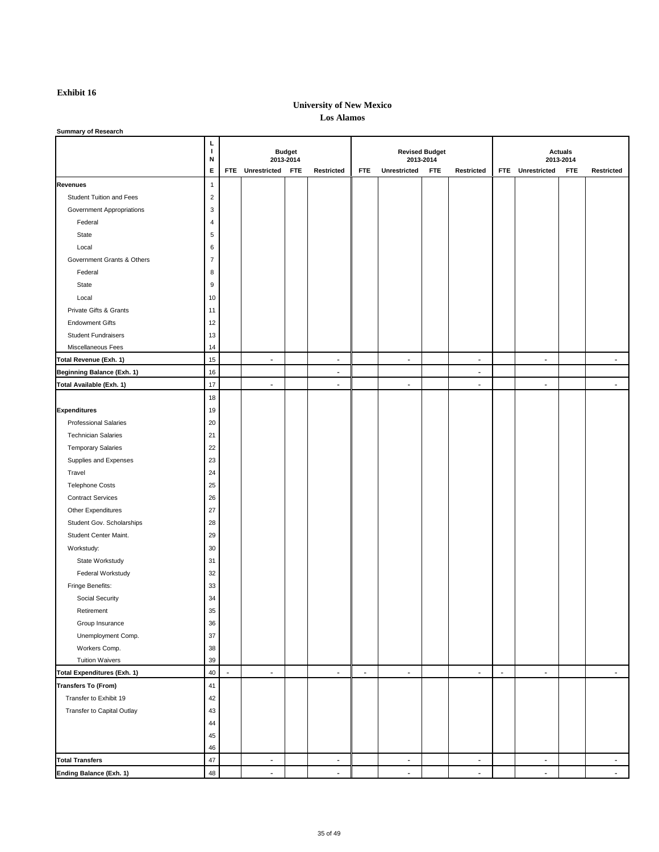### **Summary of Research**

|                                         | L              |                |                      | <b>Budget</b><br><b>Revised Budget</b><br><b>Actuals</b> |                   |                |                     |            |                   |                |                     |            |                   |
|-----------------------------------------|----------------|----------------|----------------------|----------------------------------------------------------|-------------------|----------------|---------------------|------------|-------------------|----------------|---------------------|------------|-------------------|
|                                         | $\mathsf N$    |                |                      | 2013-2014                                                |                   |                | 2013-2014           |            |                   |                |                     | 2013-2014  |                   |
|                                         | E              |                | FTE Unrestricted FTE |                                                          | <b>Restricted</b> | <b>FTE</b>     | <b>Unrestricted</b> | <b>FTE</b> | <b>Restricted</b> | <b>FTE</b>     | <b>Unrestricted</b> | <b>FTE</b> | <b>Restricted</b> |
| <b>Revenues</b>                         | $\overline{1}$ |                |                      |                                                          |                   |                |                     |            |                   |                |                     |            |                   |
| <b>Student Tuition and Fees</b>         | $\overline{2}$ |                |                      |                                                          |                   |                |                     |            |                   |                |                     |            |                   |
| <b>Government Appropriations</b>        | $\mathbf 3$    |                |                      |                                                          |                   |                |                     |            |                   |                |                     |            |                   |
| Federal                                 | $\overline{4}$ |                |                      |                                                          |                   |                |                     |            |                   |                |                     |            |                   |
| State                                   | $\,$ 5 $\,$    |                |                      |                                                          |                   |                |                     |            |                   |                |                     |            |                   |
| Local                                   | 6              |                |                      |                                                          |                   |                |                     |            |                   |                |                     |            |                   |
| Government Grants & Others              | $\overline{7}$ |                |                      |                                                          |                   |                |                     |            |                   |                |                     |            |                   |
| Federal                                 | 8              |                |                      |                                                          |                   |                |                     |            |                   |                |                     |            |                   |
| State                                   | 9              |                |                      |                                                          |                   |                |                     |            |                   |                |                     |            |                   |
| Local                                   | 10             |                |                      |                                                          |                   |                |                     |            |                   |                |                     |            |                   |
| Private Gifts & Grants                  | 11             |                |                      |                                                          |                   |                |                     |            |                   |                |                     |            |                   |
| <b>Endowment Gifts</b>                  | 12             |                |                      |                                                          |                   |                |                     |            |                   |                |                     |            |                   |
| <b>Student Fundraisers</b>              | 13             |                |                      |                                                          |                   |                |                     |            |                   |                |                     |            |                   |
| Miscellaneous Fees                      | 14             |                |                      |                                                          |                   |                |                     |            |                   |                |                     |            |                   |
| <b>Total Revenue (Exh. 1)</b>           | 15             |                | $\blacksquare$       |                                                          | $\blacksquare$    |                | $\blacksquare$      |            | $\blacksquare$    |                | $\blacksquare$      |            | $\sim$            |
| <b>Beginning Balance (Exh. 1)</b>       | 16             |                |                      |                                                          | $\blacksquare$    |                |                     |            | $\blacksquare$    |                |                     |            |                   |
| <b>Total Available (Exh. 1)</b>         | 17             |                | $\blacksquare$       |                                                          | $\sim$            |                | $\blacksquare$      |            | $\blacksquare$    |                | $\blacksquare$      |            | $\sim$            |
|                                         | 18             |                |                      |                                                          |                   |                |                     |            |                   |                |                     |            |                   |
| <b>Expenditures</b>                     | 19             |                |                      |                                                          |                   |                |                     |            |                   |                |                     |            |                   |
| <b>Professional Salaries</b>            | 20             |                |                      |                                                          |                   |                |                     |            |                   |                |                     |            |                   |
| <b>Technician Salaries</b>              | 21             |                |                      |                                                          |                   |                |                     |            |                   |                |                     |            |                   |
| <b>Temporary Salaries</b>               | 22             |                |                      |                                                          |                   |                |                     |            |                   |                |                     |            |                   |
| Supplies and Expenses                   | 23             |                |                      |                                                          |                   |                |                     |            |                   |                |                     |            |                   |
| Travel                                  | 24             |                |                      |                                                          |                   |                |                     |            |                   |                |                     |            |                   |
| <b>Telephone Costs</b>                  | 25             |                |                      |                                                          |                   |                |                     |            |                   |                |                     |            |                   |
| <b>Contract Services</b>                | 26             |                |                      |                                                          |                   |                |                     |            |                   |                |                     |            |                   |
| Other Expenditures                      | 27             |                |                      |                                                          |                   |                |                     |            |                   |                |                     |            |                   |
| Student Gov. Scholarships               | 28             |                |                      |                                                          |                   |                |                     |            |                   |                |                     |            |                   |
| Student Center Maint.                   | 29             |                |                      |                                                          |                   |                |                     |            |                   |                |                     |            |                   |
| Workstudy:                              | 30             |                |                      |                                                          |                   |                |                     |            |                   |                |                     |            |                   |
| State Workstudy                         | 31             |                |                      |                                                          |                   |                |                     |            |                   |                |                     |            |                   |
| Federal Workstudy                       | 32             |                |                      |                                                          |                   |                |                     |            |                   |                |                     |            |                   |
| Fringe Benefits:                        | 33             |                |                      |                                                          |                   |                |                     |            |                   |                |                     |            |                   |
| <b>Social Security</b>                  | 34             |                |                      |                                                          |                   |                |                     |            |                   |                |                     |            |                   |
| Retirement                              | 35             |                |                      |                                                          |                   |                |                     |            |                   |                |                     |            |                   |
| Group Insurance                         | 36             |                |                      |                                                          |                   |                |                     |            |                   |                |                     |            |                   |
| Unemployment Comp.                      | 37             |                |                      |                                                          |                   |                |                     |            |                   |                |                     |            |                   |
|                                         | 38             |                |                      |                                                          |                   |                |                     |            |                   |                |                     |            |                   |
| Workers Comp.<br><b>Tuition Waivers</b> | 39             |                |                      |                                                          |                   |                |                     |            |                   |                |                     |            |                   |
| <b>Total Expenditures (Exh. 1)</b>      | 40             | $\blacksquare$ | $\blacksquare$       |                                                          | $\blacksquare$    | $\blacksquare$ | $\blacksquare$      |            | $\blacksquare$    | $\blacksquare$ | $\blacksquare$      |            | $\blacksquare$    |
|                                         |                |                |                      |                                                          |                   |                |                     |            |                   |                |                     |            |                   |
| <b>Transfers To (From)</b>              | 41             |                |                      |                                                          |                   |                |                     |            |                   |                |                     |            |                   |
| Transfer to Exhibit 19                  | 42             |                |                      |                                                          |                   |                |                     |            |                   |                |                     |            |                   |
| <b>Transfer to Capital Outlay</b>       | 43             |                |                      |                                                          |                   |                |                     |            |                   |                |                     |            |                   |
|                                         | 44             |                |                      |                                                          |                   |                |                     |            |                   |                |                     |            |                   |
|                                         | 45             |                |                      |                                                          |                   |                |                     |            |                   |                |                     |            |                   |
|                                         | 46             |                |                      |                                                          |                   |                |                     |            |                   |                |                     |            |                   |
| <b>Total Transfers</b>                  | 47             |                | $\blacksquare$       |                                                          | $\sim$            |                | $\blacksquare$      |            | $\blacksquare$    |                | $\blacksquare$      |            | $\sim$            |
| <b>Ending Balance (Exh. 1)</b>          | 48             |                | $\blacksquare$       |                                                          | $\blacksquare$    |                | $\blacksquare$      |            | $\blacksquare$    |                | $\blacksquare$      |            | $\sim$            |

## **University of New Mexico Los Alamos**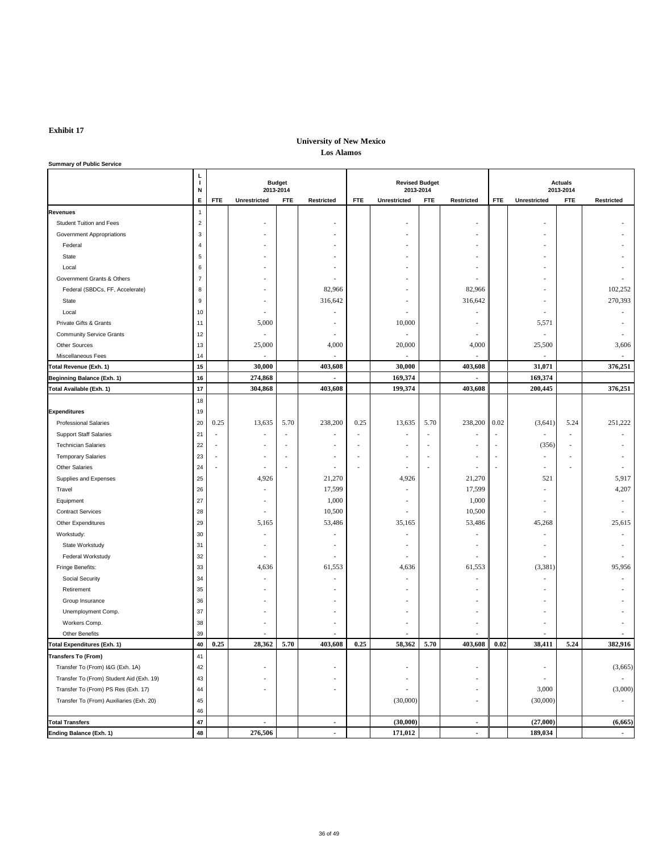#### **Summary of Public Service**

|                                          | N  |                          | 2013-2014                | <b>Budget</b>            |                          | <b>Revised Budget</b><br>2013-2014 |                          |                          |                          |            | <b>Actuals</b><br>2013-2014 |                          |                   |  |  |
|------------------------------------------|----|--------------------------|--------------------------|--------------------------|--------------------------|------------------------------------|--------------------------|--------------------------|--------------------------|------------|-----------------------------|--------------------------|-------------------|--|--|
|                                          | E  | <b>FTE</b>               | <b>Unrestricted</b>      | <b>FTE</b>               | <b>Restricted</b>        | <b>FTE</b>                         | <b>Unrestricted</b>      | <b>FTE</b>               | <b>Restricted</b>        | <b>FTE</b> | <b>Unrestricted</b>         | <b>FTE</b>               | <b>Restricted</b> |  |  |
| <b>Revenues</b>                          |    |                          |                          |                          |                          |                                    |                          |                          |                          |            |                             |                          |                   |  |  |
| <b>Student Tuition and Fees</b>          | 2  |                          |                          |                          |                          |                                    |                          |                          |                          |            | -                           |                          |                   |  |  |
| <b>Government Appropriations</b>         | 3  |                          |                          |                          |                          |                                    |                          |                          |                          |            |                             |                          |                   |  |  |
| Federal                                  | 4  |                          |                          |                          |                          |                                    |                          |                          |                          |            |                             |                          |                   |  |  |
| State                                    | 5  |                          |                          |                          |                          |                                    |                          |                          |                          |            |                             |                          |                   |  |  |
| Local                                    | 6  |                          |                          |                          |                          |                                    | $\overline{\phantom{a}}$ |                          |                          |            | -                           |                          |                   |  |  |
| Government Grants & Others               |    |                          |                          |                          |                          |                                    | $\overline{\phantom{a}}$ |                          |                          |            | -                           |                          |                   |  |  |
| Federal (SBDCs, FF, Accelerate)          | 8  |                          |                          |                          | 82,966                   |                                    | $\overline{\phantom{a}}$ |                          | 82,966                   |            |                             |                          | 102,252           |  |  |
| State                                    | 9  |                          | $\overline{\phantom{0}}$ |                          | 316,642                  |                                    | $\overline{\phantom{a}}$ |                          | 316,642                  |            | -                           |                          | 270,393           |  |  |
| Local                                    | 10 |                          | $\overline{\phantom{a}}$ |                          |                          |                                    | $\overline{\phantom{a}}$ |                          |                          |            | $\overline{\phantom{a}}$    |                          |                   |  |  |
| Private Gifts & Grants                   | 11 |                          | 5,000                    |                          |                          |                                    | 10,000                   |                          |                          |            | 5,571                       |                          |                   |  |  |
| <b>Community Service Grants</b>          | 12 |                          |                          |                          |                          |                                    |                          |                          |                          |            |                             |                          |                   |  |  |
| <b>Other Sources</b>                     | 13 |                          | 25,000                   |                          | 4,000                    |                                    | 20,000                   |                          | 4,000                    |            | 25,500                      |                          | 3,606             |  |  |
| Miscellaneous Fees                       | 14 |                          |                          |                          |                          |                                    |                          |                          |                          |            |                             |                          |                   |  |  |
| Total Revenue (Exh. 1)                   | 15 |                          | 30,000                   |                          | 403,608                  |                                    | 30,000                   |                          | 403,608                  |            | 31,071                      |                          | 376,251           |  |  |
| <b>Beginning Balance (Exh. 1)</b>        | 16 |                          | 274,868                  |                          |                          |                                    | 169,374                  |                          |                          |            | 169,374                     |                          |                   |  |  |
| Total Available (Exh. 1)                 | 17 |                          | 304,868                  |                          | 403,608                  |                                    | 199,374                  |                          | 403,608                  |            | 200,445                     |                          | 376,251           |  |  |
|                                          | 18 |                          |                          |                          |                          |                                    |                          |                          |                          |            |                             |                          |                   |  |  |
| Expenditures                             | 19 |                          |                          |                          |                          |                                    |                          |                          |                          |            |                             |                          |                   |  |  |
| <b>Professional Salaries</b>             |    | 20 0.25                  | $13,635$ 5.70            |                          | 238,200 0.25             |                                    | $13,635$ 5.70            |                          | $238,200$ 0.02           |            | (3,641)                     | 5.24                     | 251,222           |  |  |
| <b>Support Staff Salaries</b>            | 21 |                          |                          | $\overline{\phantom{a}}$ |                          |                                    |                          | $\overline{\phantom{a}}$ |                          |            |                             |                          |                   |  |  |
| <b>Technician Salaries</b>               | 22 | $\overline{\phantom{a}}$ | $\overline{\phantom{a}}$ | $\overline{\phantom{0}}$ | $\overline{\phantom{a}}$ |                                    | $\overline{\phantom{a}}$ | $\overline{\phantom{a}}$ | $\overline{\phantom{0}}$ |            | (356)                       | $\overline{\phantom{a}}$ |                   |  |  |
| <b>Temporary Salaries</b>                | 23 | $\overline{\phantom{a}}$ | $\overline{\phantom{a}}$ | $\overline{\phantom{0}}$ | $\overline{\phantom{a}}$ |                                    | $\overline{\phantom{a}}$ | $\overline{\phantom{a}}$ |                          |            |                             |                          |                   |  |  |
| <b>Other Salaries</b>                    | 24 | $\overline{\phantom{a}}$ | $\overline{\phantom{a}}$ | $\overline{\phantom{0}}$ |                          |                                    | $\overline{\phantom{a}}$ | $\overline{\phantom{a}}$ |                          |            | $\blacksquare$              | $\overline{\phantom{a}}$ |                   |  |  |
| Supplies and Expenses                    | 25 |                          | 4,926                    |                          | 21,270                   |                                    | 4,926                    |                          | 21,270                   |            | 521                         |                          | 5,917             |  |  |
| Travel                                   | 26 |                          |                          |                          | 17,599                   |                                    |                          |                          | 17,599                   |            | $\overline{\phantom{0}}$    |                          | 4,207             |  |  |
| Equipment                                | 27 |                          |                          |                          | 1,000                    |                                    | $\overline{\phantom{a}}$ |                          | 1,000                    |            |                             |                          |                   |  |  |
| <b>Contract Services</b>                 | 28 |                          | $\overline{\phantom{a}}$ |                          | 10,500                   |                                    | $\overline{\phantom{a}}$ |                          | 10,500                   |            |                             |                          |                   |  |  |
| <b>Other Expenditures</b>                | 29 |                          | 5,165                    |                          | 53,486                   |                                    | 35,165                   |                          | 53,486                   |            | 45,268                      |                          | 25,615            |  |  |
| Workstudy:                               | 30 |                          |                          |                          | $\overline{\phantom{a}}$ |                                    |                          |                          |                          |            |                             |                          |                   |  |  |
| State Workstudy                          | 31 |                          |                          |                          |                          |                                    |                          |                          |                          |            |                             |                          |                   |  |  |
| Federal Workstudy                        | 32 |                          | $\overline{\phantom{a}}$ |                          |                          |                                    | $\overline{\phantom{a}}$ |                          |                          |            |                             |                          |                   |  |  |
| Fringe Benefits:                         | 33 |                          | 4,636                    |                          | 61,553                   |                                    | 4,636                    |                          | 61,553                   |            | (3,381)                     |                          | 95,956            |  |  |
| Social Security                          | 34 |                          |                          |                          |                          |                                    |                          |                          |                          |            |                             |                          |                   |  |  |
| Retirement                               | 35 |                          |                          |                          |                          |                                    | $\overline{\phantom{a}}$ |                          |                          |            |                             |                          |                   |  |  |
| Group Insurance                          | 36 |                          |                          |                          |                          |                                    |                          |                          |                          |            |                             |                          |                   |  |  |
| Unemployment Comp.                       | 37 |                          |                          |                          |                          |                                    |                          |                          |                          |            |                             |                          |                   |  |  |
| Workers Comp.                            | 38 |                          |                          |                          |                          |                                    |                          |                          |                          |            |                             |                          |                   |  |  |
| <b>Other Benefits</b>                    | 39 |                          |                          |                          |                          |                                    |                          |                          |                          |            |                             |                          |                   |  |  |
| Total Expenditures (Exh. 1)              | 40 | 0.25                     | 28,362                   | 5.70                     | 403,608                  | 0.25                               | 58,362                   | 5.70                     | 403,608                  | 0.02       | 38,411                      | 5.24                     | 382,916           |  |  |
| <b>Transfers To (From)</b>               | 41 |                          |                          |                          |                          |                                    |                          |                          |                          |            |                             |                          |                   |  |  |
| Transfer To (From) I&G (Exh. 1A)         | 42 |                          |                          |                          |                          |                                    |                          |                          |                          |            |                             |                          | (3,665)           |  |  |
| Transfer To (From) Student Aid (Exh. 19) | 43 |                          |                          |                          |                          |                                    |                          |                          |                          |            |                             |                          |                   |  |  |
| Transfer To (From) PS Res (Exh. 17)      | 44 |                          | $\overline{\phantom{a}}$ |                          | $\overline{\phantom{a}}$ |                                    | $\overline{\phantom{a}}$ |                          | $\overline{\phantom{a}}$ |            | 3,000                       |                          | (3,000)           |  |  |
| Transfer To (From) Auxiliaries (Exh. 20) | 45 |                          |                          |                          |                          |                                    | (30,000)                 |                          |                          |            | (30,000)                    |                          |                   |  |  |
|                                          | 46 |                          |                          |                          |                          |                                    |                          |                          |                          |            |                             |                          |                   |  |  |
| <b>Total Transfers</b>                   | 47 |                          | $\blacksquare$           |                          | $\blacksquare$           |                                    | (30,000)                 |                          | $\blacksquare$           |            | (27,000)                    |                          | (6,665)           |  |  |
| <b>Ending Balance (Exh. 1)</b>           | 48 |                          | 276,506                  |                          | $\sim$                   |                                    | 171,012                  |                          |                          |            | 189,034                     |                          |                   |  |  |

## **University of New Mexico Los Alamos**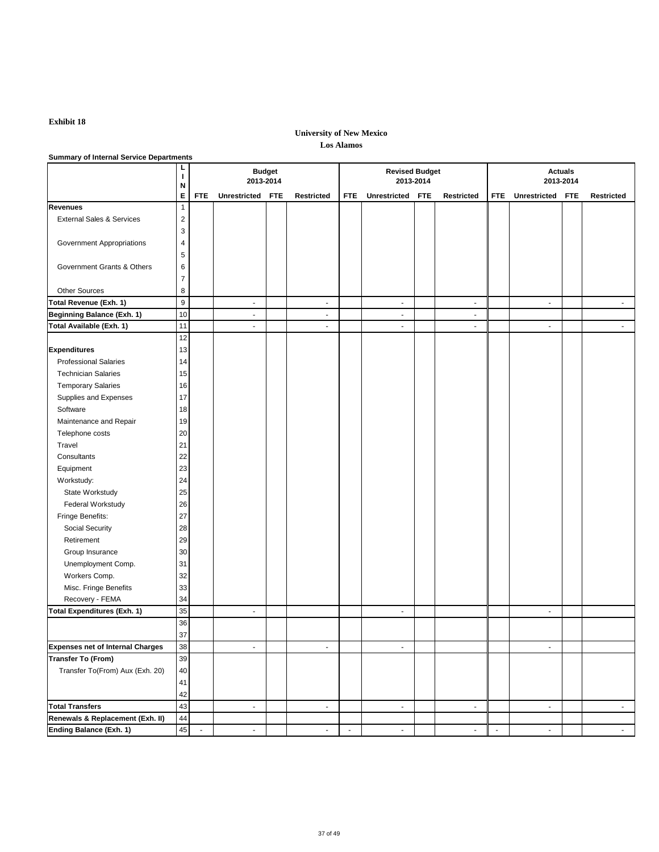### **Summary of Internal Service Departments**

|                                         | N              | <b>Budget</b><br>2013-2014 |                         |  |                   | <b>Revised Budget</b><br>2013-2014 |                     |            |                   |                | <b>Actuals</b><br>2013-2014 |  |                   |  |
|-----------------------------------------|----------------|----------------------------|-------------------------|--|-------------------|------------------------------------|---------------------|------------|-------------------|----------------|-----------------------------|--|-------------------|--|
|                                         | E              | <b>FTE</b>                 | <b>Unrestricted FTE</b> |  | <b>Restricted</b> | <b>FTE</b>                         | <b>Unrestricted</b> | <b>FTE</b> | <b>Restricted</b> | <b>FTE</b>     | <b>Unrestricted FTE</b>     |  | <b>Restricted</b> |  |
| <b>Revenues</b>                         | 1              |                            |                         |  |                   |                                    |                     |            |                   |                |                             |  |                   |  |
| <b>External Sales &amp; Services</b>    | $\overline{2}$ |                            |                         |  |                   |                                    |                     |            |                   |                |                             |  |                   |  |
|                                         | 3              |                            |                         |  |                   |                                    |                     |            |                   |                |                             |  |                   |  |
| <b>Government Appropriations</b>        | 4              |                            |                         |  |                   |                                    |                     |            |                   |                |                             |  |                   |  |
|                                         | $\overline{5}$ |                            |                         |  |                   |                                    |                     |            |                   |                |                             |  |                   |  |
| <b>Government Grants &amp; Others</b>   | 6              |                            |                         |  |                   |                                    |                     |            |                   |                |                             |  |                   |  |
|                                         | $\overline{7}$ |                            |                         |  |                   |                                    |                     |            |                   |                |                             |  |                   |  |
| <b>Other Sources</b>                    | 8              |                            |                         |  |                   |                                    |                     |            |                   |                |                             |  |                   |  |
| <b>Total Revenue (Exh. 1)</b>           | $\overline{9}$ |                            | $\blacksquare$          |  |                   |                                    | $\blacksquare$      |            | $\blacksquare$    |                | $\sim$                      |  |                   |  |
| <b>Beginning Balance (Exh. 1)</b>       | 10             |                            | $\blacksquare$          |  |                   |                                    | $\blacksquare$      |            | $\blacksquare$    |                |                             |  |                   |  |
| Total Available (Exh. 1)                | 11             |                            | $\sim$                  |  | $\blacksquare$    |                                    | $\blacksquare$      |            | $\blacksquare$    |                | $\blacksquare$              |  | $\blacksquare$    |  |
|                                         | 12             |                            |                         |  |                   |                                    |                     |            |                   |                |                             |  |                   |  |
| <b>Expenditures</b>                     | 13             |                            |                         |  |                   |                                    |                     |            |                   |                |                             |  |                   |  |
| <b>Professional Salaries</b>            | 14             |                            |                         |  |                   |                                    |                     |            |                   |                |                             |  |                   |  |
| <b>Technician Salaries</b>              | 15             |                            |                         |  |                   |                                    |                     |            |                   |                |                             |  |                   |  |
| <b>Temporary Salaries</b>               | 16             |                            |                         |  |                   |                                    |                     |            |                   |                |                             |  |                   |  |
| Supplies and Expenses                   | 17             |                            |                         |  |                   |                                    |                     |            |                   |                |                             |  |                   |  |
| Software                                | 18             |                            |                         |  |                   |                                    |                     |            |                   |                |                             |  |                   |  |
| Maintenance and Repair                  | 19             |                            |                         |  |                   |                                    |                     |            |                   |                |                             |  |                   |  |
| Telephone costs                         | 20             |                            |                         |  |                   |                                    |                     |            |                   |                |                             |  |                   |  |
| <b>Travel</b>                           | 21             |                            |                         |  |                   |                                    |                     |            |                   |                |                             |  |                   |  |
| Consultants                             | 22             |                            |                         |  |                   |                                    |                     |            |                   |                |                             |  |                   |  |
| Equipment                               | 23             |                            |                         |  |                   |                                    |                     |            |                   |                |                             |  |                   |  |
| Workstudy:                              | 24             |                            |                         |  |                   |                                    |                     |            |                   |                |                             |  |                   |  |
| State Workstudy                         | 25             |                            |                         |  |                   |                                    |                     |            |                   |                |                             |  |                   |  |
| Federal Workstudy                       | 26             |                            |                         |  |                   |                                    |                     |            |                   |                |                             |  |                   |  |
| Fringe Benefits:                        | 27             |                            |                         |  |                   |                                    |                     |            |                   |                |                             |  |                   |  |
| <b>Social Security</b>                  | 28             |                            |                         |  |                   |                                    |                     |            |                   |                |                             |  |                   |  |
| Retirement                              | 29             |                            |                         |  |                   |                                    |                     |            |                   |                |                             |  |                   |  |
| Group Insurance                         | 30             |                            |                         |  |                   |                                    |                     |            |                   |                |                             |  |                   |  |
| Unemployment Comp.                      | 31             |                            |                         |  |                   |                                    |                     |            |                   |                |                             |  |                   |  |
| Workers Comp.                           | 32             |                            |                         |  |                   |                                    |                     |            |                   |                |                             |  |                   |  |
| Misc. Fringe Benefits                   | 33             |                            |                         |  |                   |                                    |                     |            |                   |                |                             |  |                   |  |
| Recovery - FEMA                         | 34             |                            |                         |  |                   |                                    |                     |            |                   |                |                             |  |                   |  |
| Total Expenditures (Exh. 1)             | 35             |                            | $\sim$                  |  |                   |                                    | $\blacksquare$      |            |                   |                | $\blacksquare$              |  |                   |  |
|                                         | 36             |                            |                         |  |                   |                                    |                     |            |                   |                |                             |  |                   |  |
|                                         | 37             |                            |                         |  |                   |                                    |                     |            |                   |                |                             |  |                   |  |
| <b>Expenses net of Internal Charges</b> | 38             |                            | $\blacksquare$          |  |                   |                                    | $\blacksquare$      |            |                   |                |                             |  |                   |  |
| Transfer To (From)                      | 39             |                            |                         |  |                   |                                    |                     |            |                   |                |                             |  |                   |  |
| Transfer To(From) Aux (Exh. 20)         | 40             |                            |                         |  |                   |                                    |                     |            |                   |                |                             |  |                   |  |
|                                         | 41             |                            |                         |  |                   |                                    |                     |            |                   |                |                             |  |                   |  |
|                                         | 42             |                            |                         |  |                   |                                    |                     |            |                   |                |                             |  |                   |  |
| <b>Total Transfers</b>                  | 43             |                            |                         |  |                   |                                    | $\blacksquare$      |            | $\blacksquare$    |                |                             |  |                   |  |
| Renewals & Replacement (Exh. II)        | 44             |                            |                         |  |                   |                                    |                     |            |                   |                |                             |  |                   |  |
| <b>Ending Balance (Exh. 1)</b>          | 45             |                            | Ξ.                      |  |                   | $\blacksquare$                     | $\blacksquare$      |            | $\blacksquare$    | $\blacksquare$ | $\blacksquare$              |  | $\sim$            |  |

## **University of New Mexico**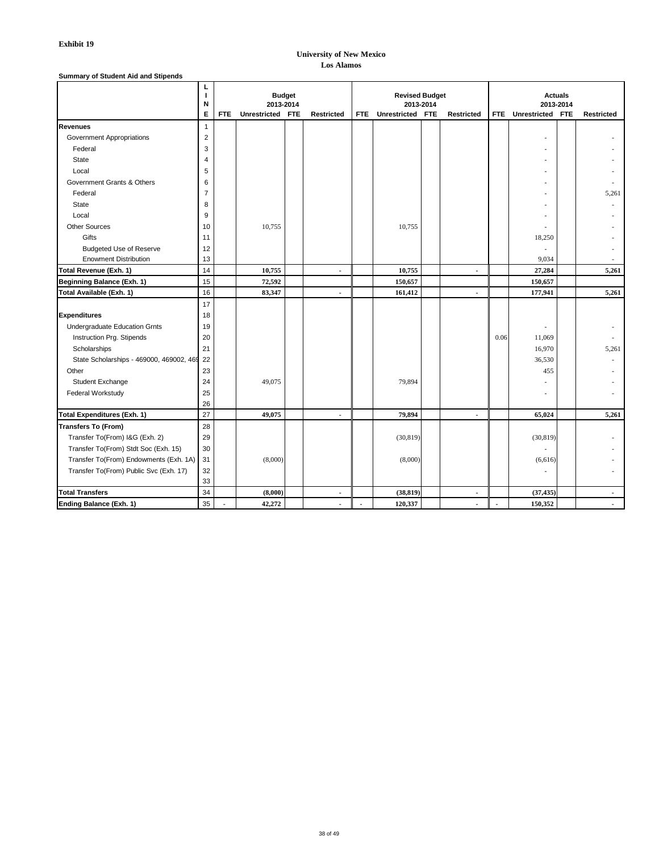**Summary of Student Aid and Stipends**

|                                             |    |            |                         | <b>Budget</b> |                   | <b>Revised Budget</b> |                         |  |                   |            | <b>Actuals</b>           |  |                   |  |
|---------------------------------------------|----|------------|-------------------------|---------------|-------------------|-----------------------|-------------------------|--|-------------------|------------|--------------------------|--|-------------------|--|
|                                             | N  |            | 2013-2014               |               |                   |                       | 2013-2014               |  |                   |            | 2013-2014                |  |                   |  |
|                                             | Е  | <b>FTE</b> | <b>Unrestricted FTE</b> |               | <b>Restricted</b> | <b>FTE</b>            | <b>Unrestricted FTE</b> |  | <b>Restricted</b> | <b>FTE</b> | <b>Unrestricted FTE</b>  |  | <b>Restricted</b> |  |
| <b>Revenues</b>                             |    |            |                         |               |                   |                       |                         |  |                   |            |                          |  |                   |  |
| <b>Government Appropriations</b>            | 2  |            |                         |               |                   |                       |                         |  |                   |            |                          |  |                   |  |
| Federal                                     | 3  |            |                         |               |                   |                       |                         |  |                   |            |                          |  |                   |  |
| <b>State</b>                                | 4  |            |                         |               |                   |                       |                         |  |                   |            | $\overline{\phantom{a}}$ |  |                   |  |
| Local                                       | 5  |            |                         |               |                   |                       |                         |  |                   |            | $\overline{\phantom{a}}$ |  |                   |  |
| <b>Government Grants &amp; Others</b>       | 6  |            |                         |               |                   |                       |                         |  |                   |            |                          |  |                   |  |
| Federal                                     |    |            |                         |               |                   |                       |                         |  |                   |            |                          |  | 5,261             |  |
| <b>State</b>                                | 8  |            |                         |               |                   |                       |                         |  |                   |            |                          |  |                   |  |
| Local                                       | 9  |            |                         |               |                   |                       |                         |  |                   |            | $\overline{a}$           |  |                   |  |
| <b>Other Sources</b>                        | 10 |            | 10,755                  |               |                   |                       | 10,755                  |  |                   |            |                          |  |                   |  |
| <b>Gifts</b>                                | 11 |            |                         |               |                   |                       |                         |  |                   |            | 18,250                   |  |                   |  |
| <b>Budgeted Use of Reserve</b>              | 12 |            |                         |               |                   |                       |                         |  |                   |            |                          |  |                   |  |
| <b>Enowment Distribution</b>                | 13 |            |                         |               |                   |                       |                         |  |                   |            | 9,034                    |  |                   |  |
| <b>Total Revenue (Exh. 1)</b>               | 14 |            | 10,755                  |               |                   |                       | 10,755                  |  |                   |            | 27,284                   |  | 5,261             |  |
| <b>Beginning Balance (Exh. 1)</b>           | 15 |            | 72,592                  |               |                   |                       | 150,657                 |  |                   |            | 150,657                  |  |                   |  |
| <b>Total Available (Exh. 1)</b>             | 16 |            | 83,347                  |               | $\blacksquare$    |                       | 161,412                 |  |                   |            | 177,941                  |  | 5,261             |  |
|                                             | 17 |            |                         |               |                   |                       |                         |  |                   |            |                          |  |                   |  |
| <b>Expenditures</b>                         | 18 |            |                         |               |                   |                       |                         |  |                   |            |                          |  |                   |  |
| <b>Undergraduate Education Grnts</b>        | 19 |            |                         |               |                   |                       |                         |  |                   |            |                          |  |                   |  |
| <b>Instruction Prg. Stipends</b>            | 20 |            |                         |               |                   |                       |                         |  |                   | 0.06       | 11,069                   |  |                   |  |
| Scholarships                                | 21 |            |                         |               |                   |                       |                         |  |                   |            | 16,970                   |  | 5,261             |  |
| State Scholarships - 469000, 469002, 469    | 22 |            |                         |               |                   |                       |                         |  |                   |            | 36,530                   |  |                   |  |
| Other                                       | 23 |            |                         |               |                   |                       |                         |  |                   |            | 455                      |  |                   |  |
| <b>Student Exchange</b>                     | 24 |            | 49,075                  |               |                   |                       | 79,894                  |  |                   |            |                          |  |                   |  |
| <b>Federal Workstudy</b>                    | 25 |            |                         |               |                   |                       |                         |  |                   |            | $\overline{\phantom{a}}$ |  |                   |  |
|                                             | 26 |            |                         |               |                   |                       |                         |  |                   |            |                          |  |                   |  |
| <b>Total Expenditures (Exh. 1)</b>          | 27 |            | 49,075                  |               | $\blacksquare$    |                       | 79,894                  |  |                   |            | 65,024                   |  | 5,261             |  |
| <b>Transfers To (From)</b>                  | 28 |            |                         |               |                   |                       |                         |  |                   |            |                          |  |                   |  |
| Transfer To(From) I&G (Exh. 2)              | 29 |            |                         |               |                   |                       | (30, 819)               |  |                   |            | (30, 819)                |  |                   |  |
| Transfer To(From) Stdt Soc (Exh. 15)        | 30 |            |                         |               |                   |                       |                         |  |                   |            |                          |  |                   |  |
| Transfer To(From) Endowments (Exh. 1A)   31 |    |            | (8,000)                 |               |                   |                       | (8,000)                 |  |                   |            | (6,616)                  |  |                   |  |
| Transfer To(From) Public Svc (Exh. 17)      | 32 |            |                         |               |                   |                       |                         |  |                   |            |                          |  |                   |  |
|                                             | 33 |            |                         |               |                   |                       |                         |  |                   |            |                          |  |                   |  |
| <b>Total Transfers</b>                      | 34 |            | (8,000)                 |               | $\blacksquare$    |                       | (38, 819)               |  |                   |            | (37, 435)                |  |                   |  |
| <b>Ending Balance (Exh. 1)</b>              | 35 |            | 42,272                  |               | $\blacksquare$    |                       | 120,337                 |  | $\blacksquare$    |            | 150,352                  |  |                   |  |

## **University of New Mexico Los Alamos**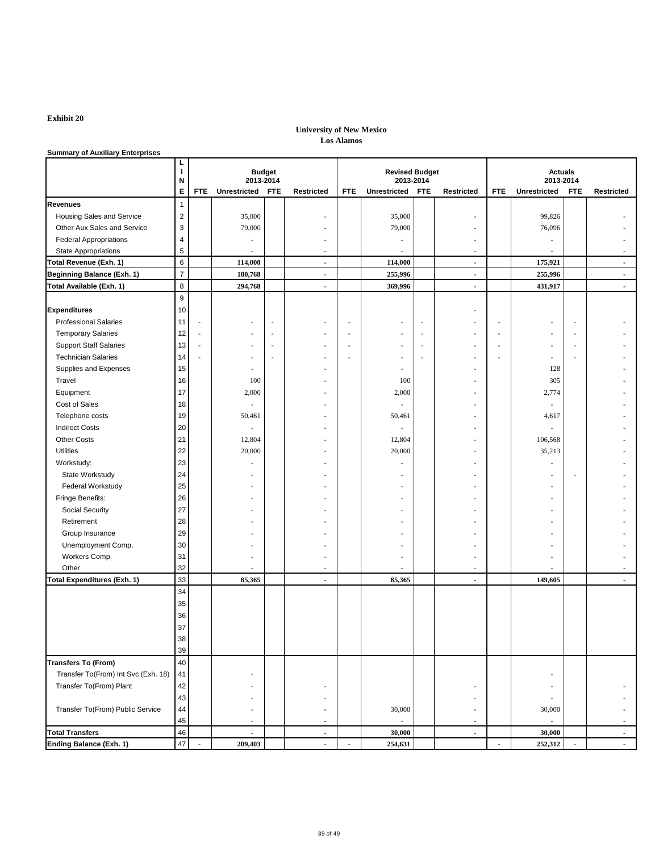### **Summary of Auxiliary Enterprises**

|                                     | N              | <b>Budget</b><br>2013-2014 |                                 |                          | <b>Revised Budget</b><br>2013-2014 |                          |                          |                          | <b>Actuals</b><br>2013-2014 |                          |                          |            |                     |
|-------------------------------------|----------------|----------------------------|---------------------------------|--------------------------|------------------------------------|--------------------------|--------------------------|--------------------------|-----------------------------|--------------------------|--------------------------|------------|---------------------|
|                                     | E              | <b>FTE</b>                 | <b>Unrestricted</b>             | <b>FTE</b>               | <b>Restricted</b>                  | <b>FTE</b>               | <b>Unrestricted</b>      | <b>FTE</b>               | <b>Restricted</b>           | <b>FTE</b>               | <b>Unrestricted</b>      | <b>FTE</b> | <b>Restricted</b>   |
| <b>Revenues</b>                     |                |                            |                                 |                          |                                    |                          |                          |                          |                             |                          |                          |            |                     |
| <b>Housing Sales and Service</b>    | $\overline{2}$ |                            | 35,000                          |                          |                                    |                          | 35,000                   |                          | $\overline{a}$              |                          | 99,826                   |            |                     |
| <b>Other Aux Sales and Service</b>  | $\mathbf{3}$   |                            | 79,000                          |                          |                                    |                          | 79,000                   |                          | $\overline{\phantom{a}}$    |                          | 76,096                   |            |                     |
| <b>Federal Appropriations</b>       | $\overline{4}$ |                            | $\overline{\phantom{a}}$        |                          |                                    |                          |                          |                          | $\overline{a}$              |                          | $\overline{\phantom{a}}$ |            |                     |
| <b>State Appropriations</b>         | $\overline{5}$ |                            | $\overline{\phantom{a}}$        |                          |                                    |                          |                          |                          | $\overline{\phantom{a}}$    |                          | $\overline{\phantom{a}}$ |            |                     |
| <b>Total Revenue (Exh. 1)</b>       | $6\phantom{a}$ |                            | 114,000                         |                          | $\blacksquare$                     |                          | 114,000                  |                          | $\blacksquare$              |                          | 175,921                  |            | $\sim$              |
| <b>Beginning Balance (Exh. 1)</b>   | $\overline{7}$ |                            | 180,768                         |                          | $\blacksquare$                     |                          | 255,996                  |                          | $\blacksquare$              |                          | 255,996                  |            | $\sim$              |
| <b>Total Available (Exh. 1)</b>     | $\,8\,$        |                            | 294,768                         |                          | $\blacksquare$                     |                          | 369,996                  |                          | $\blacksquare$              |                          | 431,917                  |            | $\sim$ $-$          |
|                                     | $9\,$          |                            |                                 |                          |                                    |                          |                          |                          |                             |                          |                          |            |                     |
| <b>Expenditures</b>                 | 10             |                            |                                 |                          |                                    |                          |                          |                          | $\overline{\phantom{a}}$    |                          |                          |            |                     |
| <b>Professional Salaries</b>        | 11             | $\overline{\phantom{0}}$   | $\overline{\phantom{a}}$        | $\overline{\phantom{a}}$ | $\overline{\phantom{a}}$           | $\overline{\phantom{a}}$ | $\overline{\phantom{a}}$ | $\overline{\phantom{a}}$ | $\overline{\phantom{a}}$    | $\overline{\phantom{a}}$ | $\overline{\phantom{a}}$ |            |                     |
| <b>Temporary Salaries</b>           | 12             | $\overline{a}$             | $\overline{\phantom{a}}$        | $\overline{\phantom{0}}$ | $\overline{\phantom{a}}$           |                          | $\overline{\phantom{a}}$ | $\overline{\phantom{a}}$ | $\overline{\phantom{a}}$    |                          | $\overline{\phantom{a}}$ |            |                     |
| <b>Support Staff Salaries</b>       | 13             |                            | $\overline{\phantom{a}}$        | $\overline{\phantom{0}}$ | $\overline{\phantom{a}}$           | $\overline{\phantom{0}}$ | $\overline{\phantom{a}}$ | $\overline{\phantom{0}}$ | $\overline{\phantom{a}}$    | $\overline{\phantom{a}}$ | $\overline{\phantom{a}}$ |            |                     |
| <b>Technician Salaries</b>          | 14             |                            | $\overline{\phantom{a}}$        |                          | $\overline{\phantom{a}}$           | $\overline{\phantom{0}}$ | $\overline{\phantom{a}}$ | $\overline{\phantom{a}}$ | $\overline{\phantom{a}}$    | $\overline{\phantom{0}}$ | $\overline{\phantom{a}}$ |            |                     |
| <b>Supplies and Expenses</b>        | 15             |                            |                                 |                          |                                    |                          |                          |                          |                             |                          | 128                      |            |                     |
| Travel                              | 16             |                            | $\overline{\phantom{a}}$<br>100 |                          | $\overline{\phantom{a}}$           |                          | 100                      |                          | $\overline{\phantom{a}}$    |                          | 305                      |            |                     |
|                                     | 17             |                            |                                 |                          |                                    |                          |                          |                          | $\overline{a}$              |                          |                          |            |                     |
| Equipment                           |                |                            | 2,000                           |                          |                                    |                          | 2,000                    |                          | $\overline{\phantom{a}}$    |                          | 2,774                    |            |                     |
| <b>Cost of Sales</b>                | 18             |                            |                                 |                          |                                    |                          |                          |                          |                             |                          |                          |            |                     |
| Telephone costs                     | 19             |                            | 50,461                          |                          |                                    |                          | 50,461                   |                          |                             |                          | 4,617                    |            |                     |
| <b>Indirect Costs</b>               | 20             |                            | $\overline{\phantom{a}}$        |                          |                                    |                          |                          |                          | $\overline{a}$              |                          | $\overline{\phantom{a}}$ |            |                     |
| <b>Other Costs</b>                  | 21             |                            | 12,804                          |                          |                                    |                          | 12,804                   |                          | $\qquad \qquad$             |                          | 106,568                  |            |                     |
| <b>Utilities</b>                    | 22             |                            | 20,000                          |                          |                                    |                          | 20,000                   |                          |                             |                          | 35,213                   |            |                     |
| Workstudy:                          | 23             |                            |                                 |                          |                                    |                          |                          |                          | $\overline{\phantom{a}}$    |                          | $\overline{\phantom{a}}$ |            |                     |
| <b>State Workstudy</b>              | 24             |                            | $\overline{\phantom{a}}$        |                          |                                    |                          |                          |                          | $\overline{\phantom{a}}$    |                          | $\overline{\phantom{a}}$ |            |                     |
| <b>Federal Workstudy</b>            | 25             |                            |                                 |                          |                                    |                          |                          |                          |                             |                          | -                        |            |                     |
| Fringe Benefits:                    | 26             |                            | $\overline{\phantom{a}}$        |                          |                                    |                          |                          |                          | $\overline{\phantom{a}}$    |                          | $\overline{\phantom{a}}$ |            |                     |
| <b>Social Security</b>              | 27             |                            |                                 |                          |                                    |                          |                          |                          |                             |                          | $\overline{\phantom{a}}$ |            |                     |
| Retirement                          | 28             |                            |                                 |                          |                                    |                          |                          |                          |                             |                          |                          |            |                     |
| Group Insurance                     | 29             |                            |                                 |                          |                                    |                          |                          |                          | $\overline{\phantom{a}}$    |                          | -                        |            |                     |
| Unemployment Comp.                  | 30             |                            |                                 |                          |                                    |                          |                          |                          |                             |                          |                          |            |                     |
| Workers Comp.                       | 31             |                            |                                 |                          |                                    |                          |                          |                          |                             |                          |                          |            |                     |
| Other                               | 32             |                            |                                 |                          |                                    |                          |                          |                          |                             |                          |                          |            |                     |
| <b>Total Expenditures (Exh. 1)</b>  | 33             |                            | 85,365                          |                          | $\blacksquare$                     |                          | 85,365                   |                          | $\blacksquare$              |                          | 149,605                  |            | $\sim$              |
|                                     | 34             |                            |                                 |                          |                                    |                          |                          |                          |                             |                          |                          |            |                     |
|                                     | 35             |                            |                                 |                          |                                    |                          |                          |                          |                             |                          |                          |            |                     |
|                                     | 36             |                            |                                 |                          |                                    |                          |                          |                          |                             |                          |                          |            |                     |
|                                     | 37             |                            |                                 |                          |                                    |                          |                          |                          |                             |                          |                          |            |                     |
|                                     | 38             |                            |                                 |                          |                                    |                          |                          |                          |                             |                          |                          |            |                     |
|                                     | 39             |                            |                                 |                          |                                    |                          |                          |                          |                             |                          |                          |            |                     |
| <b>Transfers To (From)</b>          | 40             |                            |                                 |                          |                                    |                          |                          |                          |                             |                          |                          |            |                     |
| Transfer To(From) Int Svc (Exh. 18) | 41             |                            |                                 |                          |                                    |                          |                          |                          |                             |                          |                          |            |                     |
| Transfer To(From) Plant             | 42             |                            |                                 |                          |                                    |                          |                          |                          |                             |                          |                          |            |                     |
|                                     | 43             |                            | $\overline{\phantom{a}}$        |                          | $\overline{\phantom{a}}$           |                          |                          |                          | $\overline{\phantom{a}}$    |                          | $\overline{\phantom{a}}$ |            |                     |
| Transfer To(From) Public Service    | 44             |                            | $\overline{\phantom{a}}$        |                          | $\blacksquare$                     |                          | 30,000                   |                          | $\blacksquare$              |                          | 30,000                   |            | $\sim$              |
|                                     | 45             |                            | $\overline{\phantom{a}}$        |                          | $\blacksquare$                     |                          |                          |                          | $\blacksquare$              |                          |                          |            | $\sim$              |
| <b>Total Transfers</b>              | 46             |                            | $\blacksquare$                  |                          | $\blacksquare$                     |                          | 30,000                   |                          | $\blacksquare$              |                          | 30,000                   |            | $\sim$              |
| <b>Ending Balance (Exh. 1)</b>      | 47             |                            | 209,403                         |                          |                                    |                          | 254,631                  |                          |                             |                          | 252,312                  |            | $\sigma_{\rm{max}}$ |

### **University of New Mexico Los Alamos**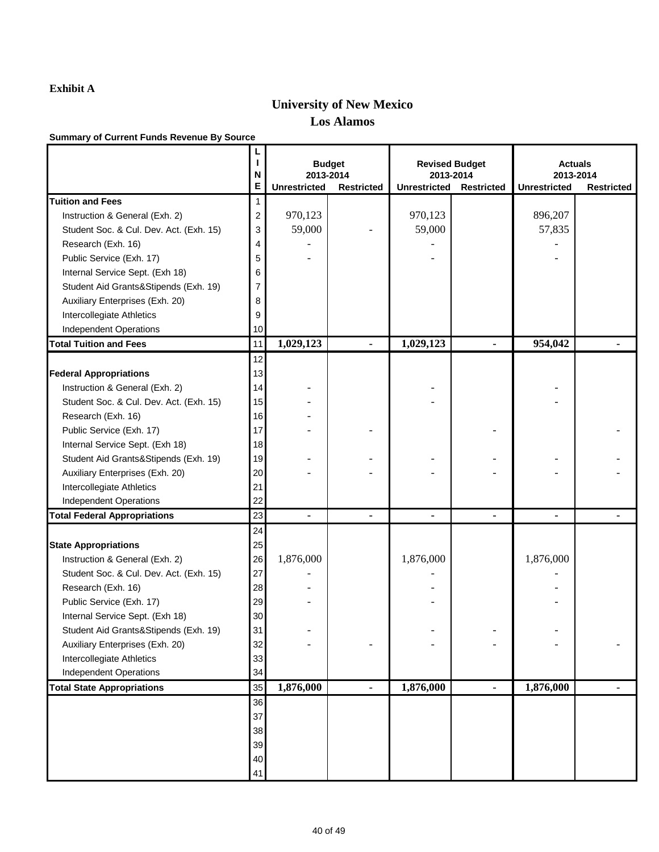## **University of New Mexico Los Alamos**

|                                         | N              | <b>Budget</b><br>2013-2014<br>Е<br><b>Unrestricted</b><br><b>Restricted</b> |                | <b>Revised Budget</b><br>2013-2014 |                   | <b>Actuals</b><br>2013-2014<br><b>Unrestricted</b> |                   |  |
|-----------------------------------------|----------------|-----------------------------------------------------------------------------|----------------|------------------------------------|-------------------|----------------------------------------------------|-------------------|--|
| <b>Tuition and Fees</b>                 | 1              |                                                                             |                | <b>Unrestricted</b>                | <b>Restricted</b> |                                                    | <b>Restricted</b> |  |
|                                         |                | 970,123                                                                     |                |                                    |                   |                                                    |                   |  |
| Instruction & General (Exh. 2)          | $\overline{2}$ |                                                                             |                | 970,123                            |                   | 896,207                                            |                   |  |
| Student Soc. & Cul. Dev. Act. (Exh. 15) | 3              | 59,000                                                                      |                | 59,000                             |                   | 57,835                                             |                   |  |
| Research (Exh. 16)                      | 4              |                                                                             |                |                                    |                   |                                                    |                   |  |
| Public Service (Exh. 17)                | 5              |                                                                             |                |                                    |                   |                                                    |                   |  |
| Internal Service Sept. (Exh 18)         | 6              |                                                                             |                |                                    |                   |                                                    |                   |  |
| Student Aid Grants&Stipends (Exh. 19)   | 7              |                                                                             |                |                                    |                   |                                                    |                   |  |
| Auxiliary Enterprises (Exh. 20)         | 8              |                                                                             |                |                                    |                   |                                                    |                   |  |
| Intercollegiate Athletics               | 9              |                                                                             |                |                                    |                   |                                                    |                   |  |
| <b>Independent Operations</b>           | 10             |                                                                             |                |                                    |                   |                                                    |                   |  |
| <b>Total Tuition and Fees</b>           | 11             | 1,029,123                                                                   |                | 1,029,123                          |                   | 954,042                                            |                   |  |
|                                         | 12             |                                                                             |                |                                    |                   |                                                    |                   |  |
| <b>Federal Appropriations</b>           | 13             |                                                                             |                |                                    |                   |                                                    |                   |  |
| Instruction & General (Exh. 2)          | 14             |                                                                             |                |                                    |                   |                                                    |                   |  |
| Student Soc. & Cul. Dev. Act. (Exh. 15) | 15             |                                                                             |                |                                    |                   |                                                    |                   |  |
| Research (Exh. 16)                      | 16             |                                                                             |                |                                    |                   |                                                    |                   |  |
| Public Service (Exh. 17)                | 17             |                                                                             |                |                                    |                   |                                                    |                   |  |
| Internal Service Sept. (Exh 18)         | 18             |                                                                             |                |                                    |                   |                                                    |                   |  |
| Student Aid Grants&Stipends (Exh. 19)   | 19             |                                                                             |                |                                    |                   |                                                    |                   |  |
| Auxiliary Enterprises (Exh. 20)         | 20             |                                                                             |                |                                    |                   |                                                    |                   |  |
| Intercollegiate Athletics               | 21             |                                                                             |                |                                    |                   |                                                    |                   |  |
| <b>Independent Operations</b>           | 22             |                                                                             |                |                                    |                   |                                                    |                   |  |
| <b>Total Federal Appropriations</b>     | 23             |                                                                             | -              |                                    | $\blacksquare$    | $\blacksquare$                                     |                   |  |
|                                         | 24             |                                                                             |                |                                    |                   |                                                    |                   |  |
| <b>State Appropriations</b>             | 25             |                                                                             |                |                                    |                   |                                                    |                   |  |
| Instruction & General (Exh. 2)          | 26             | 1,876,000                                                                   |                | 1,876,000                          |                   | 1,876,000                                          |                   |  |
| Student Soc. & Cul. Dev. Act. (Exh. 15) | 27             |                                                                             |                |                                    |                   |                                                    |                   |  |
| Research (Exh. 16)                      | 28             |                                                                             |                |                                    |                   |                                                    |                   |  |
| Public Service (Exh. 17)                | 29             |                                                                             |                |                                    |                   |                                                    |                   |  |
| Internal Service Sept. (Exh 18)         | 30             |                                                                             |                |                                    |                   |                                                    |                   |  |
| Student Aid Grants&Stipends (Exh. 19)   | 31             |                                                                             |                |                                    |                   |                                                    |                   |  |
| Auxiliary Enterprises (Exh. 20)         | 32             |                                                                             |                |                                    |                   |                                                    |                   |  |
| Intercollegiate Athletics               | 33             |                                                                             |                |                                    |                   |                                                    |                   |  |
| <b>Independent Operations</b>           | 34             |                                                                             |                |                                    |                   |                                                    |                   |  |
|                                         |                |                                                                             |                |                                    |                   |                                                    |                   |  |
| <b>Total State Appropriations</b>       | 35             | 1,876,000                                                                   | $\blacksquare$ | 1,876,000                          | $\blacksquare$    | 1,876,000                                          |                   |  |
|                                         | 36             |                                                                             |                |                                    |                   |                                                    |                   |  |
|                                         | 37             |                                                                             |                |                                    |                   |                                                    |                   |  |
|                                         | 38             |                                                                             |                |                                    |                   |                                                    |                   |  |
|                                         | 39             |                                                                             |                |                                    |                   |                                                    |                   |  |
|                                         | 40             |                                                                             |                |                                    |                   |                                                    |                   |  |
|                                         | 41             |                                                                             |                |                                    |                   |                                                    |                   |  |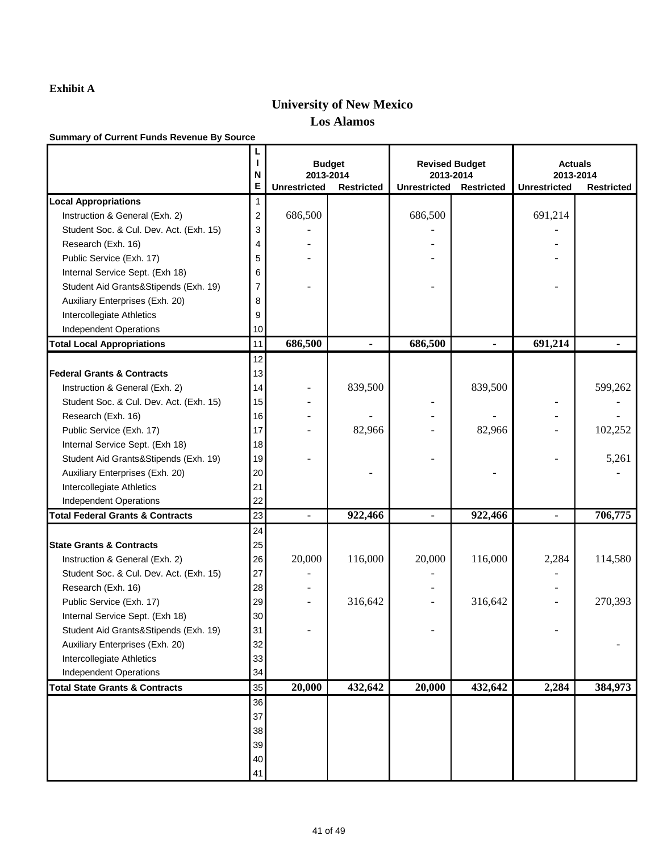## **University of New Mexico Los Alamos**

|                                             | N<br>E         | <b>Budget</b><br>2013-2014<br><b>Unrestricted</b><br><b>Restricted</b> |         | <b>Revised Budget</b><br>2013-2014<br><b>Unrestricted</b> | <b>Restricted</b> | <b>Actuals</b><br>2013-2014<br><b>Unrestricted</b><br><b>Restricted</b> |         |  |
|---------------------------------------------|----------------|------------------------------------------------------------------------|---------|-----------------------------------------------------------|-------------------|-------------------------------------------------------------------------|---------|--|
| <b>Local Appropriations</b>                 |                |                                                                        |         |                                                           |                   |                                                                         |         |  |
| Instruction & General (Exh. 2)              | $\overline{2}$ | 686,500                                                                |         | 686,500                                                   |                   | 691,214                                                                 |         |  |
| Student Soc. & Cul. Dev. Act. (Exh. 15)     | 3              |                                                                        |         |                                                           |                   |                                                                         |         |  |
| Research (Exh. 16)                          | 4              |                                                                        |         |                                                           |                   |                                                                         |         |  |
| Public Service (Exh. 17)                    | 5              |                                                                        |         |                                                           |                   |                                                                         |         |  |
| Internal Service Sept. (Exh 18)             | 6              |                                                                        |         |                                                           |                   |                                                                         |         |  |
| Student Aid Grants&Stipends (Exh. 19)       | 7              |                                                                        |         |                                                           |                   |                                                                         |         |  |
| Auxiliary Enterprises (Exh. 20)             | 8              |                                                                        |         |                                                           |                   |                                                                         |         |  |
| Intercollegiate Athletics                   | 9              |                                                                        |         |                                                           |                   |                                                                         |         |  |
| <b>Independent Operations</b>               | 10             |                                                                        |         |                                                           |                   |                                                                         |         |  |
| <b>Total Local Appropriations</b>           | 11             | 686,500                                                                |         | 686,500                                                   | $\blacksquare$    | 691,214                                                                 |         |  |
|                                             | 12             |                                                                        |         |                                                           |                   |                                                                         |         |  |
| <b>Federal Grants &amp; Contracts</b>       | 13             |                                                                        |         |                                                           |                   |                                                                         |         |  |
| Instruction & General (Exh. 2)              | 14             |                                                                        | 839,500 |                                                           | 839,500           |                                                                         | 599,262 |  |
| Student Soc. & Cul. Dev. Act. (Exh. 15)     | 15             |                                                                        |         |                                                           |                   |                                                                         |         |  |
| Research (Exh. 16)                          | 16             |                                                                        |         |                                                           |                   |                                                                         |         |  |
| Public Service (Exh. 17)                    | 17             |                                                                        | 82,966  |                                                           | 82,966            |                                                                         | 102,252 |  |
| Internal Service Sept. (Exh 18)             | 18             |                                                                        |         |                                                           |                   |                                                                         |         |  |
| Student Aid Grants&Stipends (Exh. 19)       | 19             |                                                                        |         |                                                           |                   |                                                                         | 5,261   |  |
| Auxiliary Enterprises (Exh. 20)             | 20             |                                                                        |         |                                                           |                   |                                                                         |         |  |
| Intercollegiate Athletics                   | 21             |                                                                        |         |                                                           |                   |                                                                         |         |  |
| <b>Independent Operations</b>               | 22             |                                                                        |         |                                                           |                   |                                                                         |         |  |
| <b>Total Federal Grants &amp; Contracts</b> | 23             |                                                                        | 922,466 |                                                           | 922,466           |                                                                         | 706,775 |  |
|                                             | 24             |                                                                        |         |                                                           |                   |                                                                         |         |  |
| <b>State Grants &amp; Contracts</b>         | 25             |                                                                        |         |                                                           |                   |                                                                         |         |  |
| Instruction & General (Exh. 2)              | 26             | 20,000                                                                 | 116,000 | 20,000                                                    | 116,000           | 2,284                                                                   | 114,580 |  |
| Student Soc. & Cul. Dev. Act. (Exh. 15)     | 27             |                                                                        |         |                                                           |                   |                                                                         |         |  |
| Research (Exh. 16)                          | 28             |                                                                        |         |                                                           |                   |                                                                         |         |  |
| Public Service (Exh. 17)                    | 29             |                                                                        | 316,642 |                                                           | 316,642           |                                                                         | 270,393 |  |
| Internal Service Sept. (Exh 18)             | 30             |                                                                        |         |                                                           |                   |                                                                         |         |  |
| Student Aid Grants&Stipends (Exh. 19)       | 31             |                                                                        |         |                                                           |                   |                                                                         |         |  |
| Auxiliary Enterprises (Exh. 20)             | 32             |                                                                        |         |                                                           |                   |                                                                         |         |  |
| Intercollegiate Athletics                   | 33             |                                                                        |         |                                                           |                   |                                                                         |         |  |
| <b>Independent Operations</b>               | 34             |                                                                        |         |                                                           |                   |                                                                         |         |  |
| <b>Total State Grants &amp; Contracts</b>   | 35             | 20,000                                                                 | 432,642 | 20,000                                                    | 432,642           | 2,284                                                                   | 384,973 |  |
|                                             | 36             |                                                                        |         |                                                           |                   |                                                                         |         |  |
|                                             | 37             |                                                                        |         |                                                           |                   |                                                                         |         |  |
|                                             | 38             |                                                                        |         |                                                           |                   |                                                                         |         |  |
|                                             | 39             |                                                                        |         |                                                           |                   |                                                                         |         |  |
|                                             | 40             |                                                                        |         |                                                           |                   |                                                                         |         |  |
|                                             | 41             |                                                                        |         |                                                           |                   |                                                                         |         |  |
|                                             |                |                                                                        |         |                                                           |                   |                                                                         |         |  |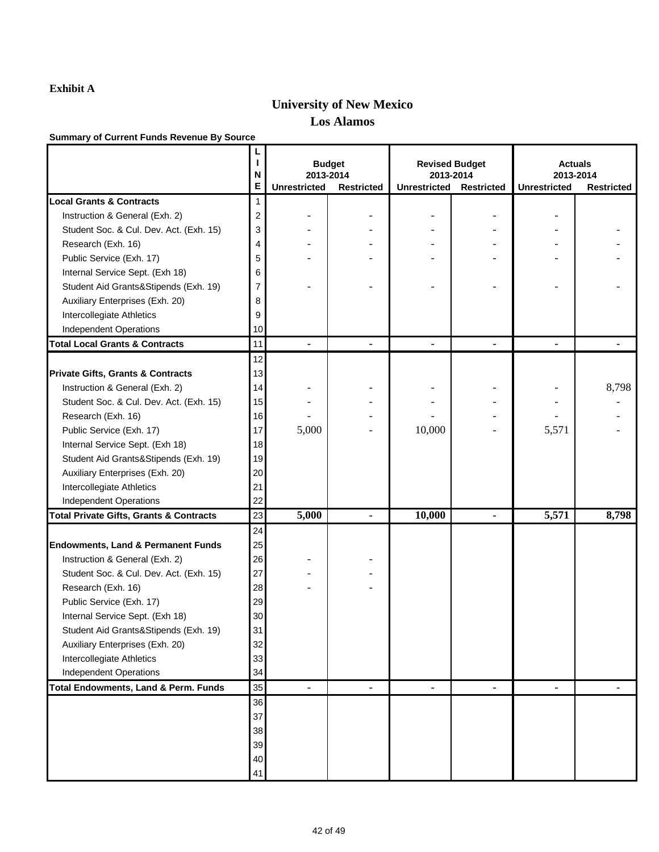## **University of New Mexico Los Alamos**

|                                                    | N<br>E         | <b>Unrestricted</b> | <b>Budget</b><br>2013-2014<br><b>Restricted</b> | 2013-2014<br><b>Unrestricted</b> | <b>Revised Budget</b><br><b>Restricted</b> | 2013-2014<br><b>Unrestricted</b> | <b>Actuals</b><br><b>Restricted</b> |
|----------------------------------------------------|----------------|---------------------|-------------------------------------------------|----------------------------------|--------------------------------------------|----------------------------------|-------------------------------------|
| <b>Local Grants &amp; Contracts</b>                | 1              |                     |                                                 |                                  |                                            |                                  |                                     |
| Instruction & General (Exh. 2)                     | $\overline{2}$ |                     |                                                 |                                  |                                            |                                  |                                     |
| Student Soc. & Cul. Dev. Act. (Exh. 15)            | 3              |                     |                                                 |                                  |                                            |                                  |                                     |
| Research (Exh. 16)                                 | 4              |                     |                                                 |                                  |                                            |                                  |                                     |
| Public Service (Exh. 17)                           | 5              |                     |                                                 |                                  |                                            |                                  |                                     |
| Internal Service Sept. (Exh 18)                    | 6              |                     |                                                 |                                  |                                            |                                  |                                     |
| Student Aid Grants&Stipends (Exh. 19)              | $\overline{7}$ |                     |                                                 |                                  |                                            |                                  |                                     |
| Auxiliary Enterprises (Exh. 20)                    | 8              |                     |                                                 |                                  |                                            |                                  |                                     |
| Intercollegiate Athletics                          | 9              |                     |                                                 |                                  |                                            |                                  |                                     |
| <b>Independent Operations</b>                      | 10             |                     |                                                 |                                  |                                            |                                  |                                     |
| <b>Total Local Grants &amp; Contracts</b>          | 11             |                     |                                                 | $\blacksquare$                   | $\blacksquare$                             | $\blacksquare$                   |                                     |
|                                                    | 12             |                     |                                                 |                                  |                                            |                                  |                                     |
| <b>Private Gifts, Grants &amp; Contracts</b>       | 13             |                     |                                                 |                                  |                                            |                                  |                                     |
| Instruction & General (Exh. 2)                     | 14             |                     |                                                 |                                  |                                            |                                  | 8,798                               |
| Student Soc. & Cul. Dev. Act. (Exh. 15)            | 15             |                     |                                                 |                                  |                                            |                                  |                                     |
| Research (Exh. 16)                                 | 16             |                     |                                                 |                                  |                                            |                                  |                                     |
| Public Service (Exh. 17)                           | 17             | 5,000               |                                                 | 10,000                           |                                            | 5,571                            |                                     |
| Internal Service Sept. (Exh 18)                    | 18             |                     |                                                 |                                  |                                            |                                  |                                     |
| Student Aid Grants&Stipends (Exh. 19)              | 19             |                     |                                                 |                                  |                                            |                                  |                                     |
| Auxiliary Enterprises (Exh. 20)                    | 20             |                     |                                                 |                                  |                                            |                                  |                                     |
| Intercollegiate Athletics                          | 21             |                     |                                                 |                                  |                                            |                                  |                                     |
| <b>Independent Operations</b>                      | 22             |                     |                                                 |                                  |                                            |                                  |                                     |
| <b>Total Private Gifts, Grants &amp; Contracts</b> | 23             | 5,000               | $\blacksquare$                                  | 10,000                           | -                                          | 5,571                            | 8,798                               |
|                                                    | 24             |                     |                                                 |                                  |                                            |                                  |                                     |
| <b>Endowments, Land &amp; Permanent Funds</b>      | 25             |                     |                                                 |                                  |                                            |                                  |                                     |
| Instruction & General (Exh. 2)                     | 26             |                     |                                                 |                                  |                                            |                                  |                                     |
| Student Soc. & Cul. Dev. Act. (Exh. 15)            | 27             |                     |                                                 |                                  |                                            |                                  |                                     |
| Research (Exh. 16)                                 | 28             |                     |                                                 |                                  |                                            |                                  |                                     |
| Public Service (Exh. 17)                           | 29             |                     |                                                 |                                  |                                            |                                  |                                     |
| Internal Service Sept. (Exh 18)                    | 30             |                     |                                                 |                                  |                                            |                                  |                                     |
| Student Aid Grants&Stipends (Exh. 19)              | 31             |                     |                                                 |                                  |                                            |                                  |                                     |
| Auxiliary Enterprises (Exh. 20)                    | 32             |                     |                                                 |                                  |                                            |                                  |                                     |
| Intercollegiate Athletics                          | 33             |                     |                                                 |                                  |                                            |                                  |                                     |
| <b>Independent Operations</b>                      | 34             |                     |                                                 |                                  |                                            |                                  |                                     |
| <b>Total Endowments, Land &amp; Perm. Funds</b>    | 35             | $\blacksquare$      | Ξ.                                              | $\blacksquare$                   | $\blacksquare$                             | $\blacksquare$                   | $\blacksquare$                      |
|                                                    | 36             |                     |                                                 |                                  |                                            |                                  |                                     |
|                                                    | 37             |                     |                                                 |                                  |                                            |                                  |                                     |
|                                                    | 38             |                     |                                                 |                                  |                                            |                                  |                                     |
|                                                    | 39             |                     |                                                 |                                  |                                            |                                  |                                     |
|                                                    | 40             |                     |                                                 |                                  |                                            |                                  |                                     |
|                                                    | 41             |                     |                                                 |                                  |                                            |                                  |                                     |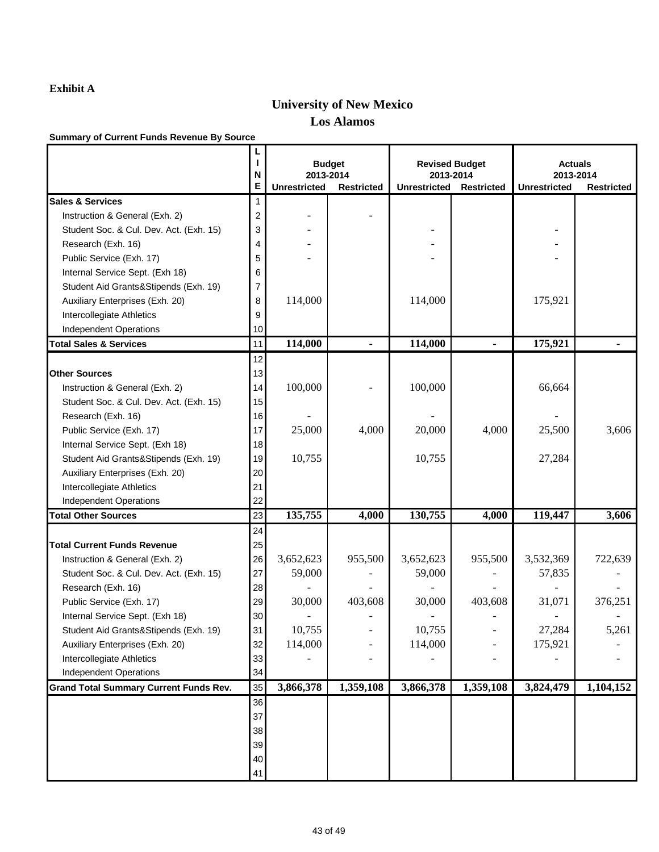## **University of New Mexico Los Alamos**

|                                               | N<br>Е         | 2013-2014<br><b>Unrestricted</b> | <b>Budget</b><br><b>Restricted</b> | 2013-2014<br><b>Unrestricted</b> | <b>Revised Budget</b><br><b>Restricted</b> | <b>Actuals</b><br>2013-2014<br><b>Unrestricted</b> | <b>Restricted</b> |
|-----------------------------------------------|----------------|----------------------------------|------------------------------------|----------------------------------|--------------------------------------------|----------------------------------------------------|-------------------|
| <b>Sales &amp; Services</b>                   | 1              |                                  |                                    |                                  |                                            |                                                    |                   |
| Instruction & General (Exh. 2)                | $\overline{c}$ |                                  |                                    |                                  |                                            |                                                    |                   |
| Student Soc. & Cul. Dev. Act. (Exh. 15)       | 3              |                                  |                                    |                                  |                                            |                                                    |                   |
| Research (Exh. 16)                            | 4              |                                  |                                    |                                  |                                            |                                                    |                   |
| Public Service (Exh. 17)                      | 5              |                                  |                                    |                                  |                                            |                                                    |                   |
| Internal Service Sept. (Exh 18)               | 6              |                                  |                                    |                                  |                                            |                                                    |                   |
| Student Aid Grants&Stipends (Exh. 19)         | 7              |                                  |                                    |                                  |                                            |                                                    |                   |
| Auxiliary Enterprises (Exh. 20)               | 8              | 114,000                          |                                    | 114,000                          |                                            | 175,921                                            |                   |
| Intercollegiate Athletics                     | 9              |                                  |                                    |                                  |                                            |                                                    |                   |
| <b>Independent Operations</b>                 | 10             |                                  |                                    |                                  |                                            |                                                    |                   |
| <b>Total Sales &amp; Services</b>             | 11             | 114,000                          |                                    | 114,000                          |                                            | 175,921                                            |                   |
|                                               | 12             |                                  |                                    |                                  |                                            |                                                    |                   |
| <b>Other Sources</b>                          | 13             |                                  |                                    |                                  |                                            |                                                    |                   |
| Instruction & General (Exh. 2)                | 14             | 100,000                          |                                    | 100,000                          |                                            | 66,664                                             |                   |
| Student Soc. & Cul. Dev. Act. (Exh. 15)       | 15             |                                  |                                    |                                  |                                            |                                                    |                   |
| Research (Exh. 16)                            | 16             |                                  |                                    |                                  |                                            |                                                    |                   |
| Public Service (Exh. 17)                      | 17             | 25,000                           | 4,000                              | 20,000                           | 4,000                                      | 25,500                                             | 3,606             |
| Internal Service Sept. (Exh 18)               | 18             |                                  |                                    |                                  |                                            |                                                    |                   |
| Student Aid Grants&Stipends (Exh. 19)         | 19             | 10,755                           |                                    | 10,755                           |                                            | 27,284                                             |                   |
| Auxiliary Enterprises (Exh. 20)               | 20             |                                  |                                    |                                  |                                            |                                                    |                   |
| Intercollegiate Athletics                     | 21             |                                  |                                    |                                  |                                            |                                                    |                   |
| <b>Independent Operations</b>                 | 22             |                                  |                                    |                                  |                                            |                                                    |                   |
| <b>Total Other Sources</b>                    | 23             | 135,755                          | 4,000                              | 130,755                          | 4,000                                      | 119,447                                            | 3,606             |
|                                               | 24             |                                  |                                    |                                  |                                            |                                                    |                   |
| <b>Total Current Funds Revenue</b>            | 25             |                                  |                                    |                                  |                                            |                                                    |                   |
| Instruction & General (Exh. 2)                | 26             | 3,652,623                        | 955,500                            | 3,652,623                        | 955,500                                    | 3,532,369                                          | 722,639           |
| Student Soc. & Cul. Dev. Act. (Exh. 15)       | 27             | 59,000                           |                                    | 59,000                           |                                            | 57,835                                             |                   |
| Research (Exh. 16)                            | 28             |                                  |                                    |                                  |                                            |                                                    |                   |
| Public Service (Exh. 17)                      | 29             | 30,000                           | 403,608                            | 30,000                           | 403,608                                    | 31,071                                             | 376,251           |
| Internal Service Sept. (Exh 18)               | 30             |                                  |                                    |                                  |                                            |                                                    |                   |
| Student Aid Grants&Stipends (Exh. 19)         | 31             | 10,755                           |                                    | 10,755                           |                                            | 27,284                                             | 5,261             |
| Auxiliary Enterprises (Exh. 20)               | 32             | 114,000                          |                                    | 114,000                          |                                            | 175,921                                            |                   |
| Intercollegiate Athletics                     | 33             |                                  |                                    |                                  |                                            |                                                    |                   |
| <b>Independent Operations</b>                 | 34             |                                  |                                    |                                  |                                            |                                                    |                   |
| <b>Grand Total Summary Current Funds Rev.</b> | 35             | 3,866,378                        | 1,359,108                          | 3,866,378                        | 1,359,108                                  | 3,824,479                                          | 1,104,152         |
|                                               | 36             |                                  |                                    |                                  |                                            |                                                    |                   |
|                                               | 37             |                                  |                                    |                                  |                                            |                                                    |                   |
|                                               | 38             |                                  |                                    |                                  |                                            |                                                    |                   |
|                                               | 39             |                                  |                                    |                                  |                                            |                                                    |                   |
|                                               | 40             |                                  |                                    |                                  |                                            |                                                    |                   |
|                                               | 41             |                                  |                                    |                                  |                                            |                                                    |                   |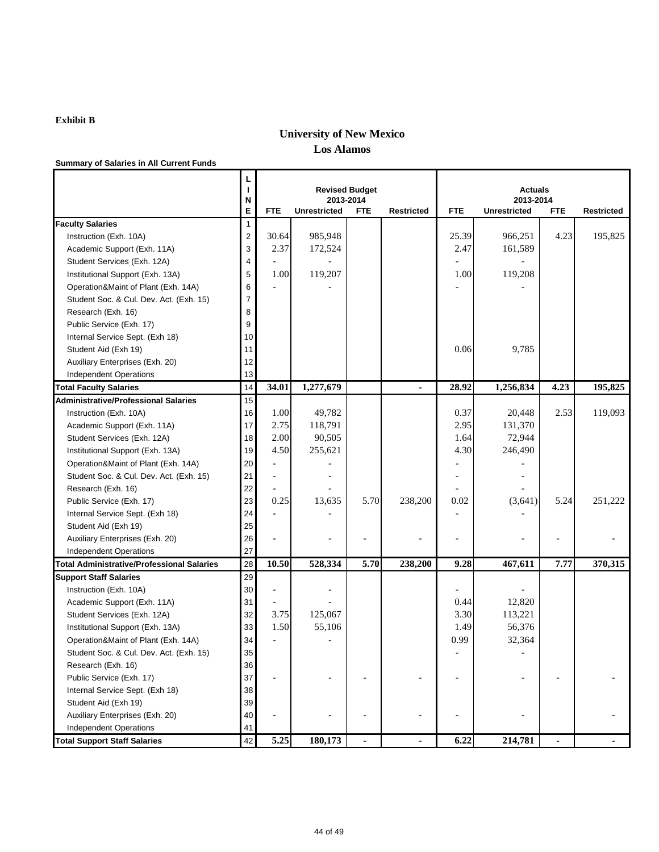#### **Exhibit B**

## **University of New Mexico Los Alamos**

**Summary of Salaries in All Current Funds**

|                                                   |                | <b>Revised Budget</b> |                     |            | <b>Actuals</b>    |            |                     |                |                   |
|---------------------------------------------------|----------------|-----------------------|---------------------|------------|-------------------|------------|---------------------|----------------|-------------------|
|                                                   | N              |                       |                     | 2013-2014  |                   |            | 2013-2014           |                |                   |
|                                                   | E              | <b>FTE</b>            | <b>Unrestricted</b> | <b>FTE</b> | <b>Restricted</b> | <b>FTE</b> | <b>Unrestricted</b> | <b>FTE</b>     | <b>Restricted</b> |
| <b>Faculty Salaries</b>                           | 1              |                       |                     |            |                   |            |                     |                |                   |
| Instruction (Exh. 10A)                            | 2              | 30.64                 | 985,948             |            |                   | 25.39      | 966,251             | 4.23           | 195,825           |
| Academic Support (Exh. 11A)                       | 3              | 2.37                  | 172,524             |            |                   | 2.47       | 161,589             |                |                   |
| Student Services (Exh. 12A)                       | 4              |                       |                     |            |                   |            |                     |                |                   |
| Institutional Support (Exh. 13A)                  | 5              | 1.00                  | 119,207             |            |                   | 1.00       | 119,208             |                |                   |
| Operation&Maint of Plant (Exh. 14A)               | 6              |                       |                     |            |                   |            |                     |                |                   |
| Student Soc. & Cul. Dev. Act. (Exh. 15)           | $\overline{7}$ |                       |                     |            |                   |            |                     |                |                   |
| Research (Exh. 16)                                | 8              |                       |                     |            |                   |            |                     |                |                   |
| Public Service (Exh. 17)                          | 9              |                       |                     |            |                   |            |                     |                |                   |
| Internal Service Sept. (Exh 18)                   | 10             |                       |                     |            |                   |            |                     |                |                   |
| Student Aid (Exh 19)                              | 11             |                       |                     |            |                   | 0.06       | 9,785               |                |                   |
| Auxiliary Enterprises (Exh. 20)                   | 12             |                       |                     |            |                   |            |                     |                |                   |
| <b>Independent Operations</b>                     | 13             |                       |                     |            |                   |            |                     |                |                   |
| <b>Total Faculty Salaries</b>                     | 14             | 34.01                 | 1,277,679           |            |                   | 28.92      | 1,256,834           | 4.23           | 195,825           |
| <b>Administrative/Professional Salaries</b>       | 15             |                       |                     |            |                   |            |                     |                |                   |
| Instruction (Exh. 10A)                            | 16             | 1.00                  | 49,782              |            |                   | 0.37       | 20,448              | 2.53           | 119,093           |
| Academic Support (Exh. 11A)                       | 17             | 2.75                  | 118,791             |            |                   | 2.95       | 131,370             |                |                   |
| Student Services (Exh. 12A)                       | 18             | 2.00                  | 90,505              |            |                   | 1.64       | 72,944              |                |                   |
| Institutional Support (Exh. 13A)                  | 19             | 4.50                  | 255,621             |            |                   | 4.30       | 246,490             |                |                   |
| Operation&Maint of Plant (Exh. 14A)               | 20             |                       |                     |            |                   |            |                     |                |                   |
| Student Soc. & Cul. Dev. Act. (Exh. 15)           | 21             |                       |                     |            |                   |            |                     |                |                   |
| Research (Exh. 16)                                | 22             |                       |                     |            |                   |            |                     |                |                   |
| Public Service (Exh. 17)                          | 23             | 0.25                  | 13,635              | 5.70       | 238,200           | 0.02       | (3,641)             | 5.24           | 251,222           |
| Internal Service Sept. (Exh 18)                   | 24             |                       |                     |            |                   |            |                     |                |                   |
| Student Aid (Exh 19)                              | 25             |                       |                     |            |                   |            |                     |                |                   |
| Auxiliary Enterprises (Exh. 20)                   | 26             |                       |                     |            |                   |            |                     |                |                   |
| <b>Independent Operations</b>                     | 27             |                       |                     |            |                   |            |                     |                |                   |
| <b>Total Administrative/Professional Salaries</b> | 28             | 10.50                 | 528,334             | 5.70       | 238,200           | 9.28       | 467,611             | 7.77           | 370,315           |
| <b>Support Staff Salaries</b>                     | 29             |                       |                     |            |                   |            |                     |                |                   |
| Instruction (Exh. 10A)                            | 30             |                       |                     |            |                   |            |                     |                |                   |
| Academic Support (Exh. 11A)                       | 31             |                       |                     |            |                   | 0.44       | 12,820              |                |                   |
| Student Services (Exh. 12A)                       | 32             | 3.75                  | 125,067             |            |                   | 3.30       | 113,221             |                |                   |
| Institutional Support (Exh. 13A)                  | 33             | 1.50                  | 55,106              |            |                   | 1.49       | 56,376              |                |                   |
| Operation&Maint of Plant (Exh. 14A)               | 34             |                       |                     |            |                   | 0.99       | 32,364              |                |                   |
| Student Soc. & Cul. Dev. Act. (Exh. 15)           | 35             |                       |                     |            |                   |            |                     |                |                   |
| Research (Exh. 16)                                | 36             |                       |                     |            |                   |            |                     |                |                   |
| Public Service (Exh. 17)                          | 37             |                       |                     |            |                   |            |                     |                |                   |
| Internal Service Sept. (Exh 18)                   | 38             |                       |                     |            |                   |            |                     |                |                   |
| Student Aid (Exh 19)                              | 39             |                       |                     |            |                   |            |                     |                |                   |
| Auxiliary Enterprises (Exh. 20)                   | 40             |                       |                     |            |                   |            |                     |                |                   |
| <b>Independent Operations</b>                     | 41             |                       |                     |            |                   |            |                     |                |                   |
| <b>Total Support Staff Salaries</b>               | 42             | 5.25                  | 180,173             | Ξ.         |                   | 6.22       | 214,781             | $\blacksquare$ |                   |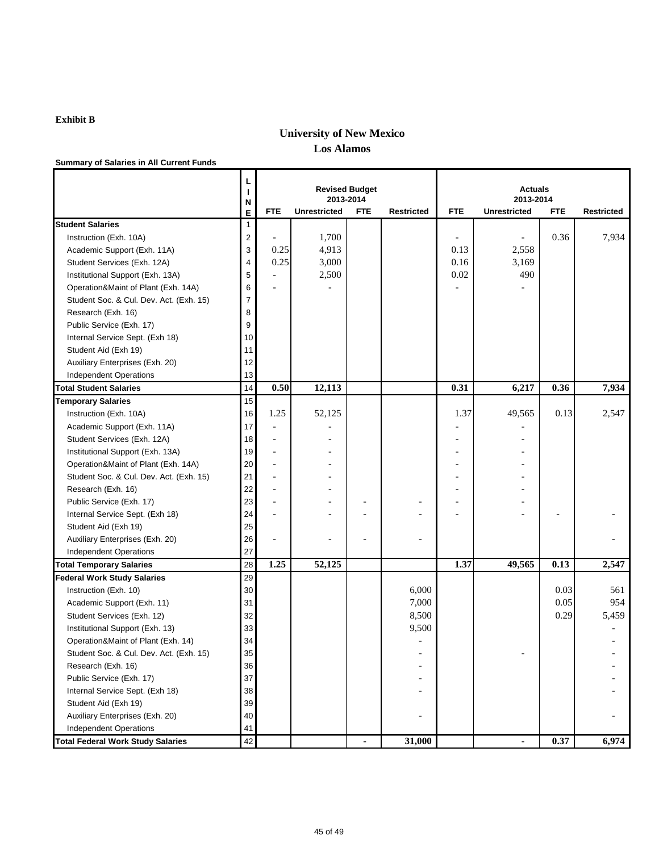#### **Exhibit B**

## **Los Alamos University of New Mexico**

**Summary of Salaries in All Current Funds**

|                                          | N              | <b>Revised Budget</b><br>2013-2014 |                     |            |                   | <b>Actuals</b><br>2013-2014 |                     |            |                   |  |
|------------------------------------------|----------------|------------------------------------|---------------------|------------|-------------------|-----------------------------|---------------------|------------|-------------------|--|
|                                          | E              | <b>FTE</b>                         | <b>Unrestricted</b> | <b>FTE</b> | <b>Restricted</b> | <b>FTE</b>                  | <b>Unrestricted</b> | <b>FTE</b> | <b>Restricted</b> |  |
| <b>Student Salaries</b>                  | 1              |                                    |                     |            |                   |                             |                     |            |                   |  |
| Instruction (Exh. 10A)                   | $\overline{c}$ |                                    | 1,700               |            |                   |                             |                     | 0.36       | 7,934             |  |
| Academic Support (Exh. 11A)              | 3              | 0.25                               | 4,913               |            |                   | 0.13                        | 2,558               |            |                   |  |
| Student Services (Exh. 12A)              | 4              | 0.25                               | 3,000               |            |                   | 0.16                        | 3,169               |            |                   |  |
| Institutional Support (Exh. 13A)         | 5              |                                    | 2,500               |            |                   | 0.02                        | 490                 |            |                   |  |
| Operation&Maint of Plant (Exh. 14A)      | 6              |                                    |                     |            |                   |                             |                     |            |                   |  |
| Student Soc. & Cul. Dev. Act. (Exh. 15)  | $\overline{7}$ |                                    |                     |            |                   |                             |                     |            |                   |  |
| Research (Exh. 16)                       | 8              |                                    |                     |            |                   |                             |                     |            |                   |  |
| Public Service (Exh. 17)                 | 9              |                                    |                     |            |                   |                             |                     |            |                   |  |
| Internal Service Sept. (Exh 18)          | 10             |                                    |                     |            |                   |                             |                     |            |                   |  |
| Student Aid (Exh 19)                     | 11             |                                    |                     |            |                   |                             |                     |            |                   |  |
| Auxiliary Enterprises (Exh. 20)          | 12             |                                    |                     |            |                   |                             |                     |            |                   |  |
| <b>Independent Operations</b>            | 13             |                                    |                     |            |                   |                             |                     |            |                   |  |
| <b>Total Student Salaries</b>            | 14             | 0.50                               | 12,113              |            |                   | 0.31                        | 6,217               | 0.36       | 7,934             |  |
| <b>Temporary Salaries</b>                | 15             |                                    |                     |            |                   |                             |                     |            |                   |  |
| Instruction (Exh. 10A)                   | 16             | 1.25                               | 52,125              |            |                   | 1.37                        | 49,565              | 0.13       | 2,547             |  |
| Academic Support (Exh. 11A)              | 17             |                                    |                     |            |                   |                             |                     |            |                   |  |
| Student Services (Exh. 12A)              | 18             | $\overline{\phantom{a}}$           |                     |            |                   |                             |                     |            |                   |  |
| Institutional Support (Exh. 13A)         | 19             | $\overline{\phantom{a}}$           |                     |            |                   |                             |                     |            |                   |  |
| Operation&Maint of Plant (Exh. 14A)      | 20             | $\overline{\phantom{a}}$           |                     |            |                   |                             |                     |            |                   |  |
| Student Soc. & Cul. Dev. Act. (Exh. 15)  | 21             | $\overline{\phantom{a}}$           |                     |            |                   |                             |                     |            |                   |  |
| Research (Exh. 16)                       | 22             | $\overline{\phantom{a}}$           |                     |            |                   |                             |                     |            |                   |  |
| Public Service (Exh. 17)                 | 23             | $\overline{\phantom{a}}$           |                     |            |                   |                             |                     |            |                   |  |
| Internal Service Sept. (Exh 18)          | 24             | $\overline{\phantom{a}}$           |                     |            |                   |                             |                     |            |                   |  |
| Student Aid (Exh 19)                     | 25             |                                    |                     |            |                   |                             |                     |            |                   |  |
| Auxiliary Enterprises (Exh. 20)          | 26             |                                    |                     |            |                   |                             |                     |            |                   |  |
| <b>Independent Operations</b>            | 27             |                                    |                     |            |                   |                             |                     |            |                   |  |
| <b>Total Temporary Salaries</b>          | 28             | 1.25                               | 52,125              |            |                   | 1.37                        | 49,565              | 0.13       | 2,547             |  |
| <b>Federal Work Study Salaries</b>       | 29             |                                    |                     |            |                   |                             |                     |            |                   |  |
| Instruction (Exh. 10)                    | 30             |                                    |                     |            | 6,000             |                             |                     | 0.03       | 561               |  |
| Academic Support (Exh. 11)               | 31             |                                    |                     |            | 7,000             |                             |                     | 0.05       | 954               |  |
| Student Services (Exh. 12)               | 32             |                                    |                     |            | 8,500             |                             |                     | 0.29       | 5,459             |  |
| Institutional Support (Exh. 13)          | 33             |                                    |                     |            | 9,500             |                             |                     |            |                   |  |
| Operation&Maint of Plant (Exh. 14)       | 34             |                                    |                     |            |                   |                             |                     |            |                   |  |
| Student Soc. & Cul. Dev. Act. (Exh. 15)  | 35             |                                    |                     |            |                   |                             |                     |            |                   |  |
| Research (Exh. 16)                       | 36             |                                    |                     |            |                   |                             |                     |            |                   |  |
| Public Service (Exh. 17)                 | 37             |                                    |                     |            |                   |                             |                     |            |                   |  |
| Internal Service Sept. (Exh 18)          | 38             |                                    |                     |            |                   |                             |                     |            |                   |  |
| Student Aid (Exh 19)                     | 39             |                                    |                     |            |                   |                             |                     |            |                   |  |
| Auxiliary Enterprises (Exh. 20)          | 40             |                                    |                     |            |                   |                             |                     |            |                   |  |
| <b>Independent Operations</b>            | 41             |                                    |                     |            |                   |                             |                     |            |                   |  |
| <b>Total Federal Work Study Salaries</b> | 42             |                                    |                     |            | 31,000            |                             |                     | 0.37       | 6,974             |  |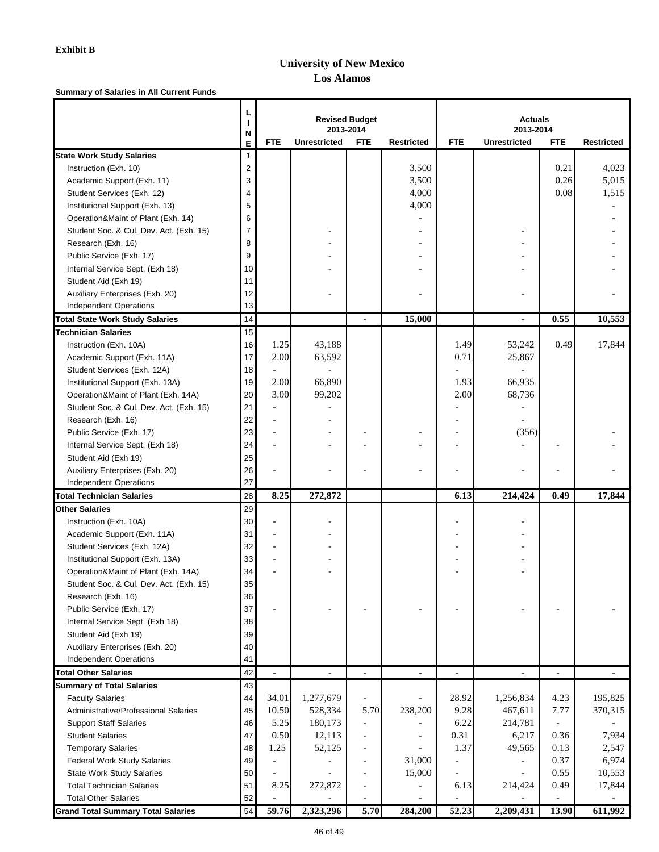### **University of New Mexico Los Alamos**

#### **Summary of Salaries in All Current Funds**

|                                                                 |          | <b>Revised Budget</b><br>2013-2014 |                     |                          |                   | <b>Actuals</b><br>2013-2014 |                      |                |                   |  |
|-----------------------------------------------------------------|----------|------------------------------------|---------------------|--------------------------|-------------------|-----------------------------|----------------------|----------------|-------------------|--|
|                                                                 | N<br>E   | <b>FTE</b>                         | <b>Unrestricted</b> | <b>FTE</b>               | <b>Restricted</b> | <b>FTE</b>                  | <b>Unrestricted</b>  | <b>FTE</b>     | <b>Restricted</b> |  |
| <b>State Work Study Salaries</b>                                | 1        |                                    |                     |                          |                   |                             |                      |                |                   |  |
| Instruction (Exh. 10)                                           | 2        |                                    |                     |                          | 3,500             |                             |                      | 0.21           | 4,023             |  |
| Academic Support (Exh. 11)                                      | 3        |                                    |                     |                          | 3,500             |                             |                      | 0.26           | 5,015             |  |
| Student Services (Exh. 12)                                      | 4        |                                    |                     |                          | 4,000             |                             |                      | 0.08           | 1,515             |  |
| Institutional Support (Exh. 13)                                 | 5        |                                    |                     |                          | 4,000             |                             |                      |                |                   |  |
| Operation&Maint of Plant (Exh. 14)                              | 6        |                                    |                     |                          |                   |                             |                      |                |                   |  |
| Student Soc. & Cul. Dev. Act. (Exh. 15)                         | 7        |                                    |                     |                          |                   |                             |                      |                |                   |  |
| Research (Exh. 16)                                              | 8        |                                    |                     |                          |                   |                             |                      |                |                   |  |
| Public Service (Exh. 17)                                        | 9        |                                    |                     |                          |                   |                             |                      |                |                   |  |
| Internal Service Sept. (Exh 18)                                 | 10       |                                    |                     |                          |                   |                             |                      |                |                   |  |
| Student Aid (Exh 19)                                            | 11       |                                    |                     |                          |                   |                             |                      |                |                   |  |
| Auxiliary Enterprises (Exh. 20)                                 | 12       |                                    |                     |                          |                   |                             |                      |                |                   |  |
| <b>Independent Operations</b>                                   | 13       |                                    |                     |                          |                   |                             |                      |                |                   |  |
| <b>Total State Work Study Salaries</b>                          | 14       |                                    |                     | $\blacksquare$           | 15,000            |                             | $\blacksquare$       | 0.55           | 10,553            |  |
| <b>Technician Salaries</b>                                      | 15       |                                    |                     |                          |                   |                             |                      |                |                   |  |
| Instruction (Exh. 10A)                                          | 16       | 1.25                               | 43,188              |                          |                   | 1.49                        | 53,242               | 0.49           | 17,844            |  |
| Academic Support (Exh. 11A)                                     | 17       | 2.00                               | 63,592              |                          |                   | 0.71                        | 25,867               |                |                   |  |
| Student Services (Exh. 12A)                                     | 18       |                                    |                     |                          |                   |                             |                      |                |                   |  |
| Institutional Support (Exh. 13A)                                | 19       | 2.00                               | 66,890              |                          |                   | 1.93                        | 66,935               |                |                   |  |
| Operation&Maint of Plant (Exh. 14A)                             | 20       | 3.00                               | 99,202              |                          |                   | 2.00                        | 68,736               |                |                   |  |
| Student Soc. & Cul. Dev. Act. (Exh. 15)                         | 21       |                                    |                     |                          |                   |                             |                      |                |                   |  |
| Research (Exh. 16)                                              | 22       | $\overline{\phantom{a}}$           |                     |                          |                   |                             |                      |                |                   |  |
| Public Service (Exh. 17)                                        | 23       | $\overline{\phantom{a}}$           |                     |                          |                   |                             | (356)                |                |                   |  |
| Internal Service Sept. (Exh 18)                                 | 24       |                                    |                     |                          |                   |                             |                      |                |                   |  |
| Student Aid (Exh 19)                                            | 25       |                                    |                     |                          |                   |                             |                      |                |                   |  |
| Auxiliary Enterprises (Exh. 20)                                 | 26       |                                    |                     |                          |                   |                             |                      |                |                   |  |
| <b>Independent Operations</b>                                   | 27       |                                    |                     |                          |                   |                             |                      |                |                   |  |
| <b>Total Technician Salaries</b>                                | 28       | 8.25                               | 272,872             |                          |                   | 6.13                        | 214,424              | 0.49           | 17,844            |  |
| <b>Other Salaries</b>                                           | 29       |                                    |                     |                          |                   |                             |                      |                |                   |  |
| Instruction (Exh. 10A)                                          | 30       |                                    |                     |                          |                   |                             |                      |                |                   |  |
| Academic Support (Exh. 11A)                                     | 31       |                                    |                     |                          |                   |                             |                      |                |                   |  |
| Student Services (Exh. 12A)                                     | 32       |                                    |                     |                          |                   |                             |                      |                |                   |  |
| Institutional Support (Exh. 13A)                                | 33       |                                    |                     |                          |                   |                             |                      |                |                   |  |
| Operation&Maint of Plant (Exh. 14A)                             | 34       |                                    |                     |                          |                   |                             |                      |                |                   |  |
| Student Soc. & Cul. Dev. Act. (Exh. 15)                         | 35       |                                    |                     |                          |                   |                             |                      |                |                   |  |
| Research (Exh. 16)                                              | 36       |                                    |                     |                          |                   |                             |                      |                |                   |  |
| Public Service (Exh. 17)                                        | 37       |                                    |                     |                          |                   |                             |                      |                |                   |  |
| Internal Service Sept. (Exh 18)                                 | 38       |                                    |                     |                          |                   |                             |                      |                |                   |  |
| Student Aid (Exh 19)                                            | 39       |                                    |                     |                          |                   |                             |                      |                |                   |  |
| Auxiliary Enterprises (Exh. 20)                                 | 40       |                                    |                     |                          |                   |                             |                      |                |                   |  |
| <b>Independent Operations</b>                                   | 41       |                                    |                     |                          |                   |                             |                      |                |                   |  |
| <b>Total Other Salaries</b>                                     | 42       | $\blacksquare$                     | $\blacksquare$      | $\blacksquare$           |                   | $\blacksquare$              |                      | $\blacksquare$ |                   |  |
| <b>Summary of Total Salaries</b>                                | 43       | 34.01                              |                     |                          |                   | 28.92                       |                      | 4.23           |                   |  |
| <b>Faculty Salaries</b><br>Administrative/Professional Salaries | 44<br>45 | 10.50                              | 1,277,679           | 5.70                     |                   | 9.28                        | 1,256,834<br>467,611 | 7.77           | 195,825           |  |
| <b>Support Staff Salaries</b>                                   | 46       | 5.25                               | 528,334<br>180,173  |                          | 238,200           | 6.22                        | 214,781              |                | 370,315           |  |
| <b>Student Salaries</b>                                         | 47       | 0.50                               | 12,113              | $\overline{\phantom{0}}$ |                   | 0.31                        | 6,217                | 0.36           | 7,934             |  |
| <b>Temporary Salaries</b>                                       | 48       | 1.25                               | 52,125              |                          |                   | 1.37                        | 49,565               | 0.13           | 2,547             |  |
| <b>Federal Work Study Salaries</b>                              | 49       |                                    |                     |                          | 31,000            |                             |                      | 0.37           | 6,974             |  |
| <b>State Work Study Salaries</b>                                | 50       |                                    |                     |                          | 15,000            |                             |                      | 0.55           | 10,553            |  |
| <b>Total Technician Salaries</b>                                | 51       | 8.25                               | 272,872             |                          |                   | 6.13                        | 214,424              | 0.49           | 17,844            |  |
| <b>Total Other Salaries</b>                                     | 52       |                                    |                     |                          |                   |                             |                      |                |                   |  |
| <b>Grand Total Summary Total Salaries</b>                       | 54       | 59.76                              | 2,323,296           | 5.70                     | 284,200           | 52.23                       | 2,209,431            | 13.90          | 611,992           |  |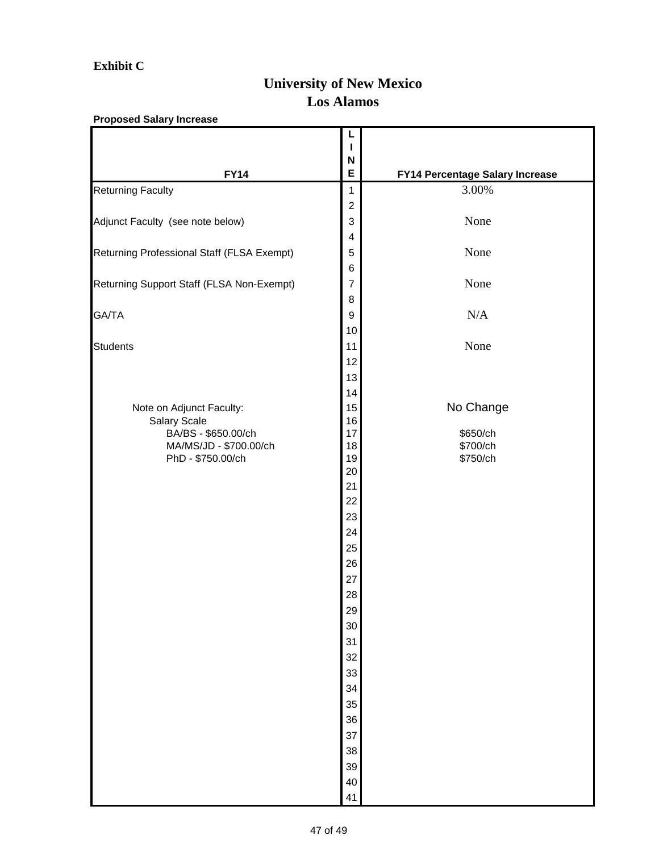### **Exhibit C**

## **University of New Mexico Los Alamos**

### **Proposed Salary Increase**

|                                            | L                |                                 |
|--------------------------------------------|------------------|---------------------------------|
|                                            | L                |                                 |
|                                            | N                |                                 |
| <b>FY14</b>                                | E                | FY14 Percentage Salary Increase |
| <b>Returning Faculty</b>                   | 1                | 3.00%                           |
|                                            | $\boldsymbol{2}$ |                                 |
| Adjunct Faculty (see note below)           | $\mathbf{3}$     | None                            |
|                                            | 4                |                                 |
| Returning Professional Staff (FLSA Exempt) | 5                | None                            |
|                                            | $\,6$            |                                 |
| Returning Support Staff (FLSA Non-Exempt)  | $\overline{7}$   | None                            |
|                                            | 8                |                                 |
| GA/TA                                      | 9                | N/A                             |
|                                            | $10$             |                                 |
| <b>Students</b>                            | 11               | None                            |
|                                            | 12               |                                 |
|                                            | 13               |                                 |
|                                            | 14               |                                 |
| Note on Adjunct Faculty:                   | 15               | No Change                       |
| Salary Scale<br>BA/BS - \$650.00/ch        | 16<br>17         |                                 |
| MA/MS/JD - \$700.00/ch                     | 18               | \$650/ch<br>\$700/ch            |
| PhD - \$750.00/ch                          | 19               | \$750/ch                        |
|                                            | 20               |                                 |
|                                            | 21               |                                 |
|                                            | 22               |                                 |
|                                            | 23               |                                 |
|                                            | 24               |                                 |
|                                            | 25               |                                 |
|                                            | 26               |                                 |
|                                            | 27               |                                 |
|                                            | 28               |                                 |
|                                            | 29               |                                 |
|                                            | 30               |                                 |
|                                            | 31               |                                 |
|                                            | 32               |                                 |
|                                            | 33               |                                 |
|                                            | 34               |                                 |
|                                            | 35               |                                 |
|                                            | 36               |                                 |
|                                            | 37               |                                 |
|                                            | 38               |                                 |
|                                            | 39               |                                 |
|                                            | 40               |                                 |
|                                            | 41               |                                 |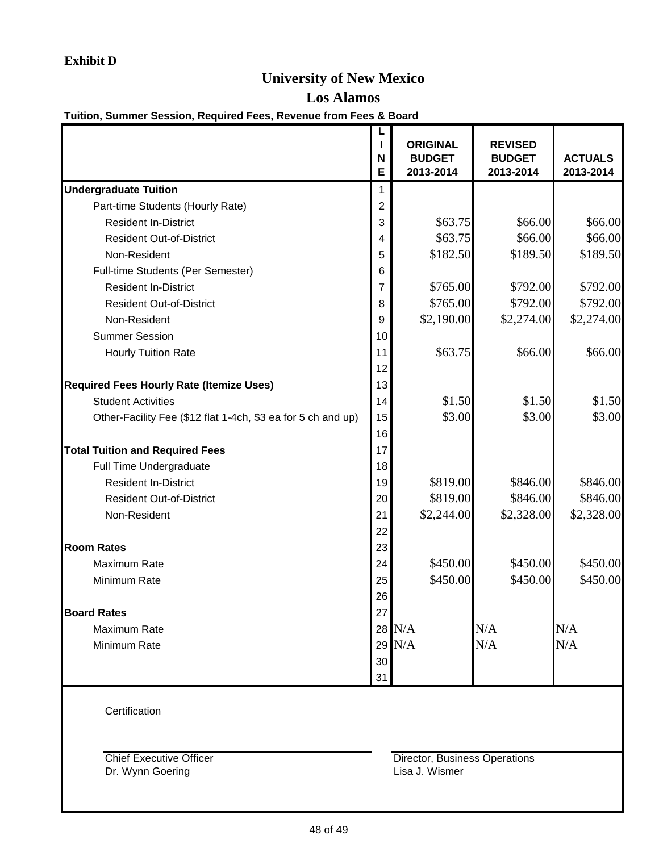## **University of New Mexico**

### **Los Alamos**

### **Tuition, Summer Session, Required Fees, Revenue from Fees & Board**

|                                                              | L<br>N<br>E    | <b>ORIGINAL</b><br><b>BUDGET</b><br>2013-2014 | <b>REVISED</b><br><b>BUDGET</b><br>2013-2014 | <b>ACTUALS</b><br>2013-2014 |
|--------------------------------------------------------------|----------------|-----------------------------------------------|----------------------------------------------|-----------------------------|
| <b>Undergraduate Tuition</b>                                 | 1              |                                               |                                              |                             |
| Part-time Students (Hourly Rate)                             | $\overline{2}$ |                                               |                                              |                             |
| <b>Resident In-District</b>                                  | 3              | \$63.75                                       | \$66.00                                      | \$66.00                     |
| <b>Resident Out-of-District</b>                              | 4              | \$63.75                                       | \$66.00                                      | \$66.00                     |
| Non-Resident                                                 | 5              | \$182.50                                      | \$189.50                                     | \$189.50                    |
| Full-time Students (Per Semester)                            | 6              |                                               |                                              |                             |
| <b>Resident In-District</b>                                  | $\overline{7}$ | \$765.00                                      | \$792.00                                     | \$792.00                    |
| <b>Resident Out-of-District</b>                              | 8              | \$765.00                                      | \$792.00                                     | \$792.00                    |
| Non-Resident                                                 | 9              | \$2,190.00                                    | \$2,274.00                                   | \$2,274.00                  |
| <b>Summer Session</b>                                        | 10             |                                               |                                              |                             |
| <b>Hourly Tuition Rate</b>                                   | 11             | \$63.75                                       | \$66.00                                      | \$66.00                     |
|                                                              | 12             |                                               |                                              |                             |
| <b>Required Fees Hourly Rate (Itemize Uses)</b>              | 13             |                                               |                                              |                             |
| <b>Student Activities</b>                                    | 14             | \$1.50                                        | \$1.50                                       | \$1.50                      |
| Other-Facility Fee (\$12 flat 1-4ch, \$3 ea for 5 ch and up) | 15             | \$3.00                                        | \$3.00                                       | \$3.00                      |
|                                                              | 16             |                                               |                                              |                             |
| <b>Total Tuition and Required Fees</b>                       | 17             |                                               |                                              |                             |
| Full Time Undergraduate                                      | 18             |                                               |                                              |                             |
| <b>Resident In-District</b>                                  | 19             | \$819.00                                      | \$846.00                                     | \$846.00                    |
| <b>Resident Out-of-District</b>                              | 20             | \$819.00                                      | \$846.00                                     | \$846.00                    |
| Non-Resident                                                 | 21             | \$2,244.00                                    | \$2,328.00                                   | \$2,328.00                  |
|                                                              | 22             |                                               |                                              |                             |
| <b>Room Rates</b>                                            | 23             |                                               |                                              |                             |
| <b>Maximum Rate</b>                                          | 24             | \$450.00                                      | \$450.00                                     | \$450.00                    |
| Minimum Rate                                                 | 25             | \$450.00                                      | \$450.00                                     | \$450.00                    |
|                                                              | 26             |                                               |                                              |                             |
| <b>Board Rates</b>                                           | 27             |                                               |                                              |                             |
| Maximum Rate                                                 |                | 28 N/A                                        | N/A                                          | N/A                         |
| Minimum Rate                                                 |                | $29$ N/A                                      | N/A                                          | N/A                         |
|                                                              | 30             |                                               |                                              |                             |
|                                                              | 31             |                                               |                                              |                             |
|                                                              |                |                                               |                                              |                             |
| Certification                                                |                |                                               |                                              |                             |
| <b>Chief Executive Officer</b>                               |                | <b>Director, Business Operations</b>          |                                              |                             |
| Dr. Wynn Goering                                             |                | Lisa J. Wismer                                |                                              |                             |